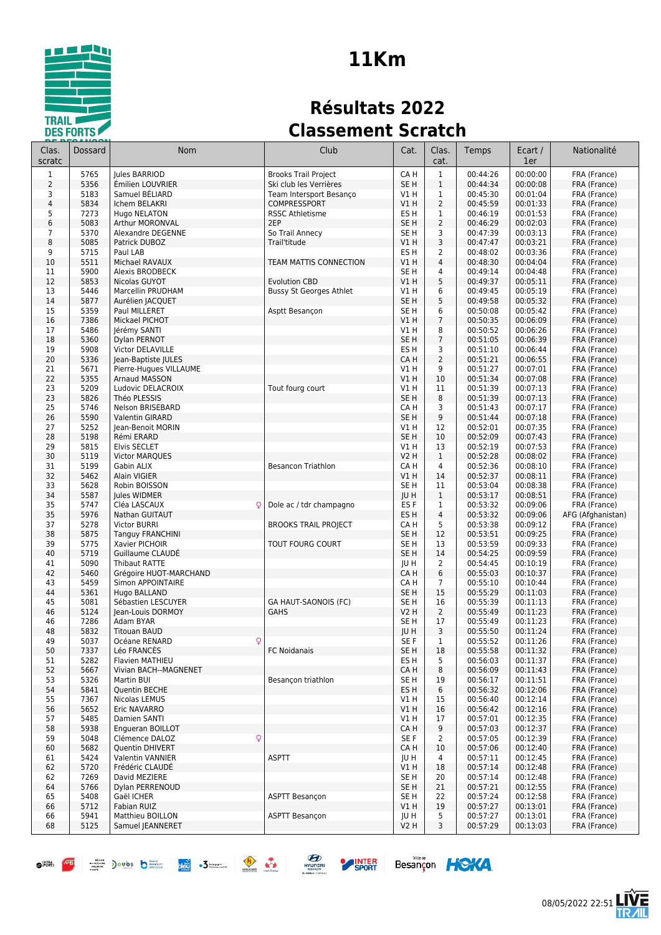

# **11Km**

# **Résultats 2022 Classement Scratch**

| Clas.<br>scratc | Dossard      | <b>Nom</b>                                        | Club                           | Cat.                               | Clas.<br>cat.                  | Temps                | Ecart /<br>1er       | Nationalité                  |
|-----------------|--------------|---------------------------------------------------|--------------------------------|------------------------------------|--------------------------------|----------------------|----------------------|------------------------------|
| $\mathbf{1}$    | 5765         | Jules BARRIOD                                     | <b>Brooks Trail Project</b>    | CA H                               | $\mathbf{1}$                   | 00:44:26             | 00:00:00             | FRA (France)                 |
| $\overline{2}$  | 5356         | Émilien LOUVRIER                                  | Ski club les Verrières         | SE <sub>H</sub>                    | $1\,$                          | 00:44:34             | 00:00:08             | FRA (France)                 |
| 3               | 5183         | Samuel BÉLIARD                                    | Team Intersport Besanço        | V1H                                | 1                              | 00:45:30             | 00:01:04             | FRA (France)                 |
| $\overline{4}$  | 5834         | Ichem BELAKRI                                     | COMPRESSPORT                   | VIH                                | $\overline{2}$                 | 00:45:59             | 00:01:33             | FRA (France)                 |
| 5<br>6          | 7273<br>5083 | Hugo NELATON<br><b>Arthur MORONVAL</b>            | <b>RSSC Athletisme</b><br>2EP  | ES <sub>H</sub><br>SE <sub>H</sub> | $\mathbf{1}$<br>$\overline{2}$ | 00:46:19             | 00:01:53<br>00:02:03 | FRA (France)                 |
| 7               | 5370         | Alexandre DEGENNE                                 | So Trail Annecy                | SE <sub>H</sub>                    | 3                              | 00:46:29<br>00:47:39 | 00:03:13             | FRA (France)<br>FRA (France) |
| 8               | 5085         | Patrick DUBOZ                                     | Trail'titude                   | VIH                                | 3                              | 00:47:47             | 00:03:21             | FRA (France)                 |
| 9               | 5715         | Paul LAB                                          |                                | ES <sub>H</sub>                    | 2                              | 00:48:02             | 00:03:36             | FRA (France)                 |
| 10              | 5511         | Michael RAVAUX                                    | TEAM MATTIS CONNECTION         | V1 H                               | $\overline{4}$                 | 00:48:30             | 00:04:04             | FRA (France)                 |
| 11              | 5900         | Alexis BRODBECK                                   |                                | SE H                               | 4                              | 00:49:14             | 00:04:48             | FRA (France)                 |
| 12              | 5853         | Nicolas GUYOT                                     | <b>Evolution CBD</b>           | V1 H                               | 5                              | 00:49:37             | 00:05:11             | FRA (France)                 |
| 13<br>14        | 5446<br>5877 | Marcellin PRUDHAM<br>Aurélien JACQUET             | <b>Bussy St Georges Athlet</b> | V1 H<br>SE <sub>H</sub>            | 6<br>5                         | 00:49:45<br>00:49:58 | 00:05:19<br>00:05:32 | FRA (France)<br>FRA (France) |
| 15              | 5359         | Paul MILLERET                                     | Asptt Besançon                 | SE <sub>H</sub>                    | 6                              | 00:50:08             | 00:05:42             | FRA (France)                 |
| 16              | 7386         | Mickael PICHOT                                    |                                | VIH                                | $7\overline{ }$                | 00:50:35             | 00:06:09             | FRA (France)                 |
| 17              | 5486         | Jérémy SANTI                                      |                                | V1 H                               | 8                              | 00:50:52             | 00:06:26             | FRA (France)                 |
| 18              | 5360         | Dylan PERNOT                                      |                                | SE <sub>H</sub>                    | $\overline{7}$                 | 00:51:05             | 00:06:39             | FRA (France)                 |
| 19              | 5908         | Victor DELAVILLE                                  |                                | ES <sub>H</sub>                    | 3                              | 00:51:10             | 00:06:44             | FRA (France)                 |
| 20              | 5336         | Jean-Baptiste JULES                               |                                | CA H                               | 2                              | 00:51:21             | 00:06:55             | FRA (France)                 |
| 21<br>22        | 5671<br>5355 | Pierre-Hugues VILLAUME<br>Arnaud MASSON           |                                | V1 H<br>VIH                        | 9<br>10                        | 00:51:27<br>00:51:34 | 00:07:01<br>00:07:08 | FRA (France)<br>FRA (France) |
| 23              | 5209         | Ludovic DELACROIX                                 | Tout fourg court               | V1 H                               | 11                             | 00:51:39             | 00:07:13             | FRA (France)                 |
| 23              | 5826         | Théo PLESSIS                                      |                                | SE <sub>H</sub>                    | 8                              | 00:51:39             | 00:07:13             | FRA (France)                 |
| 25              | 5746         | Nelson BRISEBARD                                  |                                | CA H                               | 3                              | 00:51:43             | 00:07:17             | FRA (France)                 |
| 26              | 5590         | <b>Valentin GIRARD</b>                            |                                | SE <sub>H</sub>                    | 9                              | 00:51:44             | 00:07:18             | FRA (France)                 |
| 27              | 5252         | Jean-Benoit MORIN                                 |                                | <b>V1 H</b>                        | 12                             | 00:52:01             | 00:07:35             | FRA (France)                 |
| 28              | 5198         | Rémi ERARD                                        |                                | SE <sub>H</sub>                    | 10                             | 00:52:09             | 00:07:43             | FRA (France)                 |
| 29<br>30        | 5815<br>5119 | Elvis SECLET<br><b>Victor MARQUES</b>             |                                | V1 H<br>V2 H                       | 13<br>$\mathbf{1}$             | 00:52:19<br>00:52:28 | 00:07:53<br>00:08:02 | FRA (France)<br>FRA (France) |
| 31              | 5199         | Gabin ALIX                                        | <b>Besancon Triathlon</b>      | CA H                               | 4                              | 00:52:36             | 00:08:10             | FRA (France)                 |
| 32              | 5462         | <b>Alain VIGIER</b>                               |                                | VIH                                | 14                             | 00:52:37             | 00:08:11             | FRA (France)                 |
| 33              | 5628         | Robin BOISSON                                     |                                | SE <sub>H</sub>                    | 11                             | 00:53:04             | 00:08:38             | FRA (France)                 |
| 34              | 5587         | Jules WIDMER                                      |                                | <b>IUH</b>                         | $\mathbf{1}$                   | 00:53:17             | 00:08:51             | FRA (France)                 |
| 35              | 5747         | Cléa LASCAUX<br>Q                                 | Dole ac / tdr champagno        | ES <sub>F</sub>                    | 1                              | 00:53:32             | 00:09:06             | FRA (France)                 |
| 35              | 5976         | Nathan GUITAUT                                    |                                | ES <sub>H</sub>                    | $\overline{4}$                 | 00:53:32             | 00:09:06             | AFG (Afghanistan)            |
| 37<br>38        | 5278<br>5875 | Victor BURRI<br><b>Tanguy FRANCHINI</b>           | <b>BROOKS TRAIL PROJECT</b>    | CA H<br>SE <sub>H</sub>            | 5<br>12                        | 00:53:38<br>00:53:51 | 00:09:12<br>00:09:25 | FRA (France)<br>FRA (France) |
| 39              | 5775         | Xavier PICHOIR                                    | TOUT FOURG COURT               | SE <sub>H</sub>                    | 13                             | 00:53:59             | 00:09:33             | FRA (France)                 |
| 40              | 5719         | Guillaume CLAUDE                                  |                                | SE <sub>H</sub>                    | 14                             | 00:54:25             | 00:09:59             | FRA (France)                 |
| 41              | 5090         | <b>Thibaut RATTE</b>                              |                                | JU H                               | 2                              | 00:54:45             | 00:10:19             | FRA (France)                 |
| 42              | 5460         | Grégoire HUOT-MARCHAND                            |                                | CA H                               | 6                              | 00:55:03             | 00:10:37             | FRA (France)                 |
| 43              | 5459         | Simon APPOINTAIRE                                 |                                | CA H                               | $\overline{7}$                 | 00:55:10             | 00:10:44             | FRA (France)                 |
| 44<br>45        | 5361<br>5081 | Hugo BALLAND<br>Sébastien LESCUYER                | GA HAUT-SAONOIS (FC)           | SE <sub>H</sub><br>SE <sub>H</sub> | 15<br>16                       | 00:55:29<br>00:55:39 | 00:11:03<br>00:11:13 | FRA (France)<br>FRA (France) |
| 46              | 5124         | Jean-Louis DORMOY                                 | <b>GAHS</b>                    | V2 H                               | $\overline{2}$                 | 00:55:49             | 00:11:23             | FRA (France)                 |
| 46              | 7286         | Adam BYAR                                         |                                | SE H                               | 17                             | 00:55:49             | 00:11:23             | FRA (France)                 |
| 48              | 5832         | <b>Titouan BAUD</b>                               |                                | JU H                               | 3                              | 00:55:50             | 00:11:24             | FRA (France)                 |
| 49              | 5037         | Océane RENARD                                     |                                | SE F                               | $\mathbf{1}$                   | 00:55:52             | 00:11:26             | FRA (France)                 |
| 50              | 7337         | Léo FRANCES                                       | FC Noidanais                   | SE H                               | 18                             | 00:55:58             | 00:11:32             | FRA (France)                 |
| 51<br>52        | 5282<br>5667 | Flavien MATHIEU<br>Vivian BACH--MAGNENET          |                                | ES H<br>CA H                       | 5<br>8                         | 00:56:03<br>00:56:09 | 00:11:37<br>00:11:43 | FRA (France)<br>FRA (France) |
| 53              | 5326         | Martin BUI                                        | Besançon triathlon             | SE H                               | 19                             | 00:56:17             | 00:11:51             | FRA (France)                 |
| 54              | 5841         | Quentin BECHE                                     |                                | ES H                               | 6                              | 00:56:32             | 00:12:06             | FRA (France)                 |
| 55              | 7367         | Nicolas LEMUS                                     |                                | V1 H                               | 15                             | 00:56:40             | 00:12:14             | FRA (France)                 |
| 56              | 5652         | Eric NAVARRO                                      |                                | V1 H                               | 16                             | 00:56:42             | 00:12:16             | FRA (France)                 |
| 57              | 5485         | Damien SANTI                                      |                                | V1 H                               | 17                             | 00:57:01             | 00:12:35             | FRA (France)                 |
| 58              | 5938         | Engueran BOILLOT                                  |                                | CA H                               | 9                              | 00:57:03             | 00:12:37             | FRA (France)                 |
| 59<br>60        | 5048<br>5682 | $\mathsf{Q}$<br>Clémence DALOZ<br>Quentin DHIVERT |                                | SE F<br>CA H                       | 2<br>10                        | 00:57:05<br>00:57:06 | 00:12:39<br>00:12:40 | FRA (France)<br>FRA (France) |
| 61              | 5424         | Valentin VANNIER                                  | <b>ASPTT</b>                   | JU H                               | 4                              | 00:57:11             | 00:12:45             | FRA (France)                 |
| 62              | 5720         | Frédéric CLAUDE                                   |                                | V1 H                               | 18                             | 00:57:14             | 00:12:48             | FRA (France)                 |
| 62              | 7269         | David MEZIERE                                     |                                | SE H                               | 20                             | 00:57:14             | 00:12:48             | FRA (France)                 |
| 64              | 5766         | Dylan PERRENOUD                                   |                                | SE <sub>H</sub>                    | 21                             | 00:57:21             | 00:12:55             | FRA (France)                 |
| 65              | 5408         | Gaël ICHER                                        | ASPTT Besançon                 | SE H                               | 22                             | 00:57:24             | 00:12:58             | FRA (France)                 |
| 66              | 5712<br>5941 | Fabian RUIZ<br>Matthieu BOILLON                   | <b>ASPTT Besançon</b>          | V1 H                               | 19<br>5                        | 00:57:27<br>00:57:27 | 00:13:01<br>00:13:01 | FRA (France)<br>FRA (France) |
| 66<br>68        | 5125         | Samuel JEANNERET                                  |                                | JU H<br>V2 H                       | 3                              | 00:57:29             | 00:13:03             | FRA (France)                 |
|                 |              |                                                   |                                |                                    |                                |                      |                      |                              |









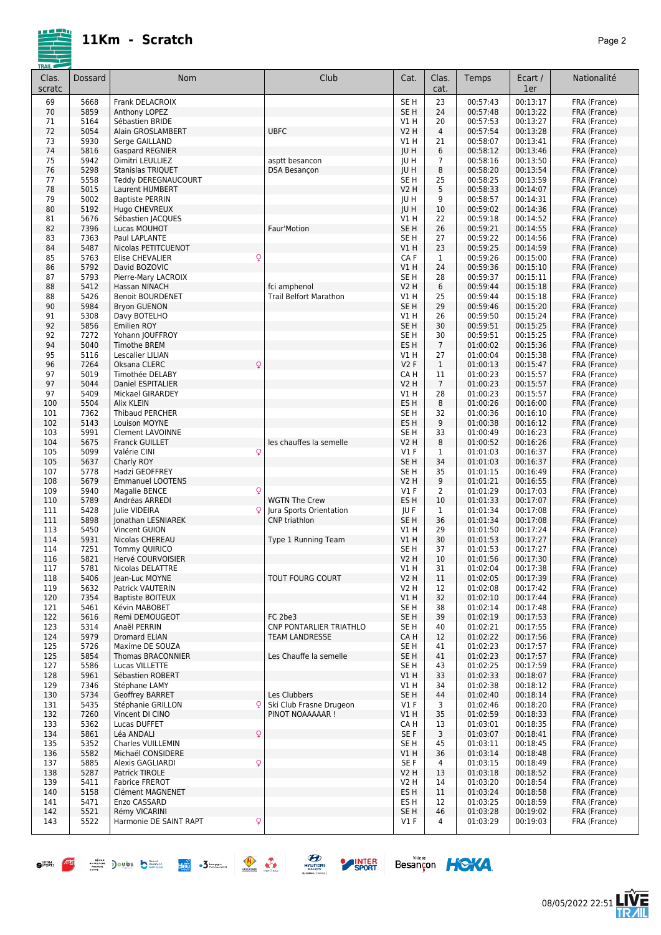|--|--|

| Clas.<br>scratc | Dossard      | Nom                                           | Club                           | Cat.                               | Clas.<br>cat.        | Temps                | Ecart /<br>1er       | Nationalité                  |
|-----------------|--------------|-----------------------------------------------|--------------------------------|------------------------------------|----------------------|----------------------|----------------------|------------------------------|
| 69              | 5668         | Frank DELACROIX                               |                                | SE H                               | 23                   | 00:57:43             | 00:13:17             | FRA (France)                 |
| 70              | 5859         | Anthony LOPEZ                                 |                                | SE <sub>H</sub>                    | 24                   | 00:57:48             | 00:13:22             | FRA (France)                 |
| 71<br>72        | 5164<br>5054 | Sébastien BRIDE<br>Alain GROSLAMBERT          | <b>UBFC</b>                    | V1 H<br><b>V2 H</b>                | 20<br>$\overline{4}$ | 00:57:53<br>00:57:54 | 00:13:27<br>00:13:28 | FRA (France)<br>FRA (France) |
| 73              | 5930         | Serge GAILLAND                                |                                | V1 H                               | 21                   | 00:58:07             | 00:13:41             | FRA (France)                 |
| 74              | 5816         | <b>Gaspard REGNIER</b>                        |                                | JU H                               | 6                    | 00:58:12             | 00:13:46             | FRA (France)                 |
| 75              | 5942         | Dimitri LEULLIEZ                              | asptt besancon                 | JU H                               | $\overline{7}$       | 00:58:16             | 00:13:50             | FRA (France)                 |
| 76              | 5298         | Stanislas TRIQUET                             | DSA Besançon                   | JU H                               | 8                    | 00:58:20             | 00:13:54             | FRA (France)                 |
| 77<br>78        | 5558<br>5015 | Teddy DEREGNAUCOURT<br>Laurent HUMBERT        |                                | SE <sub>H</sub><br><b>V2 H</b>     | 25<br>5              | 00:58:25<br>00:58:33 | 00:13:59<br>00:14:07 | FRA (France)<br>FRA (France) |
| 79              | 5002         | <b>Baptiste PERRIN</b>                        |                                | JU H                               | 9                    | 00:58:57             | 00:14:31             | FRA (France)                 |
| 80              | 5192         | Hugo CHEVREUX                                 |                                | JU H                               | 10                   | 00:59:02             | 00:14:36             | FRA (France)                 |
| 81              | 5676         | Sébastien JACQUES                             |                                | V1 H                               | 22                   | 00:59:18             | 00:14:52             | FRA (France)                 |
| 82              | 7396         | Lucas MOUHOT                                  | Faur'Motion                    | SE <sub>H</sub>                    | 26                   | 00:59:21             | 00:14:55             | FRA (France)                 |
| 83<br>84        | 7363<br>5487 | Paul LAPLANTE<br>Nicolas PETITCUENOT          |                                | SE <sub>H</sub><br>V1H             | 27<br>23             | 00:59:22<br>00:59:25 | 00:14:56<br>00:14:59 | FRA (France)                 |
| 85              | 5763         | Q<br><b>Elise CHEVALIER</b>                   |                                | CA F                               | 1                    | 00:59:26             | 00:15:00             | FRA (France)<br>FRA (France) |
| 86              | 5792         | David BOZOVIC                                 |                                | V1 H                               | 24                   | 00:59:36             | 00:15:10             | FRA (France)                 |
| 87              | 5793         | Pierre-Mary LACROIX                           |                                | SE <sub>H</sub>                    | 28                   | 00:59:37             | 00:15:11             | FRA (France)                 |
| 88              | 5412         | Hassan NINACH                                 | fci amphenol                   | V2 H                               | 6                    | 00:59:44             | 00:15:18             | FRA (France)                 |
| 88              | 5426         | <b>Benoit BOURDENET</b>                       | <b>Trail Belfort Marathon</b>  | V1 H                               | 25                   | 00:59:44             | 00:15:18             | FRA (France)                 |
| 90<br>91        | 5984<br>5308 | <b>Bryon GUENON</b><br>Davy BOTELHO           |                                | SE <sub>H</sub><br>V1 H            | 29<br>26             | 00:59:46<br>00:59:50 | 00:15:20<br>00:15:24 | FRA (France)<br>FRA (France) |
| 92              | 5856         | Emilien ROY                                   |                                | SE <sub>H</sub>                    | 30                   | 00:59:51             | 00:15:25             | FRA (France)                 |
| 92              | 7272         | Yohann JOUFFROY                               |                                | SE H                               | 30                   | 00:59:51             | 00:15:25             | FRA (France)                 |
| 94              | 5040         | <b>Timothe BREM</b>                           |                                | ES H                               | $\overline{7}$       | 01:00:02             | 00:15:36             | FRA (France)                 |
| 95              | 5116         | Lescalier LILIAN                              |                                | V1 H                               | 27                   | 01:00:04             | 00:15:38             | FRA (France)                 |
| 96<br>97        | 7264<br>5019 | Q<br>Oksana CLERC<br>Timothée DELABY          |                                | V2F<br>CA H                        | $\mathbf{1}$<br>11   | 01:00:13<br>01:00:23 | 00:15:47<br>00:15:57 | FRA (France)<br>FRA (France) |
| 97              | 5044         | Daniel ESPITALIER                             |                                | <b>V2 H</b>                        | $7\phantom{.0}$      | 01:00:23             | 00:15:57             | FRA (France)                 |
| 97              | 5409         | Mickael GIRARDEY                              |                                | V1 H                               | 28                   | 01:00:23             | 00:15:57             | FRA (France)                 |
| 100             | 5504         | Alix KLEIN                                    |                                | ES H                               | 8                    | 01:00:26             | 00:16:00             | FRA (France)                 |
| 101             | 7362         | <b>Thibaud PERCHER</b>                        |                                | SE <sub>H</sub>                    | 32                   | 01:00:36             | 00:16:10             | FRA (France)                 |
| 102<br>103      | 5143<br>5991 | Louison MOYNE<br><b>Clement LAVOINNE</b>      |                                | ES <sub>H</sub><br>SE <sub>H</sub> | 9<br>33              | 01:00:38<br>01:00:49 | 00:16:12<br>00:16:23 | FRA (France)<br>FRA (France) |
| 104             | 5675         | <b>Franck GUILLET</b>                         | les chauffes la semelle        | <b>V2 H</b>                        | 8                    | 01:00:52             | 00:16:26             | FRA (France)                 |
| 105             | 5099         | Q<br>Valérie CINI                             |                                | $VI$ F                             | 1                    | 01:01:03             | 00:16:37             | FRA (France)                 |
| 105             | 5637         | Charly ROY                                    |                                | SE <sub>H</sub>                    | 34                   | 01:01:03             | 00:16:37             | FRA (France)                 |
| 107             | 5778         | Hadzi GEOFFREY                                |                                | SE <sub>H</sub>                    | 35                   | 01:01:15             | 00:16:49             | FRA (France)                 |
| 108<br>109      | 5679<br>5940 | <b>Emmanuel LOOTENS</b><br>Q<br>Magalie BENCE |                                | V2 H<br><b>V1 F</b>                | 9<br>$\overline{2}$  | 01:01:21<br>01:01:29 | 00:16:55<br>00:17:03 | FRA (France)<br>FRA (France) |
| 110             | 5789         | Andréas ARREDI                                | <b>WGTN The Crew</b>           | ES <sub>H</sub>                    | 10                   | 01:01:33             | 00:17:07             | FRA (France)                 |
| 111             | 5428         | Julie VIDEIRA<br>ΩI                           | Jura Sports Orientation        | JU F                               | 1                    | 01:01:34             | 00:17:08             | FRA (France)                 |
| 111             | 5898         | Jonathan LESNIAREK                            | <b>CNP</b> triathlon           | SE <sub>H</sub>                    | 36                   | 01:01:34             | 00:17:08             | FRA (France)                 |
| 113             | 5450         | Vincent GUION                                 |                                | V1 H                               | 29                   | 01:01:50             | 00:17:24             | FRA (France)                 |
| 114<br>114      | 5931<br>7251 | Nicolas CHEREAU<br><b>Tommy QUIRICO</b>       | Type 1 Running Team            | V1 H<br>SE <sub>H</sub>            | 30<br>37             | 01:01:53<br>01:01:53 | 00:17:27<br>00:17:27 | FRA (France)<br>FRA (France) |
| 116             | 5821         | Hervé COURVOISIER                             |                                | V2 H                               | 10                   | 01:01:56             | 00:17:30             | FRA (France)                 |
| 117             | 5781         | Nicolas DELATTRE                              |                                | V1 H                               | 31                   | 01:02:04             | 00:17:38             | FRA (France)                 |
| 118             | 5406         | Jean-Luc MOYNE                                | <b>TOUT FOURG COURT</b>        | <b>V2 H</b>                        | 11                   | 01:02:05             | 00:17:39             | FRA (France)                 |
| 119             | 5632         | Patrick VAUTERIN                              |                                | V2 H                               | 12                   | 01:02:08             | 00:17:42             | FRA (France)                 |
| 120<br>121      | 7354<br>5461 | <b>Baptiste BOITEUX</b><br>Kévin MABOBET      |                                | V1 H<br>SE H                       | 32<br>38             | 01:02:10<br>01:02:14 | 00:17:44<br>00:17:48 | FRA (France)<br>FRA (France) |
| 122             | 5616         | Remi DEMOUGEOT                                | FC 2be3                        | SE <sub>H</sub>                    | 39                   | 01:02:19             | 00:17:53             | FRA (France)                 |
| 123             | 5314         | Anaël PERRIN                                  | <b>CNP PONTARLIER TRIATHLO</b> | SE H                               | 40                   | 01:02:21             | 00:17:55             | FRA (France)                 |
| 124             | 5979         | Dromard ELIAN                                 | <b>TEAM LANDRESSE</b>          | CA H                               | 12                   | 01:02:22             | 00:17:56             | FRA (France)                 |
| 125             | 5726         | Maxime DE SOUZA                               |                                | SE H                               | 41                   | 01:02:23             | 00:17:57             | FRA (France)                 |
| 125<br>127      | 5854<br>5586 | <b>Thomas BRACONNIER</b><br>Lucas VILLETTE    | Les Chauffe la semelle         | SE <sub>H</sub><br>SE H            | 41<br>43             | 01:02:23<br>01:02:25 | 00:17:57<br>00:17:59 | FRA (France)<br>FRA (France) |
| 128             | 5961         | Sébastien ROBERT                              |                                | V1 H                               | 33                   | 01:02:33             | 00:18:07             | FRA (France)                 |
| 129             | 7346         | Stéphane LAMY                                 |                                | V1 H                               | 34                   | 01:02:38             | 00:18:12             | FRA (France)                 |
| 130             | 5734         | <b>Geoffrey BARRET</b>                        | Les Clubbers                   | SE <sub>H</sub>                    | 44                   | 01:02:40             | 00:18:14             | FRA (France)                 |
| 131             | 5435         | Stéphanie GRILLON<br>$\overline{Q}$           | Ski Club Frasne Drugeon        | $VI$ F                             | 3                    | 01:02:46             | 00:18:20             | FRA (France)                 |
| 132<br>133      | 7260<br>5362 | Vincent DI CINO<br>Lucas DUFFET               | PINOT NOAAAAAR !               | V1 H<br>CA H                       | 35<br>13             | 01:02:59<br>01:03:01 | 00:18:33<br>00:18:35 | FRA (France)<br>FRA (France) |
| 134             | 5861         | $\overline{Q}$<br>Léa ANDALI                  |                                | SE F                               | 3                    | 01:03:07             | 00:18:41             | FRA (France)                 |
| 135             | 5352         | Charles VUILLEMIN                             |                                | SE H                               | 45                   | 01:03:11             | 00:18:45             | FRA (France)                 |
| 136             | 5582         | Michaël CONSIDERE                             |                                | V1H                                | 36                   | 01:03:14             | 00:18:48             | FRA (France)                 |
| 137             | 5885         | Q<br>Alexis GAGLIARDI                         |                                | SE F                               | 4                    | 01:03:15             | 00:18:49             | FRA (France)                 |
| 138             | 5287         | Patrick TIROLE<br>Fabrice FREROT              |                                | V2 H                               | 13<br>14             | 01:03:18             | 00:18:52<br>00:18:54 | FRA (France)                 |
| 139<br>140      | 5411<br>5158 | <b>Clément MAGNENET</b>                       |                                | V2 H<br>ES <sub>H</sub>            | 11                   | 01:03:20<br>01:03:24 | 00:18:58             | FRA (France)<br>FRA (France) |
| 141             | 5471         | Enzo CASSARD                                  |                                | ES H                               | 12                   | 01:03:25             | 00:18:59             | FRA (France)                 |
| 142             | 5521         | Rémy VICARINI                                 |                                | SE <sub>H</sub>                    | 46                   | 01:03:28             | 00:19:02             | FRA (France)                 |
| 143             | 5522         | Harmonie DE SAINT RAPT<br>Q.                  |                                | V1 F                               | 4                    | 01:03:29             | 00:19:03             | FRA (France)                 |
|                 |              |                                               |                                |                                    |                      |                      |                      |                              |









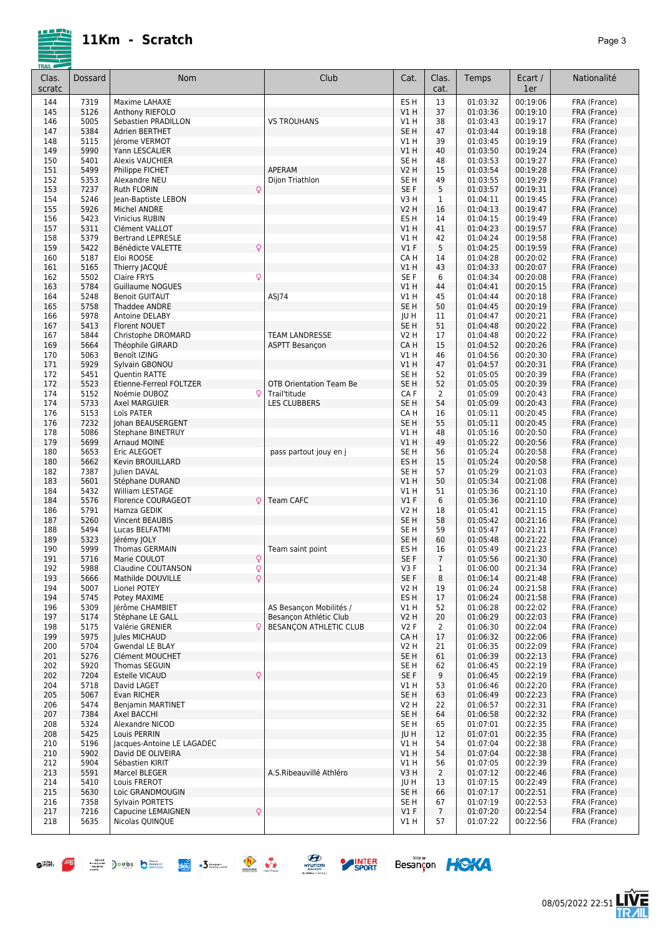|--|--|

| <b>TRAIL</b><br>Clas.<br>scratc | <b>Dossard</b> | <b>Nom</b>                                                           | Club                                           | Cat.                    | Clas.<br>cat.        | Temps                | Ecart /<br>1er       | Nationalité                  |
|---------------------------------|----------------|----------------------------------------------------------------------|------------------------------------------------|-------------------------|----------------------|----------------------|----------------------|------------------------------|
| 144                             | 7319           | Maxime LAHAXE                                                        |                                                | ES <sub>H</sub>         | 13                   | 01:03:32             | 00:19:06             | FRA (France)                 |
| 145                             | 5126           | Anthony RIEFOLO                                                      |                                                | V1 H                    | 37                   | 01:03:36             | 00:19:10             | FRA (France)                 |
| 146                             | 5005<br>5384   | Sebastien PRADILLON                                                  | <b>VS TROUHANS</b>                             | V1 H<br>SE <sub>H</sub> | 38<br>47             | 01:03:43<br>01:03:44 | 00:19:17<br>00:19:18 | FRA (France)<br>FRA (France) |
| 147<br>148                      | 5115           | <b>Adrien BERTHET</b><br>Jérome VERMOT                               |                                                | V1 H                    | 39                   | 01:03:45             | 00:19:19             | FRA (France)                 |
| 149                             | 5990           | Yann LESCALIER                                                       |                                                | V1 H                    | 40                   | 01:03:50             | 00:19:24             | FRA (France)                 |
| 150                             | 5401           | <b>Alexis VAUCHIER</b>                                               |                                                | SE <sub>H</sub>         | 48                   | 01:03:53             | 00:19:27             | FRA (France)                 |
| 151                             | 5499           | Philippe FICHET                                                      | APERAM                                         | V2 H                    | 15                   | 01:03:54             | 00:19:28             | FRA (France)                 |
| 152                             | 5353           | Alexandre NEU                                                        | Dijon Triathlon                                | SE <sub>H</sub>         | 49                   | 01:03:55             | 00:19:29             | FRA (France)                 |
| 153<br>154                      | 7237<br>5246   | Q<br><b>Ruth FLORIN</b><br>Jean-Baptiste LEBON                       |                                                | SE F<br>V3 H            | 5<br>1               | 01:03:57<br>01:04:11 | 00:19:31<br>00:19:45 | FRA (France)<br>FRA (France) |
| 155                             | 5926           | <b>Michel ANDRE</b>                                                  |                                                | <b>V2 H</b>             | 16                   | 01:04:13             | 00:19:47             | FRA (France)                 |
| 156                             | 5423           | <b>Vinicius RUBIN</b>                                                |                                                | ES <sub>H</sub>         | 14                   | 01:04:15             | 00:19:49             | FRA (France)                 |
| 157                             | 5311           | Clément VALLOT                                                       |                                                | V1H                     | 41                   | 01:04:23             | 00:19:57             | FRA (France)                 |
| 158                             | 5379           | <b>Bertrand LEPRESLE</b>                                             |                                                | V1 H                    | 42                   | 01:04:24             | 00:19:58             | FRA (France)                 |
| 159                             | 5422           | $\mathsf{Q}$<br>Bénédicte VALETTE                                    |                                                | V1F                     | 5                    | 01:04:25             | 00:19:59             | FRA (France)                 |
| 160<br>161                      | 5187<br>5165   | Eloi ROOSE<br>Thierry JACQUÉ                                         |                                                | CA H<br>V1 H            | 14<br>43             | 01:04:28<br>01:04:33 | 00:20:02<br>00:20:07 | FRA (France)<br>FRA (France) |
| 162                             | 5502           | Q<br>Claire FRYS                                                     |                                                | SE F                    | 6                    | 01:04:34             | 00:20:08             | FRA (France)                 |
| 163                             | 5784           | <b>Guillaume NOGUES</b>                                              |                                                | V1 H                    | 44                   | 01:04:41             | 00:20:15             | FRA (France)                 |
| 164                             | 5248           | <b>Benoit GUITAUT</b>                                                | ASJ74                                          | V1 H                    | 45                   | 01:04:44             | 00:20:18             | FRA (France)                 |
| 165                             | 5758           | <b>Thaddee ANDRE</b>                                                 |                                                | SE <sub>H</sub>         | 50                   | 01:04:45             | 00:20:19             | FRA (France)                 |
| 166<br>167                      | 5978<br>5413   | Antoine DELABY<br><b>Florent NOUET</b>                               |                                                | JU H<br>SE <sub>H</sub> | 11<br>51             | 01:04:47<br>01:04:48 | 00:20:21<br>00:20:22 | FRA (France)<br>FRA (France) |
| 167                             | 5844           | Christophe DROMARD                                                   | <b>TEAM LANDRESSE</b>                          | V2 H                    | 17                   | 01:04:48             | 00:20:22             | FRA (France)                 |
| 169                             | 5664           | Théophile GIRARD                                                     | <b>ASPTT Besançon</b>                          | CA H                    | 15                   | 01:04:52             | 00:20:26             | FRA (France)                 |
| 170                             | 5063           | Benoît IZING                                                         |                                                | V1 H                    | 46                   | 01:04:56             | 00:20:30             | FRA (France)                 |
| 171                             | 5929           | Sylvain GBONOU                                                       |                                                | V1H                     | 47                   | 01:04:57             | 00:20:31             | FRA (France)                 |
| 172                             | 5451           | <b>Ouentin RATTE</b>                                                 |                                                | SE <sub>H</sub>         | 52                   | 01:05:05             | 00:20:39             | FRA (France)                 |
| 172<br>174                      | 5523<br>5152   | Etienne-Ferreol FOLTZER<br>Noémie DUBOZ<br>Q                         | <b>OTB Orientation Team Be</b><br>Trail'titude | SE <sub>H</sub><br>CA F | 52<br>$\overline{2}$ | 01:05:05<br>01:05:09 | 00:20:39<br>00:20:43 | FRA (France)<br>FRA (France) |
| 174                             | 5733           | Axel MARGUIER                                                        | LES CLUBBERS                                   | SE <sub>H</sub>         | 54                   | 01:05:09             | 00:20:43             | FRA (France)                 |
| 176                             | 5153           | Loïs PATER                                                           |                                                | CA H                    | 16                   | 01:05:11             | 00:20:45             | FRA (France)                 |
| 176                             | 7232           | Johan BEAUSERGENT                                                    |                                                | SE <sub>H</sub>         | 55                   | 01:05:11             | 00:20:45             | FRA (France)                 |
| 178                             | 5086           | Stephane BINETRUY                                                    |                                                | V1 H                    | 48                   | 01:05:16             | 00:20:50             | FRA (France)                 |
| 179<br>180                      | 5699           | <b>Arnaud MOINE</b>                                                  |                                                | V1H<br>SE <sub>H</sub>  | 49                   | 01:05:22             | 00:20:56<br>00:20:58 | FRA (France)                 |
| 180                             | 5653<br>5662   | Eric ALEGOET<br>Kevin BROUILLARD                                     | pass partout jouy en j                         | ES <sub>H</sub>         | 56<br>15             | 01:05:24<br>01:05:24 | 00:20:58             | FRA (France)<br>FRA (France) |
| 182                             | 7387           | Julien DAVAL                                                         |                                                | SE <sub>H</sub>         | 57                   | 01:05:29             | 00:21:03             | FRA (France)                 |
| 183                             | 5601           | Stéphane DURAND                                                      |                                                | V1H                     | 50                   | 01:05:34             | 00:21:08             | FRA (France)                 |
| 184                             | 5432           | William LESTAGE                                                      |                                                | V1 H                    | 51                   | 01:05:36             | 00:21:10             | FRA (France)                 |
| 184                             | 5576           | <b>Florence COURAGEOT</b><br>ΩI                                      | Team CAFC                                      | V1F                     | 6                    | 01:05:36             | 00:21:10             | FRA (France)                 |
| 186<br>187                      | 5791<br>5260   | Hamza GEDIK<br>Vincent BEAUBIS                                       |                                                | V2 H<br>SE <sub>H</sub> | 18<br>58             | 01:05:41<br>01:05:42 | 00:21:15<br>00:21:16 | FRA (France)<br>FRA (France) |
| 188                             | 5494           | Lucas BELFATMI                                                       |                                                | SE H                    | 59                   | 01:05:47             | 00:21:21             | FRA (France)                 |
| 189                             | 5323           | Jérémy JOLY                                                          |                                                | SE <sub>H</sub>         | 60                   | 01:05:48             | 00:21:22             | FRA (France)                 |
| 190                             | 5999           | Thomas GERMAIN                                                       | Team saint point                               | ES <sub>H</sub>         | 16                   | 01:05:49             | 00:21:23             | FRA (France)                 |
| 191                             | 5716           | $\mathsf{Q}$<br>Marie COULOT                                         |                                                | SE <sub>F</sub>         | $\overline{7}$       | 01:05:56             | 00:21:30             | FRA (France)                 |
| 192<br>193                      | 5988<br>5666   | Q<br>Claudine COUTANSON<br>$\dot{\overline{Q}}$<br>Mathilde DOUVILLE |                                                | V3F<br>SE F             | $\mathbf{1}$<br>8    | 01:06:00<br>01:06:14 | 00:21:34<br>00:21:48 | FRA (France)<br>FRA (France) |
| 194                             | 5007           | Lionel POTEY                                                         |                                                | V2 H                    | 19                   | 01:06:24             | 00:21:58             | FRA (France)                 |
| 194                             | 5745           | Potey MAXIME                                                         |                                                | ES H                    | 17                   | 01:06:24             | 00:21:58             | FRA (France)                 |
| 196                             | 5309           | Jérôme CHAMBIET                                                      | AS Besancon Mobilités /                        | V1 H                    | 52                   | 01:06:28             | 00:22:02             | FRA (France)                 |
| 197                             | 5174           | Stéphane LE GALL                                                     | Besancon Athlétic Club                         | <b>V2 H</b>             | 20                   | 01:06:29             | 00:22:03             | FRA (France)                 |
| 198<br>199                      | 5175<br>5975   | Valérie GRENIER<br>Q<br>Jules MICHAUD                                | BESANÇON ATHLETIC CLUB                         | V2F<br>CA H             | $\overline{2}$<br>17 | 01:06:30<br>01:06:32 | 00:22:04<br>00:22:06 | FRA (France)<br>FRA (France) |
| 200                             | 5704           | Gwendal LE BLAY                                                      |                                                | V2 H                    | 21                   | 01:06:35             | 00:22:09             | FRA (France)                 |
| 201                             | 5276           | Clément MOUCHET                                                      |                                                | SE H                    | 61                   | 01:06:39             | 00:22:13             | FRA (France)                 |
| 202                             | 5920           | Thomas SEGUIN                                                        |                                                | SE H                    | 62                   | 01:06:45             | 00:22:19             | FRA (France)                 |
| 202                             | 7204           | Q<br><b>Estelle VICAUD</b>                                           |                                                | SE F                    | 9                    | 01:06:45             | 00:22:19             | FRA (France)                 |
| 204                             | 5718           | David LAGET                                                          |                                                | V1 H                    | 53                   | 01:06:46             | 00:22:20             | FRA (France)                 |
| 205                             | 5067           | Evan RICHER                                                          |                                                | SE <sub>H</sub>         | 63                   | 01:06:49             | 00:22:23<br>00:22:31 | FRA (France)                 |
| 206<br>207                      | 5474<br>7384   | <b>Benjamin MARTINET</b><br>Axel BACCHI                              |                                                | V2 H<br>SE <sub>H</sub> | 22<br>64             | 01:06:57<br>01:06:58 | 00:22:32             | FRA (France)<br>FRA (France) |
| 208                             | 5324           | Alexandre NICOD                                                      |                                                | SE <sub>H</sub>         | 65                   | 01:07:01             | 00:22:35             | FRA (France)                 |
| 208                             | 5425           | Louis PERRIN                                                         |                                                | JU H                    | 12                   | 01:07:01             | 00:22:35             | FRA (France)                 |
| 210                             | 5196           | Jacques-Antoine LE LAGADEC                                           |                                                | V1 H                    | 54                   | 01:07:04             | 00:22:38             | FRA (France)                 |
| 210                             | 5902           | David DE OLIVEIRA                                                    |                                                | V1 H                    | 54                   | 01:07:04             | 00:22:38             | FRA (France)                 |
| 212<br>213                      | 5904<br>5591   | Sébastien KIRIT                                                      | A.S.Ribeauvillé Athléro                        | V1 H<br>V3 H            | 56<br>$\overline{2}$ | 01:07:05             | 00:22:39<br>00:22:46 | FRA (France)<br>FRA (France) |
| 214                             | 5410           | Marcel BLEGER<br>Louis FREROT                                        |                                                | JU H                    | 13                   | 01:07:12<br>01:07:15 | 00:22:49             | FRA (France)                 |
| 215                             | 5630           | Loic GRANDMOUGIN                                                     |                                                | SE H                    | 66                   | 01:07:17             | 00:22:51             | FRA (France)                 |
| 216                             | 7358           | Sylvain PORTETS                                                      |                                                | SE H                    | 67                   | 01:07:19             | 00:22:53             | FRA (France)                 |
| 217                             | 7216           | Q<br>Capucine LEMAIGNEN                                              |                                                | V1F                     | $\overline{7}$       | 01:07:20             | 00:22:54             | FRA (France)                 |
| 218                             | 5635           | Nicolas QUINQUE                                                      |                                                | V1 H                    | 57                   | 01:07:22             | 00:22:56             | FRA (France)                 |
|                                 |                |                                                                      |                                                |                         |                      |                      |                      |                              |









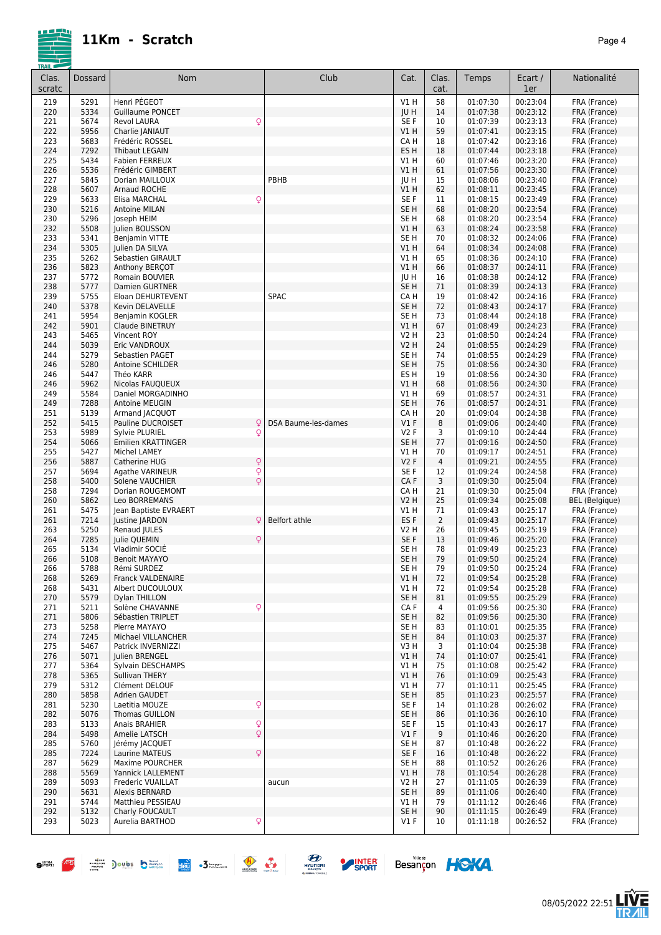| <b>TRAIL</b>    |              |                                               |                     |                  |                |                      |                      |                              |
|-----------------|--------------|-----------------------------------------------|---------------------|------------------|----------------|----------------------|----------------------|------------------------------|
| Clas.<br>scratc | Dossard      | <b>Nom</b>                                    | Club                | Cat.             | Clas.<br>cat.  | Temps                | Ecart /<br>1er       | Nationalité                  |
| 219             | 5291         | Henri PÉGEOT                                  |                     | V1 H             | 58             | 01:07:30             | 00:23:04             | FRA (France)                 |
| 220             | 5334         | <b>Guillaume PONCET</b>                       |                     | JU H             | 14             | 01:07:38             | 00:23:12             | FRA (France)                 |
| 221             | 5674         | $\mathsf{Q}$<br>Revol LAURA                   |                     | SE F             | 10             | 01:07:39             | 00:23:13             | FRA (France)                 |
| 222             | 5956         | Charlie JANIAUT                               |                     | V1H              | 59             | 01:07:41             | 00:23:15             | FRA (France)                 |
| 223             | 5683         | Frédéric ROSSEL                               |                     | CA H             | 18             | 01:07:42             | 00:23:16             | FRA (France)                 |
| 224             | 7292         | <b>Thibaut LEGAIN</b>                         |                     | ES <sub>H</sub>  | 18             | 01:07:44             | 00:23:18             | FRA (France)                 |
| 225             | 5434         | <b>Fabien FERREUX</b>                         |                     | V1 H             | 60             | 01:07:46             | 00:23:20             | FRA (France)                 |
| 226             | 5536         | Frédéric GIMBERT                              |                     | V1 H             | 61             | 01:07:56             | 00:23:30             | FRA (France)                 |
| 227             | 5845         | Dorian MAILLOUX                               | PBHB                | JU H             | 15             | 01:08:06             | 00:23:40             | FRA (France)                 |
| 228             | 5607         | <b>Arnaud ROCHE</b>                           |                     | V1 H             | 62             | 01:08:11             | 00:23:45             | FRA (France)                 |
| 229             | 5633         | $\mathsf{Q}$<br>Elisa MARCHAL                 |                     | SE F             | 11             | 01:08:15             | 00:23:49             | FRA (France)                 |
| 230             | 5216         | Antoine MILAN                                 |                     | SE H             | 68             | 01:08:20             | 00:23:54             | FRA (France)                 |
| 230             | 5296         | Joseph HEIM                                   |                     | SE H             | 68             | 01:08:20             | 00:23:54             | FRA (France)                 |
| 232             | 5508         | Julien BOUSSON                                |                     | V1 H             | 63             | 01:08:24             | 00:23:58             | FRA (France)                 |
| 233             | 5341         | Benjamin VITTE                                |                     | SE H             | 70             | 01:08:32             | 00:24:06             | FRA (France)                 |
| 234             | 5305         | Julien DA SILVA                               |                     | V1H              | 64             | 01:08:34             | 00:24:08             | FRA (France)                 |
| 235             | 5262         | Sebastien GIRAULT                             |                     | V1 H             | 65             | 01:08:36             | 00:24:10             | FRA (France)                 |
| 236             | 5823         | Anthony BERCOT                                |                     | <b>V1 H</b>      | 66             | 01:08:37             | 00:24:11             | FRA (France)                 |
| 237             | 5772         | Romain BOUVIER                                |                     | JU H             | 16             | 01:08:38             | 00:24:12             | FRA (France)                 |
| 238             | 5777         | <b>Damien GURTNER</b>                         |                     | SE <sub>H</sub>  | 71             | 01:08:39             | 00:24:13             | FRA (France)                 |
| 239             | 5755         | Eloan DEHURTEVENT                             | <b>SPAC</b>         | CA H             | 19             | 01:08:42             | 00:24:16             | FRA (France)                 |
| 240             | 5378         | Kevin DELAVELLE                               |                     | SE <sub>H</sub>  | 72             | 01:08:43             | 00:24:17             | FRA (France)                 |
| 241             | 5954         | Benjamin KOGLER                               |                     | SE H             | 73             | 01:08:44             | 00:24:18             | FRA (France)                 |
| 242             | 5901         | Claude BINETRUY                               |                     | VIH              | 67             | 01:08:49             | 00:24:23             | FRA (France)                 |
| 243             | 5465         | Vincent ROY                                   |                     | <b>V2 H</b>      | 23             | 01:08:50             | 00:24:24             | FRA (France)                 |
| 244             | 5039         | Eric VANDROUX                                 |                     | <b>V2 H</b>      | 24             | 01:08:55             | 00:24:29             | FRA (France)                 |
| 244             | 5279         | Sebastien PAGET                               |                     | SE H             | 74             | 01:08:55             | 00:24:29             | FRA (France)                 |
| 246             | 5280         | Antoine SCHILDER                              |                     | SE <sub>H</sub>  | 75             | 01:08:56             | 00:24:30             | FRA (France)                 |
| 246             | 5447         | Théo KARR                                     |                     | ES <sub>H</sub>  | 19             | 01:08:56             | 00:24:30             | FRA (France)                 |
| 246<br>249      | 5962<br>5584 | Nicolas FAUQUEUX<br>Daniel MORGADINHO         |                     | V1H<br>V1 H      | 68<br>69       | 01:08:56<br>01:08:57 | 00:24:30<br>00:24:31 | FRA (France)                 |
| 249             | 7288         | Antoine MEUGIN                                |                     | SE <sub>H</sub>  | 76             | 01:08:57             | 00:24:31             | FRA (France)<br>FRA (France) |
| 251             | 5139         | Armand JACQUOT                                |                     | CA H             | 20             | 01:09:04             | 00:24:38             | FRA (France)                 |
| 252             | 5415         | Pauline DUCROISET<br>Q                        | DSA Baume-les-dames | $VI$ F           | 8              | 01:09:06             | 00:24:40             | FRA (France)                 |
| 253             | 5989         | Sylvie PLURIEL<br>Q                           |                     | V2F              | 3              | 01:09:10             | 00:24:44             | FRA (France)                 |
| 254             | 5066         | <b>Emilien KRATTINGER</b>                     |                     | SE <sub>H</sub>  | 77             | 01:09:16             | 00:24:50             | FRA (France)                 |
| 255             | 5427         | Michel LAMEY                                  |                     | V1 H             | 70             | 01:09:17             | 00:24:51             | FRA (France)                 |
| 256             | 5887         | $\mathsf{Q}$<br>Catherine HUG                 |                     | V <sub>2</sub> F | 4              | 01:09:21             | 00:24:55             | FRA (France)                 |
| 257             | 5694         | Q<br>Agathe VARINEUR                          |                     | SE <sub>F</sub>  | 12             | 01:09:24             | 00:24:58             | FRA (France)                 |
| 258             | 5400         | $\mathsf{Q}$<br>Solene VAUCHIER               |                     | CAF              | 3              | 01:09:30             | 00:25:04             | FRA (France)                 |
| 258             | 7294         | Dorian ROUGEMONT                              |                     | CA H             | 21             | 01:09:30             | 00:25:04             | FRA (France)                 |
| 260             | 5862         | Leo BORREMANS                                 |                     | <b>V2 H</b>      | 25             | 01:09:34             | 00:25:08             | <b>BEL</b> (Belgique)        |
| 261             | 5475         | lean Baptiste EVRAERT                         |                     | V1 H             | 71             | 01:09:43             | 00:25:17             | FRA (France)                 |
| 261             | 7214         | Justine JARDON<br>Q                           | Belfort athle       | ES <sub>F</sub>  | $\overline{2}$ | 01:09:43             | 00:25:17             | FRA (France)                 |
| 263             | 5250         | Renaud JULES                                  |                     | V2 H             | 26             | 01:09:45             | 00:25:19             | FRA (France)                 |
| 264             | 7285         | Q<br>Julie QUEMIN                             |                     | SE F             | 13             | 01:09:46             | 00:25:20             | FRA (France)                 |
| 265             | 5134         | Vladimir SOCIE                                |                     | SE H             | 78             | 01:09:49             | 00:25:23             | FRA (France)                 |
| 266             | 5108         | <b>Benoit MAYAYO</b>                          |                     | SE <sub>H</sub>  | 79             | 01:09:50             | 00:25:24             | FRA (France)                 |
| 266             | 5788         | Rémi SURDEZ                                   |                     | SE <sub>H</sub>  | 79             | 01:09:50             | 00:25:24             | FRA (France)                 |
| 268             | 5269         | Franck VALDENAIRE                             |                     | V1H              | 72             | 01:09:54             | 00:25:28             | FRA (France)                 |
| 268             | 5431         | Albert DUCOULOUX                              |                     | V1 H             | 72             | 01:09:54             | 00:25:28             | FRA (France)                 |
| 270             | 5579         | Dylan THILLON                                 |                     | SE H             | 81             | 01:09:55             | 00:25:29             | FRA (France)                 |
| 271             | 5211         | $\mathsf{Q}$<br>Solène CHAVANNE               |                     | CA F             | 4              | 01:09:56             | 00:25:30             | FRA (France)                 |
| 271             | 5806         | Sébastien TRIPLET                             |                     | SE <sub>H</sub>  | 82             | 01:09:56             | 00:25:30             | FRA (France)                 |
| 273             | 5258         | Pierre MAYAYO                                 |                     | SE H             | 83             | 01:10:01             | 00:25:35             | FRA (France)                 |
| 274             | 7245         | Michael VILLANCHER                            |                     | SE H             | 84             | 01:10:03             | 00:25:37             | FRA (France)                 |
| 275             | 5467         | Patrick INVERNIZZI                            |                     | V3H              | 3              | 01:10:04             | 00:25:38             | FRA (France)                 |
| 276             | 5071         | Julien BRENGEL                                |                     | <b>V1 H</b>      | 74             | 01:10:07             | 00:25:41             | FRA (France)                 |
| 277             | 5364         | Sylvain DESCHAMPS                             |                     | V1 H             | 75             | 01:10:08             | 00:25:42             | FRA (France)                 |
| 278             | 5365         | Sullivan THERY                                |                     | VIH              | 76             | 01:10:09             | 00:25:43             | FRA (France)                 |
| 279             | 5312         | Clément DELOUF                                |                     | V1 H             | 77             | 01:10:11             | 00:25:45             | FRA (France)                 |
| 280             | 5858         | Adrien GAUDET                                 |                     | SE H             | 85             | 01:10:23             | 00:25:57             | FRA (France)                 |
| 281             | 5230         | $\boldsymbol{\mathsf{Q}}$<br>Laetitia MOUZE   |                     | SE F             | 14             | 01:10:28             | 00:26:02             | FRA (France)                 |
| 282             | 5076         | Thomas GUILLON<br>Anais BRAHIER               |                     | SE H             | 86             | 01:10:36             | 00:26:10             | FRA (France)                 |
| 283<br>284      | 5133<br>5498 | $\mathsf{Q}$<br>$\mathsf{Q}$<br>Amelie LATSCH |                     | SE F<br>$VI$ F   | 15<br>9        | 01:10:43<br>01:10:46 | 00:26:17<br>00:26:20 | FRA (France)<br>FRA (France) |
| 285             | 5760         | Jérémy JACQUET                                |                     | SE H             | 87             | 01:10:48             | 00:26:22             | FRA (France)                 |
| 285             | 7224         | $\mathsf{Q}$<br><b>Laurine MATEUS</b>         |                     | SE F             | 16             | 01:10:48             | 00:26:22             | FRA (France)                 |
| 287             | 5629         | Maxime POURCHER                               |                     | SE H             | 88             | 01:10:52             | 00:26:26             | FRA (France)                 |
| 288             | 5569         | Yannick LALLEMENT                             |                     | V1H              | 78             | 01:10:54             | 00:26:28             | FRA (France)                 |
| 289             | 5093         | Frederic VUAILLAT                             | aucun               | V2 H             | 27             | 01:11:05             | 00:26:39             | FRA (France)                 |
| 290             | 5631         | Alexis BERNARD                                |                     | SE H             | 89             | 01:11:06             | 00:26:40             | FRA (France)                 |
| 291             | 5744         | Matthieu PESSIEAU                             |                     | V1 H             | 79             | 01:11:12             | 00:26:46             | FRA (France)                 |
| 292             | 5132         | Charly FOUCAULT                               |                     | SE H             | 90             | 01:11:15             | 00:26:49             | FRA (France)                 |
| 293             | 5023         | $\mathsf{Q}$<br>Aurelia BARTHOD               |                     | V1 F             | 10             | 01:11:18             | 00:26:52             | FRA (France)                 |
|                 |              |                                               |                     |                  |                |                      |                      |                              |





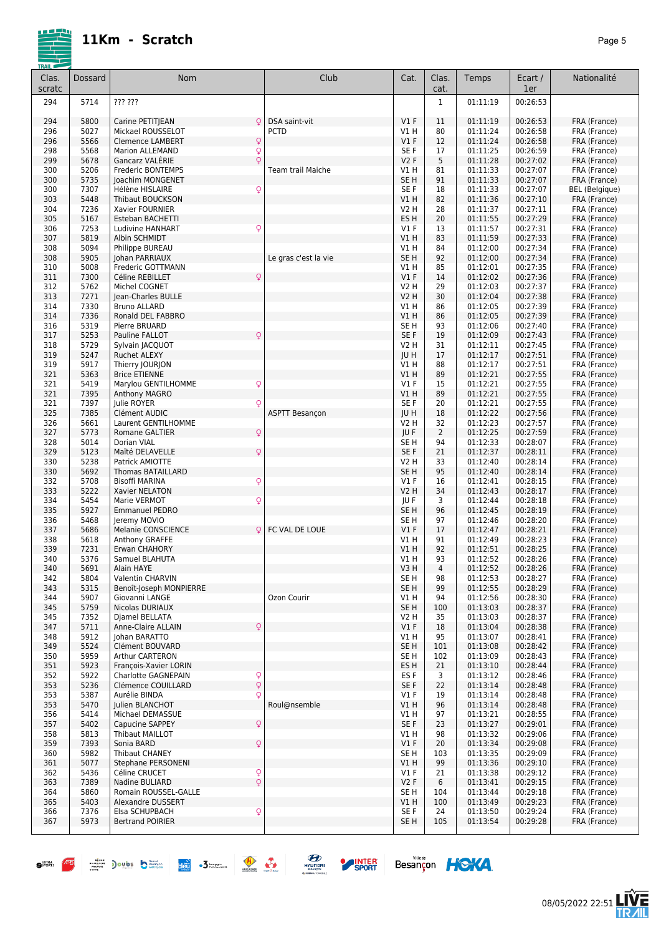

| Clas.<br>scratc | Dossard      | <b>Nom</b>                                                  | Club                  | Cat.                      | Clas.<br>cat.  | Temps                | Ecart /<br>1er       | Nationalité                  |
|-----------------|--------------|-------------------------------------------------------------|-----------------------|---------------------------|----------------|----------------------|----------------------|------------------------------|
| 294             | 5714         | ??? ???                                                     |                       |                           | $\mathbf{1}$   | 01:11:19             | 00:26:53             |                              |
|                 |              |                                                             |                       |                           |                |                      |                      |                              |
| 294             | 5800         | Carine PETITJEAN<br>Q                                       | DSA saint-vit         | $VI$ F                    | 11             | 01:11:19             | 00:26:53             | FRA (France)                 |
| 296             | 5027<br>5566 | Mickael ROUSSELOT                                           | <b>PCTD</b>           | V1 H                      | 80             | 01:11:24             | 00:26:58<br>00:26:58 | FRA (France)                 |
| 296<br>298      | 5568         | Q<br><b>Clemence LAMBERT</b><br>Q<br><b>Marion ALLEMAND</b> |                       | $VI$ F<br>SE F            | 12<br>17       | 01:11:24<br>01:11:25 | 00:26:59             | FRA (France)<br>FRA (France) |
| 299             | 5678         | Q<br>Gancarz VALÉRIE                                        |                       | <b>V2F</b>                | 5              | 01:11:28             | 00:27:02             | FRA (France)                 |
| 300             | 5206         | <b>Frederic BONTEMPS</b>                                    | Team trail Maiche     | V1 H                      | 81             | 01:11:33             | 00:27:07             | FRA (France)                 |
| 300             | 5735         | Joachim MONGENET                                            |                       | SE <sub>H</sub>           | 91             | 01:11:33             | 00:27:07             | FRA (France)                 |
| 300             | 7307         | Q<br>Hélène HISLAIRE                                        |                       | SE <sub>F</sub>           | 18             | 01:11:33             | 00:27:07             | <b>BEL</b> (Belgique)        |
| 303<br>304      | 5448<br>7236 | <b>Thibaut BOUCKSON</b><br>Xavier FOURNIER                  |                       | V1 H<br>V2 H              | 82<br>28       | 01:11:36<br>01:11:37 | 00:27:10<br>00:27:11 | FRA (France)<br>FRA (France) |
| 305             | 5167         | <b>Esteban BACHETTI</b>                                     |                       | ES <sub>H</sub>           | 20             | 01:11:55             | 00:27:29             | FRA (France)                 |
| 306             | 7253         | Q<br>Ludivine HANHART                                       |                       | $VI$ F                    | 13             | 01:11:57             | 00:27:31             | FRA (France)                 |
| 307             | 5819         | Albin SCHMIDT                                               |                       | V1 H                      | 83             | 01:11:59             | 00:27:33             | FRA (France)                 |
| 308             | 5094         | Philippe BUREAU                                             |                       | V1 H                      | 84             | 01:12:00             | 00:27:34             | FRA (France)                 |
| 308             | 5905         | Johan PARRIAUX                                              | Le gras c'est la vie  | SE H                      | 92             | 01:12:00             | 00:27:34             | FRA (France)                 |
| 310<br>311      | 5008<br>7300 | Frederic GOTTMANN<br>Céline REBILLET<br>Q                   |                       | V1 H<br>V1F               | 85<br>14       | 01:12:01<br>01:12:02 | 00:27:35<br>00:27:36 | FRA (France)<br>FRA (France) |
| 312             | 5762         | Michel COGNET                                               |                       | <b>V2 H</b>               | 29             | 01:12:03             | 00:27:37             | FRA (France)                 |
| 313             | 7271         | Jean-Charles BULLE                                          |                       | V2 H                      | 30             | 01:12:04             | 00:27:38             | FRA (France)                 |
| 314             | 7330         | <b>Bruno ALLARD</b>                                         |                       | V1 H                      | 86             | 01:12:05             | 00:27:39             | FRA (France)                 |
| 314             | 7336         | Ronald DEL FABBRO                                           |                       | V1 H                      | 86             | 01:12:05             | 00:27:39             | FRA (France)                 |
| 316             | 5319         | Pierre BRUARD                                               |                       | SE <sub>H</sub>           | 93             | 01:12:06             | 00:27:40             | FRA (France)                 |
| 317<br>318      | 5253<br>5729 | Pauline FALLOT<br>Q<br>Sylvain JACQUOT                      |                       | SE F<br>V2 H              | 19<br>31       | 01:12:09<br>01:12:11 | 00:27:43<br>00:27:45 | FRA (France)<br>FRA (France) |
| 319             | 5247         | <b>Ruchet ALEXY</b>                                         |                       | JU H                      | 17             | 01:12:17             | 00:27:51             | FRA (France)                 |
| 319             | 5917         | Thierry JOURJON                                             |                       | V1 H                      | 88             | 01:12:17             | 00:27:51             | FRA (France)                 |
| 321             | 5363         | <b>Brice ETIENNE</b>                                        |                       | V1 H                      | 89             | 01:12:21             | 00:27:55             | FRA (France)                 |
| 321             | 5419         | Q<br>Marylou GENTILHOMME                                    |                       | $VI$ F                    | 15             | 01:12:21             | 00:27:55             | FRA (France)                 |
| 321             | 7395         | <b>Anthony MAGRO</b>                                        |                       | V1 H                      | 89             | 01:12:21             | 00:27:55             | FRA (France)                 |
| 321<br>325      | 7397<br>7385 | Julie ROYER<br>Q<br>Clément AUDIC                           | <b>ASPTT Besançon</b> | SE F<br><b>IUH</b>        | 20<br>18       | 01:12:21<br>01:12:22 | 00:27:55<br>00:27:56 | FRA (France)<br>FRA (France) |
| 326             | 5661         | Laurent GENTILHOMME                                         |                       | V2 H                      | 32             | 01:12:23             | 00:27:57             | FRA (France)                 |
| 327             | 5773         | Q<br>Romane GALTIER                                         |                       | JU F                      | $\overline{2}$ | 01:12:25             | 00:27:59             | FRA (France)                 |
| 328             | 5014         | Dorian VIAL                                                 |                       | SE <sub>H</sub>           | 94             | 01:12:33             | 00:28:07             | FRA (France)                 |
| 329             | 5123         | Maïté DELAVELLE<br>Q                                        |                       | SE <sub>F</sub>           | 21             | 01:12:37             | 00:28:11             | FRA (France)                 |
| 330             | 5238         | Patrick AMIOTTE                                             |                       | V2 H                      | 33             | 01:12:40             | 00:28:14             | FRA (France)                 |
| 330<br>332      | 5692<br>5708 | <b>Thomas BATAILLARD</b><br>Q<br>Bisoffi MARINA             |                       | SE <sub>H</sub><br>$VI$ F | 95<br>16       | 01:12:40<br>01:12:41 | 00:28:14<br>00:28:15 | FRA (France)<br>FRA (France) |
| 333             | 5222         | Xavier NELATON                                              |                       | V2 H                      | 34             | 01:12:43             | 00:28:17             | FRA (France)                 |
| 334             | 5454         | Q<br>Marie VERMOT                                           |                       | JU F                      | 3              | 01:12:44             | 00:28:18             | FRA (France)                 |
| 335             | 5927         | <b>Emmanuel PEDRO</b>                                       |                       | SE <sub>H</sub>           | 96             | 01:12:45             | 00:28:19             | FRA (France)                 |
| 336             | 5468         | Jeremy MOVIO                                                |                       | SE H                      | 97             | 01:12:46             | 00:28:20             | FRA (France)                 |
| 337<br>338      | 5686<br>5618 | Melanie CONSCIENCE<br>Q<br>Anthony GRAFFE                   | FC VAL DE LOUE        | $VI$ F<br>V1 H            | 17<br>91       | 01:12:47<br>01:12:49 | 00:28:21<br>00:28:23 | FRA (France)<br>FRA (France) |
| 339             | 7231         | Erwan CHAHORY                                               |                       | V1 H                      | 92             | 01:12:51             | 00:28:25             | FRA (France)                 |
| 340             | 5376         | Samuel BLAHUTA                                              |                       | V1 H                      | 93             | 01:12:52             | 00:28:26             | FRA (France)                 |
| 340             | 5691         | Alain HAYE                                                  |                       | V3 H                      | 4              | 01:12:52             | 00:28:26             | FRA (France)                 |
| 342             | 5804         | Valentin CHARVIN                                            |                       | SE H                      | 98             | 01:12:53             | 00:28:27             | FRA (France)                 |
| 343             | 5315<br>5907 | Benoît-Joseph MONPIERRE<br>Giovanni LANGE                   | Ozon Courir           | SE H                      | 99<br>94       | 01:12:55<br>01:12:56 | 00:28:29<br>00:28:30 | FRA (France)                 |
| 344<br>345      | 5759         | Nicolas DURIAUX                                             |                       | V1 H<br>SE H              | 100            | 01:13:03             | 00:28:37             | FRA (France)<br>FRA (France) |
| 345             | 7352         | Djamel BELLATA                                              |                       | V2 H                      | 35             | 01:13:03             | 00:28:37             | FRA (France)                 |
| 347             | 5711         | Anne-Claire ALLAIN<br>Q                                     |                       | $VI$ F                    | 18             | 01:13:04             | 00:28:38             | FRA (France)                 |
| 348             | 5912         | Johan BARATTO                                               |                       | V1 H                      | 95             | 01:13:07             | 00:28:41             | FRA (France)                 |
| 349             | 5524         | Clément BOUVARD                                             |                       | SE <sub>H</sub>           | 101            | 01:13:08             | 00:28:42             | FRA (France)                 |
| 350<br>351      | 5959<br>5923 | Arthur CARTERON<br>François-Xavier LORIN                    |                       | SE H<br>ES <sub>H</sub>   | 102<br>21      | 01:13:09<br>01:13:10 | 00:28:43<br>00:28:44 | FRA (France)<br>FRA (France) |
| 352             | 5922         | Charlotte GAGNEPAIN                                         |                       | ES <sub>F</sub>           | 3              | 01:13:12             | 00:28:46             | FRA (France)                 |
| 353             | 5236         | Q<br>Q<br>Clémence COUILLARD                                |                       | SE F                      | 22             | 01:13:14             | 00:28:48             | FRA (France)                 |
| 353             | 5387         | Q<br>Aurélie BINDA                                          |                       | $VI$ F                    | 19             | 01:13:14             | 00:28:48             | FRA (France)                 |
| 353             | 5470         | Julien BLANCHOT                                             | Roul@nsemble          | V1 H                      | 96             | 01:13:14             | 00:28:48             | FRA (France)                 |
| 356             | 5414         | Michael DEMASSUE                                            |                       | V1 H                      | 97             | 01:13:21             | 00:28:55             | FRA (France)                 |
| 357<br>358      | 5402<br>5813 | Q<br>Capucine SAPPEY<br><b>Thibaut MAILLOT</b>              |                       | SE F<br>V1 H              | 23<br>98       | 01:13:27<br>01:13:32 | 00:29:01<br>00:29:06 | FRA (France)<br>FRA (France) |
| 359             | 7393         | Q<br>Sonia BARD                                             |                       | $VI$ F                    | 20             | 01:13:34             | 00:29:08             | FRA (France)                 |
| 360             | 5982         | Thibaut CHANEY                                              |                       | SE H                      | 103            | 01:13:35             | 00:29:09             | FRA (France)                 |
| 361             | 5077         | Stephane PERSONENI                                          |                       | V1 H                      | 99             | 01:13:36             | 00:29:10             | FRA (France)                 |
| 362             | 5436         | $\frac{Q}{Q}$<br>Céline CRUCET                              |                       | $VI$ F                    | 21             | 01:13:38             | 00:29:12             | FRA (France)                 |
| 363<br>364      | 7389<br>5860 | Nadine BULIARD<br>Romain ROUSSEL-GALLE                      |                       | V2F<br>SE H               | 6<br>104       | 01:13:41<br>01:13:44 | 00:29:15<br>00:29:18 | FRA (France)<br>FRA (France) |
| 365             | 5403         | Alexandre DUSSERT                                           |                       | V1 H                      | 100            | 01:13:49             | 00:29:23             | FRA (France)                 |
| 366             | 7376         | ç<br>Elsa SCHUPBACH                                         |                       | SE F                      | 24             | 01:13:50             | 00:29:24             | FRA (France)                 |
| 367             | 5973         | <b>Bertrand POIRIER</b>                                     |                       | SE H                      | 105            | 01:13:54             | 00:29:28             | FRA (France)                 |



 $\bullet$   $\overline{9}$   $\overline{5}$  ) outs  $\overline{5}$  and  $\overline{3}$   $\overline{9}$   $\overline{1}$ 

HYUNDRI<br>HYUNDRI<br>4-MMALTONGLE

**SPORT** 



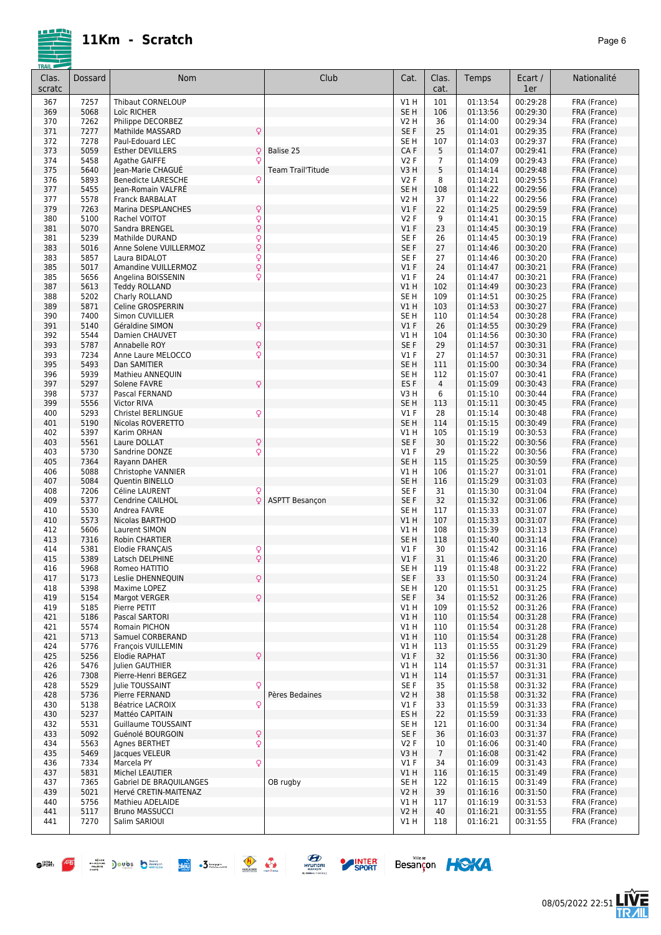

08/05/2022 22:51

**LIVE<br>TR***A***IL** 

Besançon HOKA

| 367<br>7257<br><b>Thibaut CORNELOUP</b><br>V1H<br>101<br>01:13:54<br>00:29:28<br>FRA (France)<br>00:29:30<br>369<br>5068<br>Loïc RICHER<br>SE <sub>H</sub><br>106<br>01:13:56<br>FRA (France)<br>00:29:34<br>370<br>7262<br>Philippe DECORBEZ<br>V2 H<br>36<br>01:14:00<br>FRA (France)<br>Q<br>371<br>7277<br>SE F<br>25<br>00:29:35<br>Mathilde MASSARD<br>01:14:01<br>FRA (France)<br>7278<br>00:29:37<br>372<br>SE H<br>107<br>01:14:03<br>Paul-Edouard LEC<br>FRA (France)<br>373<br>5059<br>CA F<br>5<br>00:29:41<br>Esther DEVILLERS<br>Q<br>Balise 25<br>01:14:07<br>FRA (France)<br>374<br>5458<br>Q<br>V2F<br>00:29:43<br>Agathe GAIFFE<br>$\overline{7}$<br>01:14:09<br>FRA (France)<br>375<br>5640<br>5<br>00:29:48<br>Jean-Marie CHAGUE<br><b>Team Trail'Titude</b><br>V3H<br>01:14:14<br>FRA (France)<br>5893<br>8<br>00:29:55<br>376<br><b>Benedicte LARESCHE</b><br>Q<br>V2F<br>01:14:21<br>FRA (France)<br>377<br>5455<br>SE <sub>H</sub><br>00:29:56<br>Jean-Romain VALFRÉ<br>108<br>01:14:22<br>FRA (France)<br>377<br>5578<br>00:29:56<br>Franck BARBALAT<br>V2 H<br>37<br>01:14:22<br>FRA (France)<br>379<br>$\mathsf{Q}$<br>22<br>00:29:59<br>7263<br>Marina DESPLANCHES<br>$VI$ F<br>01:14:25<br>FRA (France)<br>Q<br>380<br>5100<br>9<br>00:30:15<br>Rachel VOITOT<br>V2F<br>01:14:41<br>FRA (France)<br>$\hbox{\large\textsf{Q}}$<br>23<br>381<br>5070<br>Sandra BRENGEL<br>$VI$ F<br>01:14:45<br>00:30:19<br>FRA (France)<br>Q<br>SE F<br>381<br>5239<br>26<br>01:14:45<br>00:30:19<br>Mathilde DURAND<br>FRA (France)<br>$\hbox{\large\textsf{Q}}$<br>SE F<br>27<br>383<br>5016<br>Anne Solene VUILLERMOZ<br>01:14:46<br>00:30:20<br>FRA (France)<br>383<br>5857<br>Q<br>SE F<br>27<br>00:30:20<br>Laura BIDALOT<br>01:14:46<br>FRA (France)<br>Q<br>385<br>5017<br>$VI$ F<br>24<br>00:30:21<br>Amandine VUILLERMOZ<br>01:14:47<br>FRA (France)<br>385<br>5656<br>Q<br>00:30:21<br>Angelina BOISSENIN<br>$VI$ F<br>24<br>01:14:47<br>FRA (France)<br>00:30:23<br>387<br>5613<br><b>Teddy ROLLAND</b><br>V1 H<br>102<br>01:14:49<br>FRA (France)<br>5202<br>00:30:25<br>388<br>Charly ROLLAND<br>SE H<br>109<br>01:14:51<br>FRA (France)<br>5871<br>V1H<br>00:30:27<br>389<br>Celine GROSPERRIN<br>103<br>01:14:53<br>FRA (France)<br>7400<br>SE <sub>H</sub><br>01:14:54<br>00:30:28<br>390<br>Simon CUVILLIER<br>110<br>FRA (France)<br>391<br>26<br>5140<br>Géraldine SIMON<br>Q<br>$VI$ F<br>01:14:55<br>00:30:29<br>FRA (France)<br>392<br>5544<br>00:30:30<br>Damien CHAUVET<br>V1 H<br>104<br>01:14:56<br>FRA (France)<br>393<br>5787<br>Q<br>Annabelle ROY<br>SE F<br>29<br>01:14:57<br>00:30:31<br>FRA (France)<br>393<br>7234<br>Anne Laure MELOCCO<br>Q<br>$VI$ F<br>27<br>01:14:57<br>00:30:31<br>FRA (France)<br>395<br>5493<br>SE <sub>H</sub><br>Dan SAMITIER<br>111<br>01:15:00<br>00:30:34<br>FRA (France)<br>5939<br>396<br>SE H<br>112<br>01:15:07<br>00:30:41<br>Mathieu ANNEQUIN<br>FRA (France)<br>Q<br>397<br>5297<br>ES <sub>F</sub><br>$\overline{4}$<br>Solene FAVRE<br>01:15:09<br>00:30:43<br>FRA (France)<br>5737<br>00:30:44<br>398<br>Pascal FERNAND<br>V3H<br>6<br>01:15:10<br>FRA (France)<br>5556<br>SE <sub>H</sub><br>01:15:11<br>00:30:45<br>399<br><b>Victor RIVA</b><br>113<br>FRA (France)<br>5293<br>Q<br>28<br>01:15:14<br>00:30:48<br>400<br>Christel BERLINGUE<br>$VI$ F<br>FRA (France)<br>5190<br>SE <sub>H</sub><br>01:15:15<br>00:30:49<br>401<br>Nicolas ROVERETTO<br>114<br>FRA (France)<br>5397<br>01:15:19<br>00:30:53<br>402<br>Karim ORHAN<br>V1 H<br>105<br>FRA (France)<br>5561<br>Q<br>SE F<br>30<br>01:15:22<br>00:30:56<br>403<br>Laure DOLLAT<br>FRA (France)<br>5730<br>Q<br>29<br>00:30:56<br>403<br>Sandrine DONZE<br>$VI$ F<br>01:15:22<br>FRA (France)<br>405<br>7364<br>Rayann DAHER<br>SE <sub>H</sub><br>115<br>01:15:25<br>00:30:59<br>FRA (France)<br>406<br>5088<br>Christophe VANNIER<br>V1 H<br>106<br>01:15:27<br>00:31:01<br>FRA (France)<br>407<br>5084<br>Quentin BINELLO<br>SE H<br>01:15:29<br>00:31:03<br>116<br>FRA (France)<br>7206<br>31<br>408<br>SE F<br>01:15:30<br>00:31:04<br>Céline LAURENT<br>FRA (France)<br>Q<br>5377<br>Q<br>SE F<br>32<br>409<br><b>ASPTT Besançon</b><br>01:15:32<br>00:31:06<br>FRA (France)<br>Cendrine CAILHOL<br>5530<br>SE <sub>H</sub><br>410<br>Andrea FAVRE<br>117<br>01:15:33<br>00:31:07<br>FRA (France)<br>01:15:33<br>00:31:07<br>410<br>5573<br>V1 H<br>107<br>FRA (France)<br>Nicolas BARTHOD<br>5606<br>00:31:13<br>412<br>Laurent SIMON<br>V1 H<br>108<br>01:15:39<br>FRA (France)<br>SE <sub>H</sub><br>01:15:40<br>00:31:14<br>413<br>7316<br>Robin CHARTIER<br>FRA (France)<br>118<br>414<br>5381<br>$VI$ F<br>30<br>01:15:42<br>00:31:16<br>Elodie FRANÇAIS<br>Q<br>FRA (France)<br>Q<br>415<br>V1F<br>31<br>5389<br>Latsch DELPHINE<br>01:15:46<br>00:31:20<br>FRA (France)<br>5968<br>Romeo HATITIO<br>SE H<br>119<br>01:15:48<br>00:31:22<br>416<br>FRA (France)<br>Q<br>417<br>Leslie DHENNEQUIN<br>SE F<br>01:15:50<br>00:31:24<br>5173<br>33<br>FRA (France)<br>5398<br>Maxime LOPEZ<br>SE H<br>01:15:51<br>00:31:25<br>FRA (France)<br>418<br>120<br>5154<br>Q<br>SE F<br>34<br>01:15:52<br>00:31:26<br>419<br><b>Margot VERGER</b><br>FRA (France)<br>419<br>5185<br>V1 H<br>01:15:52<br>00:31:26<br>Pierre PETIT<br>109<br>FRA (France)<br>5186<br>421<br>Pascal SARTORI<br>V1H<br>110<br>01:15:54<br>00:31:28<br>FRA (France)<br>00:31:28<br>421<br>5574<br>Romain PICHON<br>V1 H<br>01:15:54<br>FRA (France)<br>110<br>00:31:28<br>421<br>5713<br>Samuel CORBERAND<br>V1H<br>110<br>01:15:54<br>FRA (France)<br>00:31:29<br>424<br>5776<br>François VUILLEMIN<br>V1 H<br>01:15:55<br>FRA (France)<br>113<br>00:31:30<br>425<br>5256<br>Elodie RAPHAT<br>Q<br>$VI$ F<br>32<br>01:15:56<br>FRA (France)<br>00:31:31<br>5476<br>V1 H<br>114<br>01:15:57<br>426<br>Julien GAUTHIER<br>FRA (France)<br>7308<br>00:31:31<br>426<br>Pierre-Henri BERGEZ<br>V1 H<br>114<br>01:15:57<br>FRA (France)<br>00:31:32<br>428<br>5529<br>Julie TOUSSAINT<br>Q<br>SE F<br>35<br>01:15:58<br>FRA (France)<br>5736<br>00:31:32<br>428<br>Pierre FERNAND<br>Pères Bedaines<br>V2 H<br>38<br>01:15:58<br>FRA (France)<br>430<br>5138<br>Q<br>$VI$ F<br>33<br>01:15:59<br>00:31:33<br>FRA (France)<br>Béatrice LACROIX<br>5237<br>ES H<br>22<br>00:31:33<br>430<br>Mattéo CAPITAIN<br>01:15:59<br>FRA (France)<br>5531<br>Guillaume TOUSSAINT<br>SE H<br>121<br>00:31:34<br>432<br>01:16:00<br>FRA (France)<br>$\mathsf{Q}$<br>5092<br>SE F<br>36<br>01:16:03<br>00:31:37<br>433<br>Guénolé BOURGOIN<br>FRA (France)<br>Q<br>434<br>5563<br>V2F<br>01:16:06<br>00:31:40<br>Agnes BERTHET<br>10<br>FRA (France)<br>5469<br>00:31:42<br>435<br>V3H<br>$\overline{7}$<br>01:16:08<br>FRA (France)<br>Jacques VELEUR<br>436<br>7334<br>Q<br>$VI$ F<br>34<br>01:16:09<br>00:31:43<br>FRA (France)<br>Marcela PY<br>437<br>5831<br>Michel LEAUTIER<br>V1 H<br>01:16:15<br>00:31:49<br>116<br>FRA (France)<br>OB rugby<br>00:31:49<br>437<br>7365<br>Gabriel DE BRAQUILANGES<br>SE <sub>H</sub><br>122<br>01:16:15<br>FRA (France)<br>5021<br>00:31:50<br>439<br>Hervé CRETIN-MAITENAZ<br>V2 H<br>39<br>01:16:16<br>FRA (France)<br>440<br>5756<br>Mathieu ADELAIDE<br>V1 H<br>01:16:19<br>00:31:53<br>FRA (France)<br>117<br>441<br>5117<br><b>Bruno MASSUCCI</b><br><b>V2 H</b><br>40<br>01:16:21<br>00:31:55<br>FRA (France)<br>441<br>7270<br>Salim SARIOUI<br>00:31:55<br>V1 H<br>118<br>01:16:21<br>FRA (France) | Clas.<br>scratc | Dossard | <b>Nom</b> | Club | Cat. | Clas.<br>cat. | Temps | Ecart /<br>1er | Nationalité |
|--------------------------------------------------------------------------------------------------------------------------------------------------------------------------------------------------------------------------------------------------------------------------------------------------------------------------------------------------------------------------------------------------------------------------------------------------------------------------------------------------------------------------------------------------------------------------------------------------------------------------------------------------------------------------------------------------------------------------------------------------------------------------------------------------------------------------------------------------------------------------------------------------------------------------------------------------------------------------------------------------------------------------------------------------------------------------------------------------------------------------------------------------------------------------------------------------------------------------------------------------------------------------------------------------------------------------------------------------------------------------------------------------------------------------------------------------------------------------------------------------------------------------------------------------------------------------------------------------------------------------------------------------------------------------------------------------------------------------------------------------------------------------------------------------------------------------------------------------------------------------------------------------------------------------------------------------------------------------------------------------------------------------------------------------------------------------------------------------------------------------------------------------------------------------------------------------------------------------------------------------------------------------------------------------------------------------------------------------------------------------------------------------------------------------------------------------------------------------------------------------------------------------------------------------------------------------------------------------------------------------------------------------------------------------------------------------------------------------------------------------------------------------------------------------------------------------------------------------------------------------------------------------------------------------------------------------------------------------------------------------------------------------------------------------------------------------------------------------------------------------------------------------------------------------------------------------------------------------------------------------------------------------------------------------------------------------------------------------------------------------------------------------------------------------------------------------------------------------------------------------------------------------------------------------------------------------------------------------------------------------------------------------------------------------------------------------------------------------------------------------------------------------------------------------------------------------------------------------------------------------------------------------------------------------------------------------------------------------------------------------------------------------------------------------------------------------------------------------------------------------------------------------------------------------------------------------------------------------------------------------------------------------------------------------------------------------------------------------------------------------------------------------------------------------------------------------------------------------------------------------------------------------------------------------------------------------------------------------------------------------------------------------------------------------------------------------------------------------------------------------------------------------------------------------------------------------------------------------------------------------------------------------------------------------------------------------------------------------------------------------------------------------------------------------------------------------------------------------------------------------------------------------------------------------------------------------------------------------------------------------------------------------------------------------------------------------------------------------------------------------------------------------------------------------------------------------------------------------------------------------------------------------------------------------------------------------------------------------------------------------------------------------------------------------------------------------------------------------------------------------------------------------------------------------------------------------------------------------------------------------------------------------------------------------------------------------------------------------------------------------------------------------------------------------------------------------------------------------------------------------------------------------------------------------------------------------------------------------------------------------------------------------------------------------------------------------------------------------------------------------------------------------------------------------------------------------------------------------------------------------------------------------------------------------------------------------------------------------------------------------------------------------------------------------------------------------------------------------------------------------------------------------------------------------------------------------------------------------------------------------------------------------------------------------------------------------------------------------------------------------------------------------------------------------------------------------------------------------------------------------------------------------------------------------------------------------------------------------------------------------------------------------------------------------------------------------------------------------------------------------------------------------------------------------------------------------------------------|-----------------|---------|------------|------|------|---------------|-------|----------------|-------------|
|                                                                                                                                                                                                                                                                                                                                                                                                                                                                                                                                                                                                                                                                                                                                                                                                                                                                                                                                                                                                                                                                                                                                                                                                                                                                                                                                                                                                                                                                                                                                                                                                                                                                                                                                                                                                                                                                                                                                                                                                                                                                                                                                                                                                                                                                                                                                                                                                                                                                                                                                                                                                                                                                                                                                                                                                                                                                                                                                                                                                                                                                                                                                                                                                                                                                                                                                                                                                                                                                                                                                                                                                                                                                                                                                                                                                                                                                                                                                                                                                                                                                                                                                                                                                                                                                                                                                                                                                                                                                                                                                                                                                                                                                                                                                                                                                                                                                                                                                                                                                                                                                                                                                                                                                                                                                                                                                                                                                                                                                                                                                                                                                                                                                                                                                                                                                                                                                                                                                                                                                                                                                                                                                                                                                                                                                                                                                                                                                                                                                                                                                                                                                                                                                                                                                                                                                                                                                                                                                                                                                                                                                                                                                                                                                                                                                                                                                                                                                                                                                    |                 |         |            |      |      |               |       |                |             |
|                                                                                                                                                                                                                                                                                                                                                                                                                                                                                                                                                                                                                                                                                                                                                                                                                                                                                                                                                                                                                                                                                                                                                                                                                                                                                                                                                                                                                                                                                                                                                                                                                                                                                                                                                                                                                                                                                                                                                                                                                                                                                                                                                                                                                                                                                                                                                                                                                                                                                                                                                                                                                                                                                                                                                                                                                                                                                                                                                                                                                                                                                                                                                                                                                                                                                                                                                                                                                                                                                                                                                                                                                                                                                                                                                                                                                                                                                                                                                                                                                                                                                                                                                                                                                                                                                                                                                                                                                                                                                                                                                                                                                                                                                                                                                                                                                                                                                                                                                                                                                                                                                                                                                                                                                                                                                                                                                                                                                                                                                                                                                                                                                                                                                                                                                                                                                                                                                                                                                                                                                                                                                                                                                                                                                                                                                                                                                                                                                                                                                                                                                                                                                                                                                                                                                                                                                                                                                                                                                                                                                                                                                                                                                                                                                                                                                                                                                                                                                                                                    |                 |         |            |      |      |               |       |                |             |
|                                                                                                                                                                                                                                                                                                                                                                                                                                                                                                                                                                                                                                                                                                                                                                                                                                                                                                                                                                                                                                                                                                                                                                                                                                                                                                                                                                                                                                                                                                                                                                                                                                                                                                                                                                                                                                                                                                                                                                                                                                                                                                                                                                                                                                                                                                                                                                                                                                                                                                                                                                                                                                                                                                                                                                                                                                                                                                                                                                                                                                                                                                                                                                                                                                                                                                                                                                                                                                                                                                                                                                                                                                                                                                                                                                                                                                                                                                                                                                                                                                                                                                                                                                                                                                                                                                                                                                                                                                                                                                                                                                                                                                                                                                                                                                                                                                                                                                                                                                                                                                                                                                                                                                                                                                                                                                                                                                                                                                                                                                                                                                                                                                                                                                                                                                                                                                                                                                                                                                                                                                                                                                                                                                                                                                                                                                                                                                                                                                                                                                                                                                                                                                                                                                                                                                                                                                                                                                                                                                                                                                                                                                                                                                                                                                                                                                                                                                                                                                                                    |                 |         |            |      |      |               |       |                |             |
|                                                                                                                                                                                                                                                                                                                                                                                                                                                                                                                                                                                                                                                                                                                                                                                                                                                                                                                                                                                                                                                                                                                                                                                                                                                                                                                                                                                                                                                                                                                                                                                                                                                                                                                                                                                                                                                                                                                                                                                                                                                                                                                                                                                                                                                                                                                                                                                                                                                                                                                                                                                                                                                                                                                                                                                                                                                                                                                                                                                                                                                                                                                                                                                                                                                                                                                                                                                                                                                                                                                                                                                                                                                                                                                                                                                                                                                                                                                                                                                                                                                                                                                                                                                                                                                                                                                                                                                                                                                                                                                                                                                                                                                                                                                                                                                                                                                                                                                                                                                                                                                                                                                                                                                                                                                                                                                                                                                                                                                                                                                                                                                                                                                                                                                                                                                                                                                                                                                                                                                                                                                                                                                                                                                                                                                                                                                                                                                                                                                                                                                                                                                                                                                                                                                                                                                                                                                                                                                                                                                                                                                                                                                                                                                                                                                                                                                                                                                                                                                                    |                 |         |            |      |      |               |       |                |             |
|                                                                                                                                                                                                                                                                                                                                                                                                                                                                                                                                                                                                                                                                                                                                                                                                                                                                                                                                                                                                                                                                                                                                                                                                                                                                                                                                                                                                                                                                                                                                                                                                                                                                                                                                                                                                                                                                                                                                                                                                                                                                                                                                                                                                                                                                                                                                                                                                                                                                                                                                                                                                                                                                                                                                                                                                                                                                                                                                                                                                                                                                                                                                                                                                                                                                                                                                                                                                                                                                                                                                                                                                                                                                                                                                                                                                                                                                                                                                                                                                                                                                                                                                                                                                                                                                                                                                                                                                                                                                                                                                                                                                                                                                                                                                                                                                                                                                                                                                                                                                                                                                                                                                                                                                                                                                                                                                                                                                                                                                                                                                                                                                                                                                                                                                                                                                                                                                                                                                                                                                                                                                                                                                                                                                                                                                                                                                                                                                                                                                                                                                                                                                                                                                                                                                                                                                                                                                                                                                                                                                                                                                                                                                                                                                                                                                                                                                                                                                                                                                    |                 |         |            |      |      |               |       |                |             |
|                                                                                                                                                                                                                                                                                                                                                                                                                                                                                                                                                                                                                                                                                                                                                                                                                                                                                                                                                                                                                                                                                                                                                                                                                                                                                                                                                                                                                                                                                                                                                                                                                                                                                                                                                                                                                                                                                                                                                                                                                                                                                                                                                                                                                                                                                                                                                                                                                                                                                                                                                                                                                                                                                                                                                                                                                                                                                                                                                                                                                                                                                                                                                                                                                                                                                                                                                                                                                                                                                                                                                                                                                                                                                                                                                                                                                                                                                                                                                                                                                                                                                                                                                                                                                                                                                                                                                                                                                                                                                                                                                                                                                                                                                                                                                                                                                                                                                                                                                                                                                                                                                                                                                                                                                                                                                                                                                                                                                                                                                                                                                                                                                                                                                                                                                                                                                                                                                                                                                                                                                                                                                                                                                                                                                                                                                                                                                                                                                                                                                                                                                                                                                                                                                                                                                                                                                                                                                                                                                                                                                                                                                                                                                                                                                                                                                                                                                                                                                                                                    |                 |         |            |      |      |               |       |                |             |
|                                                                                                                                                                                                                                                                                                                                                                                                                                                                                                                                                                                                                                                                                                                                                                                                                                                                                                                                                                                                                                                                                                                                                                                                                                                                                                                                                                                                                                                                                                                                                                                                                                                                                                                                                                                                                                                                                                                                                                                                                                                                                                                                                                                                                                                                                                                                                                                                                                                                                                                                                                                                                                                                                                                                                                                                                                                                                                                                                                                                                                                                                                                                                                                                                                                                                                                                                                                                                                                                                                                                                                                                                                                                                                                                                                                                                                                                                                                                                                                                                                                                                                                                                                                                                                                                                                                                                                                                                                                                                                                                                                                                                                                                                                                                                                                                                                                                                                                                                                                                                                                                                                                                                                                                                                                                                                                                                                                                                                                                                                                                                                                                                                                                                                                                                                                                                                                                                                                                                                                                                                                                                                                                                                                                                                                                                                                                                                                                                                                                                                                                                                                                                                                                                                                                                                                                                                                                                                                                                                                                                                                                                                                                                                                                                                                                                                                                                                                                                                                                    |                 |         |            |      |      |               |       |                |             |
|                                                                                                                                                                                                                                                                                                                                                                                                                                                                                                                                                                                                                                                                                                                                                                                                                                                                                                                                                                                                                                                                                                                                                                                                                                                                                                                                                                                                                                                                                                                                                                                                                                                                                                                                                                                                                                                                                                                                                                                                                                                                                                                                                                                                                                                                                                                                                                                                                                                                                                                                                                                                                                                                                                                                                                                                                                                                                                                                                                                                                                                                                                                                                                                                                                                                                                                                                                                                                                                                                                                                                                                                                                                                                                                                                                                                                                                                                                                                                                                                                                                                                                                                                                                                                                                                                                                                                                                                                                                                                                                                                                                                                                                                                                                                                                                                                                                                                                                                                                                                                                                                                                                                                                                                                                                                                                                                                                                                                                                                                                                                                                                                                                                                                                                                                                                                                                                                                                                                                                                                                                                                                                                                                                                                                                                                                                                                                                                                                                                                                                                                                                                                                                                                                                                                                                                                                                                                                                                                                                                                                                                                                                                                                                                                                                                                                                                                                                                                                                                                    |                 |         |            |      |      |               |       |                |             |
|                                                                                                                                                                                                                                                                                                                                                                                                                                                                                                                                                                                                                                                                                                                                                                                                                                                                                                                                                                                                                                                                                                                                                                                                                                                                                                                                                                                                                                                                                                                                                                                                                                                                                                                                                                                                                                                                                                                                                                                                                                                                                                                                                                                                                                                                                                                                                                                                                                                                                                                                                                                                                                                                                                                                                                                                                                                                                                                                                                                                                                                                                                                                                                                                                                                                                                                                                                                                                                                                                                                                                                                                                                                                                                                                                                                                                                                                                                                                                                                                                                                                                                                                                                                                                                                                                                                                                                                                                                                                                                                                                                                                                                                                                                                                                                                                                                                                                                                                                                                                                                                                                                                                                                                                                                                                                                                                                                                                                                                                                                                                                                                                                                                                                                                                                                                                                                                                                                                                                                                                                                                                                                                                                                                                                                                                                                                                                                                                                                                                                                                                                                                                                                                                                                                                                                                                                                                                                                                                                                                                                                                                                                                                                                                                                                                                                                                                                                                                                                                                    |                 |         |            |      |      |               |       |                |             |
|                                                                                                                                                                                                                                                                                                                                                                                                                                                                                                                                                                                                                                                                                                                                                                                                                                                                                                                                                                                                                                                                                                                                                                                                                                                                                                                                                                                                                                                                                                                                                                                                                                                                                                                                                                                                                                                                                                                                                                                                                                                                                                                                                                                                                                                                                                                                                                                                                                                                                                                                                                                                                                                                                                                                                                                                                                                                                                                                                                                                                                                                                                                                                                                                                                                                                                                                                                                                                                                                                                                                                                                                                                                                                                                                                                                                                                                                                                                                                                                                                                                                                                                                                                                                                                                                                                                                                                                                                                                                                                                                                                                                                                                                                                                                                                                                                                                                                                                                                                                                                                                                                                                                                                                                                                                                                                                                                                                                                                                                                                                                                                                                                                                                                                                                                                                                                                                                                                                                                                                                                                                                                                                                                                                                                                                                                                                                                                                                                                                                                                                                                                                                                                                                                                                                                                                                                                                                                                                                                                                                                                                                                                                                                                                                                                                                                                                                                                                                                                                                    |                 |         |            |      |      |               |       |                |             |
|                                                                                                                                                                                                                                                                                                                                                                                                                                                                                                                                                                                                                                                                                                                                                                                                                                                                                                                                                                                                                                                                                                                                                                                                                                                                                                                                                                                                                                                                                                                                                                                                                                                                                                                                                                                                                                                                                                                                                                                                                                                                                                                                                                                                                                                                                                                                                                                                                                                                                                                                                                                                                                                                                                                                                                                                                                                                                                                                                                                                                                                                                                                                                                                                                                                                                                                                                                                                                                                                                                                                                                                                                                                                                                                                                                                                                                                                                                                                                                                                                                                                                                                                                                                                                                                                                                                                                                                                                                                                                                                                                                                                                                                                                                                                                                                                                                                                                                                                                                                                                                                                                                                                                                                                                                                                                                                                                                                                                                                                                                                                                                                                                                                                                                                                                                                                                                                                                                                                                                                                                                                                                                                                                                                                                                                                                                                                                                                                                                                                                                                                                                                                                                                                                                                                                                                                                                                                                                                                                                                                                                                                                                                                                                                                                                                                                                                                                                                                                                                                    |                 |         |            |      |      |               |       |                |             |
|                                                                                                                                                                                                                                                                                                                                                                                                                                                                                                                                                                                                                                                                                                                                                                                                                                                                                                                                                                                                                                                                                                                                                                                                                                                                                                                                                                                                                                                                                                                                                                                                                                                                                                                                                                                                                                                                                                                                                                                                                                                                                                                                                                                                                                                                                                                                                                                                                                                                                                                                                                                                                                                                                                                                                                                                                                                                                                                                                                                                                                                                                                                                                                                                                                                                                                                                                                                                                                                                                                                                                                                                                                                                                                                                                                                                                                                                                                                                                                                                                                                                                                                                                                                                                                                                                                                                                                                                                                                                                                                                                                                                                                                                                                                                                                                                                                                                                                                                                                                                                                                                                                                                                                                                                                                                                                                                                                                                                                                                                                                                                                                                                                                                                                                                                                                                                                                                                                                                                                                                                                                                                                                                                                                                                                                                                                                                                                                                                                                                                                                                                                                                                                                                                                                                                                                                                                                                                                                                                                                                                                                                                                                                                                                                                                                                                                                                                                                                                                                                    |                 |         |            |      |      |               |       |                |             |
|                                                                                                                                                                                                                                                                                                                                                                                                                                                                                                                                                                                                                                                                                                                                                                                                                                                                                                                                                                                                                                                                                                                                                                                                                                                                                                                                                                                                                                                                                                                                                                                                                                                                                                                                                                                                                                                                                                                                                                                                                                                                                                                                                                                                                                                                                                                                                                                                                                                                                                                                                                                                                                                                                                                                                                                                                                                                                                                                                                                                                                                                                                                                                                                                                                                                                                                                                                                                                                                                                                                                                                                                                                                                                                                                                                                                                                                                                                                                                                                                                                                                                                                                                                                                                                                                                                                                                                                                                                                                                                                                                                                                                                                                                                                                                                                                                                                                                                                                                                                                                                                                                                                                                                                                                                                                                                                                                                                                                                                                                                                                                                                                                                                                                                                                                                                                                                                                                                                                                                                                                                                                                                                                                                                                                                                                                                                                                                                                                                                                                                                                                                                                                                                                                                                                                                                                                                                                                                                                                                                                                                                                                                                                                                                                                                                                                                                                                                                                                                                                    |                 |         |            |      |      |               |       |                |             |
|                                                                                                                                                                                                                                                                                                                                                                                                                                                                                                                                                                                                                                                                                                                                                                                                                                                                                                                                                                                                                                                                                                                                                                                                                                                                                                                                                                                                                                                                                                                                                                                                                                                                                                                                                                                                                                                                                                                                                                                                                                                                                                                                                                                                                                                                                                                                                                                                                                                                                                                                                                                                                                                                                                                                                                                                                                                                                                                                                                                                                                                                                                                                                                                                                                                                                                                                                                                                                                                                                                                                                                                                                                                                                                                                                                                                                                                                                                                                                                                                                                                                                                                                                                                                                                                                                                                                                                                                                                                                                                                                                                                                                                                                                                                                                                                                                                                                                                                                                                                                                                                                                                                                                                                                                                                                                                                                                                                                                                                                                                                                                                                                                                                                                                                                                                                                                                                                                                                                                                                                                                                                                                                                                                                                                                                                                                                                                                                                                                                                                                                                                                                                                                                                                                                                                                                                                                                                                                                                                                                                                                                                                                                                                                                                                                                                                                                                                                                                                                                                    |                 |         |            |      |      |               |       |                |             |
|                                                                                                                                                                                                                                                                                                                                                                                                                                                                                                                                                                                                                                                                                                                                                                                                                                                                                                                                                                                                                                                                                                                                                                                                                                                                                                                                                                                                                                                                                                                                                                                                                                                                                                                                                                                                                                                                                                                                                                                                                                                                                                                                                                                                                                                                                                                                                                                                                                                                                                                                                                                                                                                                                                                                                                                                                                                                                                                                                                                                                                                                                                                                                                                                                                                                                                                                                                                                                                                                                                                                                                                                                                                                                                                                                                                                                                                                                                                                                                                                                                                                                                                                                                                                                                                                                                                                                                                                                                                                                                                                                                                                                                                                                                                                                                                                                                                                                                                                                                                                                                                                                                                                                                                                                                                                                                                                                                                                                                                                                                                                                                                                                                                                                                                                                                                                                                                                                                                                                                                                                                                                                                                                                                                                                                                                                                                                                                                                                                                                                                                                                                                                                                                                                                                                                                                                                                                                                                                                                                                                                                                                                                                                                                                                                                                                                                                                                                                                                                                                    |                 |         |            |      |      |               |       |                |             |
|                                                                                                                                                                                                                                                                                                                                                                                                                                                                                                                                                                                                                                                                                                                                                                                                                                                                                                                                                                                                                                                                                                                                                                                                                                                                                                                                                                                                                                                                                                                                                                                                                                                                                                                                                                                                                                                                                                                                                                                                                                                                                                                                                                                                                                                                                                                                                                                                                                                                                                                                                                                                                                                                                                                                                                                                                                                                                                                                                                                                                                                                                                                                                                                                                                                                                                                                                                                                                                                                                                                                                                                                                                                                                                                                                                                                                                                                                                                                                                                                                                                                                                                                                                                                                                                                                                                                                                                                                                                                                                                                                                                                                                                                                                                                                                                                                                                                                                                                                                                                                                                                                                                                                                                                                                                                                                                                                                                                                                                                                                                                                                                                                                                                                                                                                                                                                                                                                                                                                                                                                                                                                                                                                                                                                                                                                                                                                                                                                                                                                                                                                                                                                                                                                                                                                                                                                                                                                                                                                                                                                                                                                                                                                                                                                                                                                                                                                                                                                                                                    |                 |         |            |      |      |               |       |                |             |
|                                                                                                                                                                                                                                                                                                                                                                                                                                                                                                                                                                                                                                                                                                                                                                                                                                                                                                                                                                                                                                                                                                                                                                                                                                                                                                                                                                                                                                                                                                                                                                                                                                                                                                                                                                                                                                                                                                                                                                                                                                                                                                                                                                                                                                                                                                                                                                                                                                                                                                                                                                                                                                                                                                                                                                                                                                                                                                                                                                                                                                                                                                                                                                                                                                                                                                                                                                                                                                                                                                                                                                                                                                                                                                                                                                                                                                                                                                                                                                                                                                                                                                                                                                                                                                                                                                                                                                                                                                                                                                                                                                                                                                                                                                                                                                                                                                                                                                                                                                                                                                                                                                                                                                                                                                                                                                                                                                                                                                                                                                                                                                                                                                                                                                                                                                                                                                                                                                                                                                                                                                                                                                                                                                                                                                                                                                                                                                                                                                                                                                                                                                                                                                                                                                                                                                                                                                                                                                                                                                                                                                                                                                                                                                                                                                                                                                                                                                                                                                                                    |                 |         |            |      |      |               |       |                |             |
|                                                                                                                                                                                                                                                                                                                                                                                                                                                                                                                                                                                                                                                                                                                                                                                                                                                                                                                                                                                                                                                                                                                                                                                                                                                                                                                                                                                                                                                                                                                                                                                                                                                                                                                                                                                                                                                                                                                                                                                                                                                                                                                                                                                                                                                                                                                                                                                                                                                                                                                                                                                                                                                                                                                                                                                                                                                                                                                                                                                                                                                                                                                                                                                                                                                                                                                                                                                                                                                                                                                                                                                                                                                                                                                                                                                                                                                                                                                                                                                                                                                                                                                                                                                                                                                                                                                                                                                                                                                                                                                                                                                                                                                                                                                                                                                                                                                                                                                                                                                                                                                                                                                                                                                                                                                                                                                                                                                                                                                                                                                                                                                                                                                                                                                                                                                                                                                                                                                                                                                                                                                                                                                                                                                                                                                                                                                                                                                                                                                                                                                                                                                                                                                                                                                                                                                                                                                                                                                                                                                                                                                                                                                                                                                                                                                                                                                                                                                                                                                                    |                 |         |            |      |      |               |       |                |             |
|                                                                                                                                                                                                                                                                                                                                                                                                                                                                                                                                                                                                                                                                                                                                                                                                                                                                                                                                                                                                                                                                                                                                                                                                                                                                                                                                                                                                                                                                                                                                                                                                                                                                                                                                                                                                                                                                                                                                                                                                                                                                                                                                                                                                                                                                                                                                                                                                                                                                                                                                                                                                                                                                                                                                                                                                                                                                                                                                                                                                                                                                                                                                                                                                                                                                                                                                                                                                                                                                                                                                                                                                                                                                                                                                                                                                                                                                                                                                                                                                                                                                                                                                                                                                                                                                                                                                                                                                                                                                                                                                                                                                                                                                                                                                                                                                                                                                                                                                                                                                                                                                                                                                                                                                                                                                                                                                                                                                                                                                                                                                                                                                                                                                                                                                                                                                                                                                                                                                                                                                                                                                                                                                                                                                                                                                                                                                                                                                                                                                                                                                                                                                                                                                                                                                                                                                                                                                                                                                                                                                                                                                                                                                                                                                                                                                                                                                                                                                                                                                    |                 |         |            |      |      |               |       |                |             |
|                                                                                                                                                                                                                                                                                                                                                                                                                                                                                                                                                                                                                                                                                                                                                                                                                                                                                                                                                                                                                                                                                                                                                                                                                                                                                                                                                                                                                                                                                                                                                                                                                                                                                                                                                                                                                                                                                                                                                                                                                                                                                                                                                                                                                                                                                                                                                                                                                                                                                                                                                                                                                                                                                                                                                                                                                                                                                                                                                                                                                                                                                                                                                                                                                                                                                                                                                                                                                                                                                                                                                                                                                                                                                                                                                                                                                                                                                                                                                                                                                                                                                                                                                                                                                                                                                                                                                                                                                                                                                                                                                                                                                                                                                                                                                                                                                                                                                                                                                                                                                                                                                                                                                                                                                                                                                                                                                                                                                                                                                                                                                                                                                                                                                                                                                                                                                                                                                                                                                                                                                                                                                                                                                                                                                                                                                                                                                                                                                                                                                                                                                                                                                                                                                                                                                                                                                                                                                                                                                                                                                                                                                                                                                                                                                                                                                                                                                                                                                                                                    |                 |         |            |      |      |               |       |                |             |
|                                                                                                                                                                                                                                                                                                                                                                                                                                                                                                                                                                                                                                                                                                                                                                                                                                                                                                                                                                                                                                                                                                                                                                                                                                                                                                                                                                                                                                                                                                                                                                                                                                                                                                                                                                                                                                                                                                                                                                                                                                                                                                                                                                                                                                                                                                                                                                                                                                                                                                                                                                                                                                                                                                                                                                                                                                                                                                                                                                                                                                                                                                                                                                                                                                                                                                                                                                                                                                                                                                                                                                                                                                                                                                                                                                                                                                                                                                                                                                                                                                                                                                                                                                                                                                                                                                                                                                                                                                                                                                                                                                                                                                                                                                                                                                                                                                                                                                                                                                                                                                                                                                                                                                                                                                                                                                                                                                                                                                                                                                                                                                                                                                                                                                                                                                                                                                                                                                                                                                                                                                                                                                                                                                                                                                                                                                                                                                                                                                                                                                                                                                                                                                                                                                                                                                                                                                                                                                                                                                                                                                                                                                                                                                                                                                                                                                                                                                                                                                                                    |                 |         |            |      |      |               |       |                |             |
|                                                                                                                                                                                                                                                                                                                                                                                                                                                                                                                                                                                                                                                                                                                                                                                                                                                                                                                                                                                                                                                                                                                                                                                                                                                                                                                                                                                                                                                                                                                                                                                                                                                                                                                                                                                                                                                                                                                                                                                                                                                                                                                                                                                                                                                                                                                                                                                                                                                                                                                                                                                                                                                                                                                                                                                                                                                                                                                                                                                                                                                                                                                                                                                                                                                                                                                                                                                                                                                                                                                                                                                                                                                                                                                                                                                                                                                                                                                                                                                                                                                                                                                                                                                                                                                                                                                                                                                                                                                                                                                                                                                                                                                                                                                                                                                                                                                                                                                                                                                                                                                                                                                                                                                                                                                                                                                                                                                                                                                                                                                                                                                                                                                                                                                                                                                                                                                                                                                                                                                                                                                                                                                                                                                                                                                                                                                                                                                                                                                                                                                                                                                                                                                                                                                                                                                                                                                                                                                                                                                                                                                                                                                                                                                                                                                                                                                                                                                                                                                                    |                 |         |            |      |      |               |       |                |             |
|                                                                                                                                                                                                                                                                                                                                                                                                                                                                                                                                                                                                                                                                                                                                                                                                                                                                                                                                                                                                                                                                                                                                                                                                                                                                                                                                                                                                                                                                                                                                                                                                                                                                                                                                                                                                                                                                                                                                                                                                                                                                                                                                                                                                                                                                                                                                                                                                                                                                                                                                                                                                                                                                                                                                                                                                                                                                                                                                                                                                                                                                                                                                                                                                                                                                                                                                                                                                                                                                                                                                                                                                                                                                                                                                                                                                                                                                                                                                                                                                                                                                                                                                                                                                                                                                                                                                                                                                                                                                                                                                                                                                                                                                                                                                                                                                                                                                                                                                                                                                                                                                                                                                                                                                                                                                                                                                                                                                                                                                                                                                                                                                                                                                                                                                                                                                                                                                                                                                                                                                                                                                                                                                                                                                                                                                                                                                                                                                                                                                                                                                                                                                                                                                                                                                                                                                                                                                                                                                                                                                                                                                                                                                                                                                                                                                                                                                                                                                                                                                    |                 |         |            |      |      |               |       |                |             |
|                                                                                                                                                                                                                                                                                                                                                                                                                                                                                                                                                                                                                                                                                                                                                                                                                                                                                                                                                                                                                                                                                                                                                                                                                                                                                                                                                                                                                                                                                                                                                                                                                                                                                                                                                                                                                                                                                                                                                                                                                                                                                                                                                                                                                                                                                                                                                                                                                                                                                                                                                                                                                                                                                                                                                                                                                                                                                                                                                                                                                                                                                                                                                                                                                                                                                                                                                                                                                                                                                                                                                                                                                                                                                                                                                                                                                                                                                                                                                                                                                                                                                                                                                                                                                                                                                                                                                                                                                                                                                                                                                                                                                                                                                                                                                                                                                                                                                                                                                                                                                                                                                                                                                                                                                                                                                                                                                                                                                                                                                                                                                                                                                                                                                                                                                                                                                                                                                                                                                                                                                                                                                                                                                                                                                                                                                                                                                                                                                                                                                                                                                                                                                                                                                                                                                                                                                                                                                                                                                                                                                                                                                                                                                                                                                                                                                                                                                                                                                                                                    |                 |         |            |      |      |               |       |                |             |
|                                                                                                                                                                                                                                                                                                                                                                                                                                                                                                                                                                                                                                                                                                                                                                                                                                                                                                                                                                                                                                                                                                                                                                                                                                                                                                                                                                                                                                                                                                                                                                                                                                                                                                                                                                                                                                                                                                                                                                                                                                                                                                                                                                                                                                                                                                                                                                                                                                                                                                                                                                                                                                                                                                                                                                                                                                                                                                                                                                                                                                                                                                                                                                                                                                                                                                                                                                                                                                                                                                                                                                                                                                                                                                                                                                                                                                                                                                                                                                                                                                                                                                                                                                                                                                                                                                                                                                                                                                                                                                                                                                                                                                                                                                                                                                                                                                                                                                                                                                                                                                                                                                                                                                                                                                                                                                                                                                                                                                                                                                                                                                                                                                                                                                                                                                                                                                                                                                                                                                                                                                                                                                                                                                                                                                                                                                                                                                                                                                                                                                                                                                                                                                                                                                                                                                                                                                                                                                                                                                                                                                                                                                                                                                                                                                                                                                                                                                                                                                                                    |                 |         |            |      |      |               |       |                |             |
|                                                                                                                                                                                                                                                                                                                                                                                                                                                                                                                                                                                                                                                                                                                                                                                                                                                                                                                                                                                                                                                                                                                                                                                                                                                                                                                                                                                                                                                                                                                                                                                                                                                                                                                                                                                                                                                                                                                                                                                                                                                                                                                                                                                                                                                                                                                                                                                                                                                                                                                                                                                                                                                                                                                                                                                                                                                                                                                                                                                                                                                                                                                                                                                                                                                                                                                                                                                                                                                                                                                                                                                                                                                                                                                                                                                                                                                                                                                                                                                                                                                                                                                                                                                                                                                                                                                                                                                                                                                                                                                                                                                                                                                                                                                                                                                                                                                                                                                                                                                                                                                                                                                                                                                                                                                                                                                                                                                                                                                                                                                                                                                                                                                                                                                                                                                                                                                                                                                                                                                                                                                                                                                                                                                                                                                                                                                                                                                                                                                                                                                                                                                                                                                                                                                                                                                                                                                                                                                                                                                                                                                                                                                                                                                                                                                                                                                                                                                                                                                                    |                 |         |            |      |      |               |       |                |             |
|                                                                                                                                                                                                                                                                                                                                                                                                                                                                                                                                                                                                                                                                                                                                                                                                                                                                                                                                                                                                                                                                                                                                                                                                                                                                                                                                                                                                                                                                                                                                                                                                                                                                                                                                                                                                                                                                                                                                                                                                                                                                                                                                                                                                                                                                                                                                                                                                                                                                                                                                                                                                                                                                                                                                                                                                                                                                                                                                                                                                                                                                                                                                                                                                                                                                                                                                                                                                                                                                                                                                                                                                                                                                                                                                                                                                                                                                                                                                                                                                                                                                                                                                                                                                                                                                                                                                                                                                                                                                                                                                                                                                                                                                                                                                                                                                                                                                                                                                                                                                                                                                                                                                                                                                                                                                                                                                                                                                                                                                                                                                                                                                                                                                                                                                                                                                                                                                                                                                                                                                                                                                                                                                                                                                                                                                                                                                                                                                                                                                                                                                                                                                                                                                                                                                                                                                                                                                                                                                                                                                                                                                                                                                                                                                                                                                                                                                                                                                                                                                    |                 |         |            |      |      |               |       |                |             |
|                                                                                                                                                                                                                                                                                                                                                                                                                                                                                                                                                                                                                                                                                                                                                                                                                                                                                                                                                                                                                                                                                                                                                                                                                                                                                                                                                                                                                                                                                                                                                                                                                                                                                                                                                                                                                                                                                                                                                                                                                                                                                                                                                                                                                                                                                                                                                                                                                                                                                                                                                                                                                                                                                                                                                                                                                                                                                                                                                                                                                                                                                                                                                                                                                                                                                                                                                                                                                                                                                                                                                                                                                                                                                                                                                                                                                                                                                                                                                                                                                                                                                                                                                                                                                                                                                                                                                                                                                                                                                                                                                                                                                                                                                                                                                                                                                                                                                                                                                                                                                                                                                                                                                                                                                                                                                                                                                                                                                                                                                                                                                                                                                                                                                                                                                                                                                                                                                                                                                                                                                                                                                                                                                                                                                                                                                                                                                                                                                                                                                                                                                                                                                                                                                                                                                                                                                                                                                                                                                                                                                                                                                                                                                                                                                                                                                                                                                                                                                                                                    |                 |         |            |      |      |               |       |                |             |
|                                                                                                                                                                                                                                                                                                                                                                                                                                                                                                                                                                                                                                                                                                                                                                                                                                                                                                                                                                                                                                                                                                                                                                                                                                                                                                                                                                                                                                                                                                                                                                                                                                                                                                                                                                                                                                                                                                                                                                                                                                                                                                                                                                                                                                                                                                                                                                                                                                                                                                                                                                                                                                                                                                                                                                                                                                                                                                                                                                                                                                                                                                                                                                                                                                                                                                                                                                                                                                                                                                                                                                                                                                                                                                                                                                                                                                                                                                                                                                                                                                                                                                                                                                                                                                                                                                                                                                                                                                                                                                                                                                                                                                                                                                                                                                                                                                                                                                                                                                                                                                                                                                                                                                                                                                                                                                                                                                                                                                                                                                                                                                                                                                                                                                                                                                                                                                                                                                                                                                                                                                                                                                                                                                                                                                                                                                                                                                                                                                                                                                                                                                                                                                                                                                                                                                                                                                                                                                                                                                                                                                                                                                                                                                                                                                                                                                                                                                                                                                                                    |                 |         |            |      |      |               |       |                |             |
|                                                                                                                                                                                                                                                                                                                                                                                                                                                                                                                                                                                                                                                                                                                                                                                                                                                                                                                                                                                                                                                                                                                                                                                                                                                                                                                                                                                                                                                                                                                                                                                                                                                                                                                                                                                                                                                                                                                                                                                                                                                                                                                                                                                                                                                                                                                                                                                                                                                                                                                                                                                                                                                                                                                                                                                                                                                                                                                                                                                                                                                                                                                                                                                                                                                                                                                                                                                                                                                                                                                                                                                                                                                                                                                                                                                                                                                                                                                                                                                                                                                                                                                                                                                                                                                                                                                                                                                                                                                                                                                                                                                                                                                                                                                                                                                                                                                                                                                                                                                                                                                                                                                                                                                                                                                                                                                                                                                                                                                                                                                                                                                                                                                                                                                                                                                                                                                                                                                                                                                                                                                                                                                                                                                                                                                                                                                                                                                                                                                                                                                                                                                                                                                                                                                                                                                                                                                                                                                                                                                                                                                                                                                                                                                                                                                                                                                                                                                                                                                                    |                 |         |            |      |      |               |       |                |             |
|                                                                                                                                                                                                                                                                                                                                                                                                                                                                                                                                                                                                                                                                                                                                                                                                                                                                                                                                                                                                                                                                                                                                                                                                                                                                                                                                                                                                                                                                                                                                                                                                                                                                                                                                                                                                                                                                                                                                                                                                                                                                                                                                                                                                                                                                                                                                                                                                                                                                                                                                                                                                                                                                                                                                                                                                                                                                                                                                                                                                                                                                                                                                                                                                                                                                                                                                                                                                                                                                                                                                                                                                                                                                                                                                                                                                                                                                                                                                                                                                                                                                                                                                                                                                                                                                                                                                                                                                                                                                                                                                                                                                                                                                                                                                                                                                                                                                                                                                                                                                                                                                                                                                                                                                                                                                                                                                                                                                                                                                                                                                                                                                                                                                                                                                                                                                                                                                                                                                                                                                                                                                                                                                                                                                                                                                                                                                                                                                                                                                                                                                                                                                                                                                                                                                                                                                                                                                                                                                                                                                                                                                                                                                                                                                                                                                                                                                                                                                                                                                    |                 |         |            |      |      |               |       |                |             |
|                                                                                                                                                                                                                                                                                                                                                                                                                                                                                                                                                                                                                                                                                                                                                                                                                                                                                                                                                                                                                                                                                                                                                                                                                                                                                                                                                                                                                                                                                                                                                                                                                                                                                                                                                                                                                                                                                                                                                                                                                                                                                                                                                                                                                                                                                                                                                                                                                                                                                                                                                                                                                                                                                                                                                                                                                                                                                                                                                                                                                                                                                                                                                                                                                                                                                                                                                                                                                                                                                                                                                                                                                                                                                                                                                                                                                                                                                                                                                                                                                                                                                                                                                                                                                                                                                                                                                                                                                                                                                                                                                                                                                                                                                                                                                                                                                                                                                                                                                                                                                                                                                                                                                                                                                                                                                                                                                                                                                                                                                                                                                                                                                                                                                                                                                                                                                                                                                                                                                                                                                                                                                                                                                                                                                                                                                                                                                                                                                                                                                                                                                                                                                                                                                                                                                                                                                                                                                                                                                                                                                                                                                                                                                                                                                                                                                                                                                                                                                                                                    |                 |         |            |      |      |               |       |                |             |
|                                                                                                                                                                                                                                                                                                                                                                                                                                                                                                                                                                                                                                                                                                                                                                                                                                                                                                                                                                                                                                                                                                                                                                                                                                                                                                                                                                                                                                                                                                                                                                                                                                                                                                                                                                                                                                                                                                                                                                                                                                                                                                                                                                                                                                                                                                                                                                                                                                                                                                                                                                                                                                                                                                                                                                                                                                                                                                                                                                                                                                                                                                                                                                                                                                                                                                                                                                                                                                                                                                                                                                                                                                                                                                                                                                                                                                                                                                                                                                                                                                                                                                                                                                                                                                                                                                                                                                                                                                                                                                                                                                                                                                                                                                                                                                                                                                                                                                                                                                                                                                                                                                                                                                                                                                                                                                                                                                                                                                                                                                                                                                                                                                                                                                                                                                                                                                                                                                                                                                                                                                                                                                                                                                                                                                                                                                                                                                                                                                                                                                                                                                                                                                                                                                                                                                                                                                                                                                                                                                                                                                                                                                                                                                                                                                                                                                                                                                                                                                                                    |                 |         |            |      |      |               |       |                |             |
|                                                                                                                                                                                                                                                                                                                                                                                                                                                                                                                                                                                                                                                                                                                                                                                                                                                                                                                                                                                                                                                                                                                                                                                                                                                                                                                                                                                                                                                                                                                                                                                                                                                                                                                                                                                                                                                                                                                                                                                                                                                                                                                                                                                                                                                                                                                                                                                                                                                                                                                                                                                                                                                                                                                                                                                                                                                                                                                                                                                                                                                                                                                                                                                                                                                                                                                                                                                                                                                                                                                                                                                                                                                                                                                                                                                                                                                                                                                                                                                                                                                                                                                                                                                                                                                                                                                                                                                                                                                                                                                                                                                                                                                                                                                                                                                                                                                                                                                                                                                                                                                                                                                                                                                                                                                                                                                                                                                                                                                                                                                                                                                                                                                                                                                                                                                                                                                                                                                                                                                                                                                                                                                                                                                                                                                                                                                                                                                                                                                                                                                                                                                                                                                                                                                                                                                                                                                                                                                                                                                                                                                                                                                                                                                                                                                                                                                                                                                                                                                                    |                 |         |            |      |      |               |       |                |             |
|                                                                                                                                                                                                                                                                                                                                                                                                                                                                                                                                                                                                                                                                                                                                                                                                                                                                                                                                                                                                                                                                                                                                                                                                                                                                                                                                                                                                                                                                                                                                                                                                                                                                                                                                                                                                                                                                                                                                                                                                                                                                                                                                                                                                                                                                                                                                                                                                                                                                                                                                                                                                                                                                                                                                                                                                                                                                                                                                                                                                                                                                                                                                                                                                                                                                                                                                                                                                                                                                                                                                                                                                                                                                                                                                                                                                                                                                                                                                                                                                                                                                                                                                                                                                                                                                                                                                                                                                                                                                                                                                                                                                                                                                                                                                                                                                                                                                                                                                                                                                                                                                                                                                                                                                                                                                                                                                                                                                                                                                                                                                                                                                                                                                                                                                                                                                                                                                                                                                                                                                                                                                                                                                                                                                                                                                                                                                                                                                                                                                                                                                                                                                                                                                                                                                                                                                                                                                                                                                                                                                                                                                                                                                                                                                                                                                                                                                                                                                                                                                    |                 |         |            |      |      |               |       |                |             |
|                                                                                                                                                                                                                                                                                                                                                                                                                                                                                                                                                                                                                                                                                                                                                                                                                                                                                                                                                                                                                                                                                                                                                                                                                                                                                                                                                                                                                                                                                                                                                                                                                                                                                                                                                                                                                                                                                                                                                                                                                                                                                                                                                                                                                                                                                                                                                                                                                                                                                                                                                                                                                                                                                                                                                                                                                                                                                                                                                                                                                                                                                                                                                                                                                                                                                                                                                                                                                                                                                                                                                                                                                                                                                                                                                                                                                                                                                                                                                                                                                                                                                                                                                                                                                                                                                                                                                                                                                                                                                                                                                                                                                                                                                                                                                                                                                                                                                                                                                                                                                                                                                                                                                                                                                                                                                                                                                                                                                                                                                                                                                                                                                                                                                                                                                                                                                                                                                                                                                                                                                                                                                                                                                                                                                                                                                                                                                                                                                                                                                                                                                                                                                                                                                                                                                                                                                                                                                                                                                                                                                                                                                                                                                                                                                                                                                                                                                                                                                                                                    |                 |         |            |      |      |               |       |                |             |
|                                                                                                                                                                                                                                                                                                                                                                                                                                                                                                                                                                                                                                                                                                                                                                                                                                                                                                                                                                                                                                                                                                                                                                                                                                                                                                                                                                                                                                                                                                                                                                                                                                                                                                                                                                                                                                                                                                                                                                                                                                                                                                                                                                                                                                                                                                                                                                                                                                                                                                                                                                                                                                                                                                                                                                                                                                                                                                                                                                                                                                                                                                                                                                                                                                                                                                                                                                                                                                                                                                                                                                                                                                                                                                                                                                                                                                                                                                                                                                                                                                                                                                                                                                                                                                                                                                                                                                                                                                                                                                                                                                                                                                                                                                                                                                                                                                                                                                                                                                                                                                                                                                                                                                                                                                                                                                                                                                                                                                                                                                                                                                                                                                                                                                                                                                                                                                                                                                                                                                                                                                                                                                                                                                                                                                                                                                                                                                                                                                                                                                                                                                                                                                                                                                                                                                                                                                                                                                                                                                                                                                                                                                                                                                                                                                                                                                                                                                                                                                                                    |                 |         |            |      |      |               |       |                |             |
|                                                                                                                                                                                                                                                                                                                                                                                                                                                                                                                                                                                                                                                                                                                                                                                                                                                                                                                                                                                                                                                                                                                                                                                                                                                                                                                                                                                                                                                                                                                                                                                                                                                                                                                                                                                                                                                                                                                                                                                                                                                                                                                                                                                                                                                                                                                                                                                                                                                                                                                                                                                                                                                                                                                                                                                                                                                                                                                                                                                                                                                                                                                                                                                                                                                                                                                                                                                                                                                                                                                                                                                                                                                                                                                                                                                                                                                                                                                                                                                                                                                                                                                                                                                                                                                                                                                                                                                                                                                                                                                                                                                                                                                                                                                                                                                                                                                                                                                                                                                                                                                                                                                                                                                                                                                                                                                                                                                                                                                                                                                                                                                                                                                                                                                                                                                                                                                                                                                                                                                                                                                                                                                                                                                                                                                                                                                                                                                                                                                                                                                                                                                                                                                                                                                                                                                                                                                                                                                                                                                                                                                                                                                                                                                                                                                                                                                                                                                                                                                                    |                 |         |            |      |      |               |       |                |             |
|                                                                                                                                                                                                                                                                                                                                                                                                                                                                                                                                                                                                                                                                                                                                                                                                                                                                                                                                                                                                                                                                                                                                                                                                                                                                                                                                                                                                                                                                                                                                                                                                                                                                                                                                                                                                                                                                                                                                                                                                                                                                                                                                                                                                                                                                                                                                                                                                                                                                                                                                                                                                                                                                                                                                                                                                                                                                                                                                                                                                                                                                                                                                                                                                                                                                                                                                                                                                                                                                                                                                                                                                                                                                                                                                                                                                                                                                                                                                                                                                                                                                                                                                                                                                                                                                                                                                                                                                                                                                                                                                                                                                                                                                                                                                                                                                                                                                                                                                                                                                                                                                                                                                                                                                                                                                                                                                                                                                                                                                                                                                                                                                                                                                                                                                                                                                                                                                                                                                                                                                                                                                                                                                                                                                                                                                                                                                                                                                                                                                                                                                                                                                                                                                                                                                                                                                                                                                                                                                                                                                                                                                                                                                                                                                                                                                                                                                                                                                                                                                    |                 |         |            |      |      |               |       |                |             |
|                                                                                                                                                                                                                                                                                                                                                                                                                                                                                                                                                                                                                                                                                                                                                                                                                                                                                                                                                                                                                                                                                                                                                                                                                                                                                                                                                                                                                                                                                                                                                                                                                                                                                                                                                                                                                                                                                                                                                                                                                                                                                                                                                                                                                                                                                                                                                                                                                                                                                                                                                                                                                                                                                                                                                                                                                                                                                                                                                                                                                                                                                                                                                                                                                                                                                                                                                                                                                                                                                                                                                                                                                                                                                                                                                                                                                                                                                                                                                                                                                                                                                                                                                                                                                                                                                                                                                                                                                                                                                                                                                                                                                                                                                                                                                                                                                                                                                                                                                                                                                                                                                                                                                                                                                                                                                                                                                                                                                                                                                                                                                                                                                                                                                                                                                                                                                                                                                                                                                                                                                                                                                                                                                                                                                                                                                                                                                                                                                                                                                                                                                                                                                                                                                                                                                                                                                                                                                                                                                                                                                                                                                                                                                                                                                                                                                                                                                                                                                                                                    |                 |         |            |      |      |               |       |                |             |
|                                                                                                                                                                                                                                                                                                                                                                                                                                                                                                                                                                                                                                                                                                                                                                                                                                                                                                                                                                                                                                                                                                                                                                                                                                                                                                                                                                                                                                                                                                                                                                                                                                                                                                                                                                                                                                                                                                                                                                                                                                                                                                                                                                                                                                                                                                                                                                                                                                                                                                                                                                                                                                                                                                                                                                                                                                                                                                                                                                                                                                                                                                                                                                                                                                                                                                                                                                                                                                                                                                                                                                                                                                                                                                                                                                                                                                                                                                                                                                                                                                                                                                                                                                                                                                                                                                                                                                                                                                                                                                                                                                                                                                                                                                                                                                                                                                                                                                                                                                                                                                                                                                                                                                                                                                                                                                                                                                                                                                                                                                                                                                                                                                                                                                                                                                                                                                                                                                                                                                                                                                                                                                                                                                                                                                                                                                                                                                                                                                                                                                                                                                                                                                                                                                                                                                                                                                                                                                                                                                                                                                                                                                                                                                                                                                                                                                                                                                                                                                                                    |                 |         |            |      |      |               |       |                |             |
|                                                                                                                                                                                                                                                                                                                                                                                                                                                                                                                                                                                                                                                                                                                                                                                                                                                                                                                                                                                                                                                                                                                                                                                                                                                                                                                                                                                                                                                                                                                                                                                                                                                                                                                                                                                                                                                                                                                                                                                                                                                                                                                                                                                                                                                                                                                                                                                                                                                                                                                                                                                                                                                                                                                                                                                                                                                                                                                                                                                                                                                                                                                                                                                                                                                                                                                                                                                                                                                                                                                                                                                                                                                                                                                                                                                                                                                                                                                                                                                                                                                                                                                                                                                                                                                                                                                                                                                                                                                                                                                                                                                                                                                                                                                                                                                                                                                                                                                                                                                                                                                                                                                                                                                                                                                                                                                                                                                                                                                                                                                                                                                                                                                                                                                                                                                                                                                                                                                                                                                                                                                                                                                                                                                                                                                                                                                                                                                                                                                                                                                                                                                                                                                                                                                                                                                                                                                                                                                                                                                                                                                                                                                                                                                                                                                                                                                                                                                                                                                                    |                 |         |            |      |      |               |       |                |             |
|                                                                                                                                                                                                                                                                                                                                                                                                                                                                                                                                                                                                                                                                                                                                                                                                                                                                                                                                                                                                                                                                                                                                                                                                                                                                                                                                                                                                                                                                                                                                                                                                                                                                                                                                                                                                                                                                                                                                                                                                                                                                                                                                                                                                                                                                                                                                                                                                                                                                                                                                                                                                                                                                                                                                                                                                                                                                                                                                                                                                                                                                                                                                                                                                                                                                                                                                                                                                                                                                                                                                                                                                                                                                                                                                                                                                                                                                                                                                                                                                                                                                                                                                                                                                                                                                                                                                                                                                                                                                                                                                                                                                                                                                                                                                                                                                                                                                                                                                                                                                                                                                                                                                                                                                                                                                                                                                                                                                                                                                                                                                                                                                                                                                                                                                                                                                                                                                                                                                                                                                                                                                                                                                                                                                                                                                                                                                                                                                                                                                                                                                                                                                                                                                                                                                                                                                                                                                                                                                                                                                                                                                                                                                                                                                                                                                                                                                                                                                                                                                    |                 |         |            |      |      |               |       |                |             |
|                                                                                                                                                                                                                                                                                                                                                                                                                                                                                                                                                                                                                                                                                                                                                                                                                                                                                                                                                                                                                                                                                                                                                                                                                                                                                                                                                                                                                                                                                                                                                                                                                                                                                                                                                                                                                                                                                                                                                                                                                                                                                                                                                                                                                                                                                                                                                                                                                                                                                                                                                                                                                                                                                                                                                                                                                                                                                                                                                                                                                                                                                                                                                                                                                                                                                                                                                                                                                                                                                                                                                                                                                                                                                                                                                                                                                                                                                                                                                                                                                                                                                                                                                                                                                                                                                                                                                                                                                                                                                                                                                                                                                                                                                                                                                                                                                                                                                                                                                                                                                                                                                                                                                                                                                                                                                                                                                                                                                                                                                                                                                                                                                                                                                                                                                                                                                                                                                                                                                                                                                                                                                                                                                                                                                                                                                                                                                                                                                                                                                                                                                                                                                                                                                                                                                                                                                                                                                                                                                                                                                                                                                                                                                                                                                                                                                                                                                                                                                                                                    |                 |         |            |      |      |               |       |                |             |
|                                                                                                                                                                                                                                                                                                                                                                                                                                                                                                                                                                                                                                                                                                                                                                                                                                                                                                                                                                                                                                                                                                                                                                                                                                                                                                                                                                                                                                                                                                                                                                                                                                                                                                                                                                                                                                                                                                                                                                                                                                                                                                                                                                                                                                                                                                                                                                                                                                                                                                                                                                                                                                                                                                                                                                                                                                                                                                                                                                                                                                                                                                                                                                                                                                                                                                                                                                                                                                                                                                                                                                                                                                                                                                                                                                                                                                                                                                                                                                                                                                                                                                                                                                                                                                                                                                                                                                                                                                                                                                                                                                                                                                                                                                                                                                                                                                                                                                                                                                                                                                                                                                                                                                                                                                                                                                                                                                                                                                                                                                                                                                                                                                                                                                                                                                                                                                                                                                                                                                                                                                                                                                                                                                                                                                                                                                                                                                                                                                                                                                                                                                                                                                                                                                                                                                                                                                                                                                                                                                                                                                                                                                                                                                                                                                                                                                                                                                                                                                                                    |                 |         |            |      |      |               |       |                |             |
|                                                                                                                                                                                                                                                                                                                                                                                                                                                                                                                                                                                                                                                                                                                                                                                                                                                                                                                                                                                                                                                                                                                                                                                                                                                                                                                                                                                                                                                                                                                                                                                                                                                                                                                                                                                                                                                                                                                                                                                                                                                                                                                                                                                                                                                                                                                                                                                                                                                                                                                                                                                                                                                                                                                                                                                                                                                                                                                                                                                                                                                                                                                                                                                                                                                                                                                                                                                                                                                                                                                                                                                                                                                                                                                                                                                                                                                                                                                                                                                                                                                                                                                                                                                                                                                                                                                                                                                                                                                                                                                                                                                                                                                                                                                                                                                                                                                                                                                                                                                                                                                                                                                                                                                                                                                                                                                                                                                                                                                                                                                                                                                                                                                                                                                                                                                                                                                                                                                                                                                                                                                                                                                                                                                                                                                                                                                                                                                                                                                                                                                                                                                                                                                                                                                                                                                                                                                                                                                                                                                                                                                                                                                                                                                                                                                                                                                                                                                                                                                                    |                 |         |            |      |      |               |       |                |             |
|                                                                                                                                                                                                                                                                                                                                                                                                                                                                                                                                                                                                                                                                                                                                                                                                                                                                                                                                                                                                                                                                                                                                                                                                                                                                                                                                                                                                                                                                                                                                                                                                                                                                                                                                                                                                                                                                                                                                                                                                                                                                                                                                                                                                                                                                                                                                                                                                                                                                                                                                                                                                                                                                                                                                                                                                                                                                                                                                                                                                                                                                                                                                                                                                                                                                                                                                                                                                                                                                                                                                                                                                                                                                                                                                                                                                                                                                                                                                                                                                                                                                                                                                                                                                                                                                                                                                                                                                                                                                                                                                                                                                                                                                                                                                                                                                                                                                                                                                                                                                                                                                                                                                                                                                                                                                                                                                                                                                                                                                                                                                                                                                                                                                                                                                                                                                                                                                                                                                                                                                                                                                                                                                                                                                                                                                                                                                                                                                                                                                                                                                                                                                                                                                                                                                                                                                                                                                                                                                                                                                                                                                                                                                                                                                                                                                                                                                                                                                                                                                    |                 |         |            |      |      |               |       |                |             |
|                                                                                                                                                                                                                                                                                                                                                                                                                                                                                                                                                                                                                                                                                                                                                                                                                                                                                                                                                                                                                                                                                                                                                                                                                                                                                                                                                                                                                                                                                                                                                                                                                                                                                                                                                                                                                                                                                                                                                                                                                                                                                                                                                                                                                                                                                                                                                                                                                                                                                                                                                                                                                                                                                                                                                                                                                                                                                                                                                                                                                                                                                                                                                                                                                                                                                                                                                                                                                                                                                                                                                                                                                                                                                                                                                                                                                                                                                                                                                                                                                                                                                                                                                                                                                                                                                                                                                                                                                                                                                                                                                                                                                                                                                                                                                                                                                                                                                                                                                                                                                                                                                                                                                                                                                                                                                                                                                                                                                                                                                                                                                                                                                                                                                                                                                                                                                                                                                                                                                                                                                                                                                                                                                                                                                                                                                                                                                                                                                                                                                                                                                                                                                                                                                                                                                                                                                                                                                                                                                                                                                                                                                                                                                                                                                                                                                                                                                                                                                                                                    |                 |         |            |      |      |               |       |                |             |
|                                                                                                                                                                                                                                                                                                                                                                                                                                                                                                                                                                                                                                                                                                                                                                                                                                                                                                                                                                                                                                                                                                                                                                                                                                                                                                                                                                                                                                                                                                                                                                                                                                                                                                                                                                                                                                                                                                                                                                                                                                                                                                                                                                                                                                                                                                                                                                                                                                                                                                                                                                                                                                                                                                                                                                                                                                                                                                                                                                                                                                                                                                                                                                                                                                                                                                                                                                                                                                                                                                                                                                                                                                                                                                                                                                                                                                                                                                                                                                                                                                                                                                                                                                                                                                                                                                                                                                                                                                                                                                                                                                                                                                                                                                                                                                                                                                                                                                                                                                                                                                                                                                                                                                                                                                                                                                                                                                                                                                                                                                                                                                                                                                                                                                                                                                                                                                                                                                                                                                                                                                                                                                                                                                                                                                                                                                                                                                                                                                                                                                                                                                                                                                                                                                                                                                                                                                                                                                                                                                                                                                                                                                                                                                                                                                                                                                                                                                                                                                                                    |                 |         |            |      |      |               |       |                |             |
|                                                                                                                                                                                                                                                                                                                                                                                                                                                                                                                                                                                                                                                                                                                                                                                                                                                                                                                                                                                                                                                                                                                                                                                                                                                                                                                                                                                                                                                                                                                                                                                                                                                                                                                                                                                                                                                                                                                                                                                                                                                                                                                                                                                                                                                                                                                                                                                                                                                                                                                                                                                                                                                                                                                                                                                                                                                                                                                                                                                                                                                                                                                                                                                                                                                                                                                                                                                                                                                                                                                                                                                                                                                                                                                                                                                                                                                                                                                                                                                                                                                                                                                                                                                                                                                                                                                                                                                                                                                                                                                                                                                                                                                                                                                                                                                                                                                                                                                                                                                                                                                                                                                                                                                                                                                                                                                                                                                                                                                                                                                                                                                                                                                                                                                                                                                                                                                                                                                                                                                                                                                                                                                                                                                                                                                                                                                                                                                                                                                                                                                                                                                                                                                                                                                                                                                                                                                                                                                                                                                                                                                                                                                                                                                                                                                                                                                                                                                                                                                                    |                 |         |            |      |      |               |       |                |             |
|                                                                                                                                                                                                                                                                                                                                                                                                                                                                                                                                                                                                                                                                                                                                                                                                                                                                                                                                                                                                                                                                                                                                                                                                                                                                                                                                                                                                                                                                                                                                                                                                                                                                                                                                                                                                                                                                                                                                                                                                                                                                                                                                                                                                                                                                                                                                                                                                                                                                                                                                                                                                                                                                                                                                                                                                                                                                                                                                                                                                                                                                                                                                                                                                                                                                                                                                                                                                                                                                                                                                                                                                                                                                                                                                                                                                                                                                                                                                                                                                                                                                                                                                                                                                                                                                                                                                                                                                                                                                                                                                                                                                                                                                                                                                                                                                                                                                                                                                                                                                                                                                                                                                                                                                                                                                                                                                                                                                                                                                                                                                                                                                                                                                                                                                                                                                                                                                                                                                                                                                                                                                                                                                                                                                                                                                                                                                                                                                                                                                                                                                                                                                                                                                                                                                                                                                                                                                                                                                                                                                                                                                                                                                                                                                                                                                                                                                                                                                                                                                    |                 |         |            |      |      |               |       |                |             |
|                                                                                                                                                                                                                                                                                                                                                                                                                                                                                                                                                                                                                                                                                                                                                                                                                                                                                                                                                                                                                                                                                                                                                                                                                                                                                                                                                                                                                                                                                                                                                                                                                                                                                                                                                                                                                                                                                                                                                                                                                                                                                                                                                                                                                                                                                                                                                                                                                                                                                                                                                                                                                                                                                                                                                                                                                                                                                                                                                                                                                                                                                                                                                                                                                                                                                                                                                                                                                                                                                                                                                                                                                                                                                                                                                                                                                                                                                                                                                                                                                                                                                                                                                                                                                                                                                                                                                                                                                                                                                                                                                                                                                                                                                                                                                                                                                                                                                                                                                                                                                                                                                                                                                                                                                                                                                                                                                                                                                                                                                                                                                                                                                                                                                                                                                                                                                                                                                                                                                                                                                                                                                                                                                                                                                                                                                                                                                                                                                                                                                                                                                                                                                                                                                                                                                                                                                                                                                                                                                                                                                                                                                                                                                                                                                                                                                                                                                                                                                                                                    |                 |         |            |      |      |               |       |                |             |
|                                                                                                                                                                                                                                                                                                                                                                                                                                                                                                                                                                                                                                                                                                                                                                                                                                                                                                                                                                                                                                                                                                                                                                                                                                                                                                                                                                                                                                                                                                                                                                                                                                                                                                                                                                                                                                                                                                                                                                                                                                                                                                                                                                                                                                                                                                                                                                                                                                                                                                                                                                                                                                                                                                                                                                                                                                                                                                                                                                                                                                                                                                                                                                                                                                                                                                                                                                                                                                                                                                                                                                                                                                                                                                                                                                                                                                                                                                                                                                                                                                                                                                                                                                                                                                                                                                                                                                                                                                                                                                                                                                                                                                                                                                                                                                                                                                                                                                                                                                                                                                                                                                                                                                                                                                                                                                                                                                                                                                                                                                                                                                                                                                                                                                                                                                                                                                                                                                                                                                                                                                                                                                                                                                                                                                                                                                                                                                                                                                                                                                                                                                                                                                                                                                                                                                                                                                                                                                                                                                                                                                                                                                                                                                                                                                                                                                                                                                                                                                                                    |                 |         |            |      |      |               |       |                |             |
|                                                                                                                                                                                                                                                                                                                                                                                                                                                                                                                                                                                                                                                                                                                                                                                                                                                                                                                                                                                                                                                                                                                                                                                                                                                                                                                                                                                                                                                                                                                                                                                                                                                                                                                                                                                                                                                                                                                                                                                                                                                                                                                                                                                                                                                                                                                                                                                                                                                                                                                                                                                                                                                                                                                                                                                                                                                                                                                                                                                                                                                                                                                                                                                                                                                                                                                                                                                                                                                                                                                                                                                                                                                                                                                                                                                                                                                                                                                                                                                                                                                                                                                                                                                                                                                                                                                                                                                                                                                                                                                                                                                                                                                                                                                                                                                                                                                                                                                                                                                                                                                                                                                                                                                                                                                                                                                                                                                                                                                                                                                                                                                                                                                                                                                                                                                                                                                                                                                                                                                                                                                                                                                                                                                                                                                                                                                                                                                                                                                                                                                                                                                                                                                                                                                                                                                                                                                                                                                                                                                                                                                                                                                                                                                                                                                                                                                                                                                                                                                                    |                 |         |            |      |      |               |       |                |             |
|                                                                                                                                                                                                                                                                                                                                                                                                                                                                                                                                                                                                                                                                                                                                                                                                                                                                                                                                                                                                                                                                                                                                                                                                                                                                                                                                                                                                                                                                                                                                                                                                                                                                                                                                                                                                                                                                                                                                                                                                                                                                                                                                                                                                                                                                                                                                                                                                                                                                                                                                                                                                                                                                                                                                                                                                                                                                                                                                                                                                                                                                                                                                                                                                                                                                                                                                                                                                                                                                                                                                                                                                                                                                                                                                                                                                                                                                                                                                                                                                                                                                                                                                                                                                                                                                                                                                                                                                                                                                                                                                                                                                                                                                                                                                                                                                                                                                                                                                                                                                                                                                                                                                                                                                                                                                                                                                                                                                                                                                                                                                                                                                                                                                                                                                                                                                                                                                                                                                                                                                                                                                                                                                                                                                                                                                                                                                                                                                                                                                                                                                                                                                                                                                                                                                                                                                                                                                                                                                                                                                                                                                                                                                                                                                                                                                                                                                                                                                                                                                    |                 |         |            |      |      |               |       |                |             |
|                                                                                                                                                                                                                                                                                                                                                                                                                                                                                                                                                                                                                                                                                                                                                                                                                                                                                                                                                                                                                                                                                                                                                                                                                                                                                                                                                                                                                                                                                                                                                                                                                                                                                                                                                                                                                                                                                                                                                                                                                                                                                                                                                                                                                                                                                                                                                                                                                                                                                                                                                                                                                                                                                                                                                                                                                                                                                                                                                                                                                                                                                                                                                                                                                                                                                                                                                                                                                                                                                                                                                                                                                                                                                                                                                                                                                                                                                                                                                                                                                                                                                                                                                                                                                                                                                                                                                                                                                                                                                                                                                                                                                                                                                                                                                                                                                                                                                                                                                                                                                                                                                                                                                                                                                                                                                                                                                                                                                                                                                                                                                                                                                                                                                                                                                                                                                                                                                                                                                                                                                                                                                                                                                                                                                                                                                                                                                                                                                                                                                                                                                                                                                                                                                                                                                                                                                                                                                                                                                                                                                                                                                                                                                                                                                                                                                                                                                                                                                                                                    |                 |         |            |      |      |               |       |                |             |
|                                                                                                                                                                                                                                                                                                                                                                                                                                                                                                                                                                                                                                                                                                                                                                                                                                                                                                                                                                                                                                                                                                                                                                                                                                                                                                                                                                                                                                                                                                                                                                                                                                                                                                                                                                                                                                                                                                                                                                                                                                                                                                                                                                                                                                                                                                                                                                                                                                                                                                                                                                                                                                                                                                                                                                                                                                                                                                                                                                                                                                                                                                                                                                                                                                                                                                                                                                                                                                                                                                                                                                                                                                                                                                                                                                                                                                                                                                                                                                                                                                                                                                                                                                                                                                                                                                                                                                                                                                                                                                                                                                                                                                                                                                                                                                                                                                                                                                                                                                                                                                                                                                                                                                                                                                                                                                                                                                                                                                                                                                                                                                                                                                                                                                                                                                                                                                                                                                                                                                                                                                                                                                                                                                                                                                                                                                                                                                                                                                                                                                                                                                                                                                                                                                                                                                                                                                                                                                                                                                                                                                                                                                                                                                                                                                                                                                                                                                                                                                                                    |                 |         |            |      |      |               |       |                |             |
|                                                                                                                                                                                                                                                                                                                                                                                                                                                                                                                                                                                                                                                                                                                                                                                                                                                                                                                                                                                                                                                                                                                                                                                                                                                                                                                                                                                                                                                                                                                                                                                                                                                                                                                                                                                                                                                                                                                                                                                                                                                                                                                                                                                                                                                                                                                                                                                                                                                                                                                                                                                                                                                                                                                                                                                                                                                                                                                                                                                                                                                                                                                                                                                                                                                                                                                                                                                                                                                                                                                                                                                                                                                                                                                                                                                                                                                                                                                                                                                                                                                                                                                                                                                                                                                                                                                                                                                                                                                                                                                                                                                                                                                                                                                                                                                                                                                                                                                                                                                                                                                                                                                                                                                                                                                                                                                                                                                                                                                                                                                                                                                                                                                                                                                                                                                                                                                                                                                                                                                                                                                                                                                                                                                                                                                                                                                                                                                                                                                                                                                                                                                                                                                                                                                                                                                                                                                                                                                                                                                                                                                                                                                                                                                                                                                                                                                                                                                                                                                                    |                 |         |            |      |      |               |       |                |             |
|                                                                                                                                                                                                                                                                                                                                                                                                                                                                                                                                                                                                                                                                                                                                                                                                                                                                                                                                                                                                                                                                                                                                                                                                                                                                                                                                                                                                                                                                                                                                                                                                                                                                                                                                                                                                                                                                                                                                                                                                                                                                                                                                                                                                                                                                                                                                                                                                                                                                                                                                                                                                                                                                                                                                                                                                                                                                                                                                                                                                                                                                                                                                                                                                                                                                                                                                                                                                                                                                                                                                                                                                                                                                                                                                                                                                                                                                                                                                                                                                                                                                                                                                                                                                                                                                                                                                                                                                                                                                                                                                                                                                                                                                                                                                                                                                                                                                                                                                                                                                                                                                                                                                                                                                                                                                                                                                                                                                                                                                                                                                                                                                                                                                                                                                                                                                                                                                                                                                                                                                                                                                                                                                                                                                                                                                                                                                                                                                                                                                                                                                                                                                                                                                                                                                                                                                                                                                                                                                                                                                                                                                                                                                                                                                                                                                                                                                                                                                                                                                    |                 |         |            |      |      |               |       |                |             |
|                                                                                                                                                                                                                                                                                                                                                                                                                                                                                                                                                                                                                                                                                                                                                                                                                                                                                                                                                                                                                                                                                                                                                                                                                                                                                                                                                                                                                                                                                                                                                                                                                                                                                                                                                                                                                                                                                                                                                                                                                                                                                                                                                                                                                                                                                                                                                                                                                                                                                                                                                                                                                                                                                                                                                                                                                                                                                                                                                                                                                                                                                                                                                                                                                                                                                                                                                                                                                                                                                                                                                                                                                                                                                                                                                                                                                                                                                                                                                                                                                                                                                                                                                                                                                                                                                                                                                                                                                                                                                                                                                                                                                                                                                                                                                                                                                                                                                                                                                                                                                                                                                                                                                                                                                                                                                                                                                                                                                                                                                                                                                                                                                                                                                                                                                                                                                                                                                                                                                                                                                                                                                                                                                                                                                                                                                                                                                                                                                                                                                                                                                                                                                                                                                                                                                                                                                                                                                                                                                                                                                                                                                                                                                                                                                                                                                                                                                                                                                                                                    |                 |         |            |      |      |               |       |                |             |
|                                                                                                                                                                                                                                                                                                                                                                                                                                                                                                                                                                                                                                                                                                                                                                                                                                                                                                                                                                                                                                                                                                                                                                                                                                                                                                                                                                                                                                                                                                                                                                                                                                                                                                                                                                                                                                                                                                                                                                                                                                                                                                                                                                                                                                                                                                                                                                                                                                                                                                                                                                                                                                                                                                                                                                                                                                                                                                                                                                                                                                                                                                                                                                                                                                                                                                                                                                                                                                                                                                                                                                                                                                                                                                                                                                                                                                                                                                                                                                                                                                                                                                                                                                                                                                                                                                                                                                                                                                                                                                                                                                                                                                                                                                                                                                                                                                                                                                                                                                                                                                                                                                                                                                                                                                                                                                                                                                                                                                                                                                                                                                                                                                                                                                                                                                                                                                                                                                                                                                                                                                                                                                                                                                                                                                                                                                                                                                                                                                                                                                                                                                                                                                                                                                                                                                                                                                                                                                                                                                                                                                                                                                                                                                                                                                                                                                                                                                                                                                                                    |                 |         |            |      |      |               |       |                |             |
|                                                                                                                                                                                                                                                                                                                                                                                                                                                                                                                                                                                                                                                                                                                                                                                                                                                                                                                                                                                                                                                                                                                                                                                                                                                                                                                                                                                                                                                                                                                                                                                                                                                                                                                                                                                                                                                                                                                                                                                                                                                                                                                                                                                                                                                                                                                                                                                                                                                                                                                                                                                                                                                                                                                                                                                                                                                                                                                                                                                                                                                                                                                                                                                                                                                                                                                                                                                                                                                                                                                                                                                                                                                                                                                                                                                                                                                                                                                                                                                                                                                                                                                                                                                                                                                                                                                                                                                                                                                                                                                                                                                                                                                                                                                                                                                                                                                                                                                                                                                                                                                                                                                                                                                                                                                                                                                                                                                                                                                                                                                                                                                                                                                                                                                                                                                                                                                                                                                                                                                                                                                                                                                                                                                                                                                                                                                                                                                                                                                                                                                                                                                                                                                                                                                                                                                                                                                                                                                                                                                                                                                                                                                                                                                                                                                                                                                                                                                                                                                                    |                 |         |            |      |      |               |       |                |             |
|                                                                                                                                                                                                                                                                                                                                                                                                                                                                                                                                                                                                                                                                                                                                                                                                                                                                                                                                                                                                                                                                                                                                                                                                                                                                                                                                                                                                                                                                                                                                                                                                                                                                                                                                                                                                                                                                                                                                                                                                                                                                                                                                                                                                                                                                                                                                                                                                                                                                                                                                                                                                                                                                                                                                                                                                                                                                                                                                                                                                                                                                                                                                                                                                                                                                                                                                                                                                                                                                                                                                                                                                                                                                                                                                                                                                                                                                                                                                                                                                                                                                                                                                                                                                                                                                                                                                                                                                                                                                                                                                                                                                                                                                                                                                                                                                                                                                                                                                                                                                                                                                                                                                                                                                                                                                                                                                                                                                                                                                                                                                                                                                                                                                                                                                                                                                                                                                                                                                                                                                                                                                                                                                                                                                                                                                                                                                                                                                                                                                                                                                                                                                                                                                                                                                                                                                                                                                                                                                                                                                                                                                                                                                                                                                                                                                                                                                                                                                                                                                    |                 |         |            |      |      |               |       |                |             |
|                                                                                                                                                                                                                                                                                                                                                                                                                                                                                                                                                                                                                                                                                                                                                                                                                                                                                                                                                                                                                                                                                                                                                                                                                                                                                                                                                                                                                                                                                                                                                                                                                                                                                                                                                                                                                                                                                                                                                                                                                                                                                                                                                                                                                                                                                                                                                                                                                                                                                                                                                                                                                                                                                                                                                                                                                                                                                                                                                                                                                                                                                                                                                                                                                                                                                                                                                                                                                                                                                                                                                                                                                                                                                                                                                                                                                                                                                                                                                                                                                                                                                                                                                                                                                                                                                                                                                                                                                                                                                                                                                                                                                                                                                                                                                                                                                                                                                                                                                                                                                                                                                                                                                                                                                                                                                                                                                                                                                                                                                                                                                                                                                                                                                                                                                                                                                                                                                                                                                                                                                                                                                                                                                                                                                                                                                                                                                                                                                                                                                                                                                                                                                                                                                                                                                                                                                                                                                                                                                                                                                                                                                                                                                                                                                                                                                                                                                                                                                                                                    |                 |         |            |      |      |               |       |                |             |
|                                                                                                                                                                                                                                                                                                                                                                                                                                                                                                                                                                                                                                                                                                                                                                                                                                                                                                                                                                                                                                                                                                                                                                                                                                                                                                                                                                                                                                                                                                                                                                                                                                                                                                                                                                                                                                                                                                                                                                                                                                                                                                                                                                                                                                                                                                                                                                                                                                                                                                                                                                                                                                                                                                                                                                                                                                                                                                                                                                                                                                                                                                                                                                                                                                                                                                                                                                                                                                                                                                                                                                                                                                                                                                                                                                                                                                                                                                                                                                                                                                                                                                                                                                                                                                                                                                                                                                                                                                                                                                                                                                                                                                                                                                                                                                                                                                                                                                                                                                                                                                                                                                                                                                                                                                                                                                                                                                                                                                                                                                                                                                                                                                                                                                                                                                                                                                                                                                                                                                                                                                                                                                                                                                                                                                                                                                                                                                                                                                                                                                                                                                                                                                                                                                                                                                                                                                                                                                                                                                                                                                                                                                                                                                                                                                                                                                                                                                                                                                                                    |                 |         |            |      |      |               |       |                |             |
|                                                                                                                                                                                                                                                                                                                                                                                                                                                                                                                                                                                                                                                                                                                                                                                                                                                                                                                                                                                                                                                                                                                                                                                                                                                                                                                                                                                                                                                                                                                                                                                                                                                                                                                                                                                                                                                                                                                                                                                                                                                                                                                                                                                                                                                                                                                                                                                                                                                                                                                                                                                                                                                                                                                                                                                                                                                                                                                                                                                                                                                                                                                                                                                                                                                                                                                                                                                                                                                                                                                                                                                                                                                                                                                                                                                                                                                                                                                                                                                                                                                                                                                                                                                                                                                                                                                                                                                                                                                                                                                                                                                                                                                                                                                                                                                                                                                                                                                                                                                                                                                                                                                                                                                                                                                                                                                                                                                                                                                                                                                                                                                                                                                                                                                                                                                                                                                                                                                                                                                                                                                                                                                                                                                                                                                                                                                                                                                                                                                                                                                                                                                                                                                                                                                                                                                                                                                                                                                                                                                                                                                                                                                                                                                                                                                                                                                                                                                                                                                                    |                 |         |            |      |      |               |       |                |             |
|                                                                                                                                                                                                                                                                                                                                                                                                                                                                                                                                                                                                                                                                                                                                                                                                                                                                                                                                                                                                                                                                                                                                                                                                                                                                                                                                                                                                                                                                                                                                                                                                                                                                                                                                                                                                                                                                                                                                                                                                                                                                                                                                                                                                                                                                                                                                                                                                                                                                                                                                                                                                                                                                                                                                                                                                                                                                                                                                                                                                                                                                                                                                                                                                                                                                                                                                                                                                                                                                                                                                                                                                                                                                                                                                                                                                                                                                                                                                                                                                                                                                                                                                                                                                                                                                                                                                                                                                                                                                                                                                                                                                                                                                                                                                                                                                                                                                                                                                                                                                                                                                                                                                                                                                                                                                                                                                                                                                                                                                                                                                                                                                                                                                                                                                                                                                                                                                                                                                                                                                                                                                                                                                                                                                                                                                                                                                                                                                                                                                                                                                                                                                                                                                                                                                                                                                                                                                                                                                                                                                                                                                                                                                                                                                                                                                                                                                                                                                                                                                    |                 |         |            |      |      |               |       |                |             |
|                                                                                                                                                                                                                                                                                                                                                                                                                                                                                                                                                                                                                                                                                                                                                                                                                                                                                                                                                                                                                                                                                                                                                                                                                                                                                                                                                                                                                                                                                                                                                                                                                                                                                                                                                                                                                                                                                                                                                                                                                                                                                                                                                                                                                                                                                                                                                                                                                                                                                                                                                                                                                                                                                                                                                                                                                                                                                                                                                                                                                                                                                                                                                                                                                                                                                                                                                                                                                                                                                                                                                                                                                                                                                                                                                                                                                                                                                                                                                                                                                                                                                                                                                                                                                                                                                                                                                                                                                                                                                                                                                                                                                                                                                                                                                                                                                                                                                                                                                                                                                                                                                                                                                                                                                                                                                                                                                                                                                                                                                                                                                                                                                                                                                                                                                                                                                                                                                                                                                                                                                                                                                                                                                                                                                                                                                                                                                                                                                                                                                                                                                                                                                                                                                                                                                                                                                                                                                                                                                                                                                                                                                                                                                                                                                                                                                                                                                                                                                                                                    |                 |         |            |      |      |               |       |                |             |
|                                                                                                                                                                                                                                                                                                                                                                                                                                                                                                                                                                                                                                                                                                                                                                                                                                                                                                                                                                                                                                                                                                                                                                                                                                                                                                                                                                                                                                                                                                                                                                                                                                                                                                                                                                                                                                                                                                                                                                                                                                                                                                                                                                                                                                                                                                                                                                                                                                                                                                                                                                                                                                                                                                                                                                                                                                                                                                                                                                                                                                                                                                                                                                                                                                                                                                                                                                                                                                                                                                                                                                                                                                                                                                                                                                                                                                                                                                                                                                                                                                                                                                                                                                                                                                                                                                                                                                                                                                                                                                                                                                                                                                                                                                                                                                                                                                                                                                                                                                                                                                                                                                                                                                                                                                                                                                                                                                                                                                                                                                                                                                                                                                                                                                                                                                                                                                                                                                                                                                                                                                                                                                                                                                                                                                                                                                                                                                                                                                                                                                                                                                                                                                                                                                                                                                                                                                                                                                                                                                                                                                                                                                                                                                                                                                                                                                                                                                                                                                                                    |                 |         |            |      |      |               |       |                |             |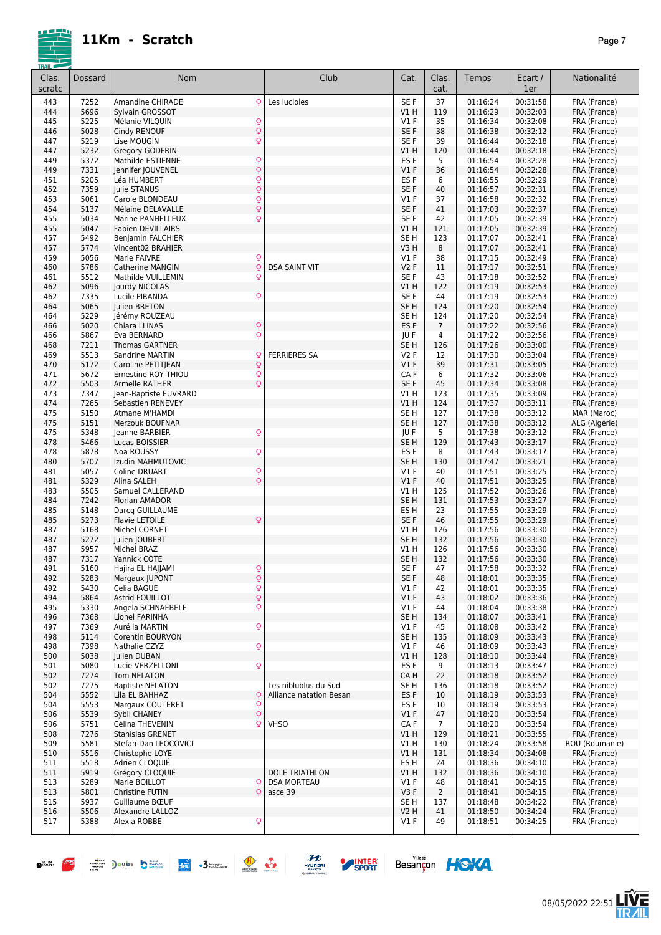

| Clas.<br>scratc | Dossard      | Nom                                                            | Club                    | Cat.                               | Clas.<br>cat.         | Temps                | Ecart /<br>1er       | Nationalité                  |
|-----------------|--------------|----------------------------------------------------------------|-------------------------|------------------------------------|-----------------------|----------------------|----------------------|------------------------------|
| 443             | 7252         | Amandine CHIRADE<br>Q                                          | Les lucioles            | SE F                               | 37                    | 01:16:24             | 00:31:58             | FRA (France)                 |
| 444             | 5696         | Sylvain GROSSOT                                                |                         | VIH                                | 119                   | 01:16:29             | 00:32:03             | FRA (France)                 |
| 445             | 5225         | Mélanie VILQUIN<br>Q                                           |                         | V1 F                               | 35                    | 01:16:34             | 00:32:08             | FRA (France)                 |
| 446             | 5028         | Q<br>Cindy RENOUF                                              |                         | SE F                               | 38                    | 01:16:38             | 00:32:12             | FRA (France)                 |
| 447             | 5219         | Q<br>Lise MOUGIN                                               |                         | SE F                               | 39                    | 01:16:44             | 00:32:18             | FRA (France)                 |
| 447             | 5232         | Gregory GODFRIN                                                |                         | V1H                                | 120                   | 01:16:44             | 00:32:18             | FRA (France)                 |
| 449<br>449      | 5372<br>7331 | Q<br>Mathilde ESTIENNE<br>Q<br>Jennifer JOUVENEL               |                         | ES F<br>$VI$ F                     | 5<br>36               | 01:16:54<br>01:16:54 | 00:32:28<br>00:32:28 | FRA (France)<br>FRA (France) |
| 451             | 5205         | $\overline{Q}$<br>Léa HUMBERT                                  |                         | ES F                               | 6                     | 01:16:55             | 00:32:29             | FRA (France)                 |
| 452             | 7359         | Q<br>Julie STANUS                                              |                         | SE F                               | 40                    | 01:16:57             | 00:32:31             | FRA (France)                 |
| 453             | 5061         | $\overline{Q}$<br>Carole BLONDEAU                              |                         | V1 F                               | 37                    | 01:16:58             | 00:32:32             | FRA (France)                 |
| 454             | 5137         | Q<br>Mélaine DELAVALLE                                         |                         | SE F                               | 41                    | 01:17:03             | 00:32:37             | FRA (France)                 |
| 455             | 5034         | Q<br>Marine PANHELLEUX                                         |                         | SE F                               | 42                    | 01:17:05             | 00:32:39             | FRA (France)                 |
| 455             | 5047         | <b>Fabien DEVILLAIRS</b>                                       |                         | V1H                                | 121                   | 01:17:05             | 00:32:39             | FRA (France)                 |
| 457             | 5492         | Benjamin FALCHIER                                              |                         | SE <sub>H</sub>                    | 123                   | 01:17:07             | 00:32:41             | FRA (France)                 |
| 457             | 5774         | Vincent02 BRAHIER                                              |                         | V3H                                | 8                     | 01:17:07             | 00:32:41             | FRA (France)                 |
| 459<br>460      | 5056<br>5786 | Marie FAIVRE<br>Q<br>Q<br><b>Catherine MANGIN</b>              | <b>DSA SAINT VIT</b>    | $VI$ F<br><b>V2F</b>               | 38<br>11              | 01:17:15<br>01:17:17 | 00:32:49<br>00:32:51 | FRA (France)                 |
| 461             | 5512         | Q<br>Mathilde VUILLEMIN                                        |                         | SE F                               | 43                    | 01:17:18             | 00:32:52             | FRA (France)<br>FRA (France) |
| 462             | 5096         | Jourdy NICOLAS                                                 |                         | V1 H                               | 122                   | 01:17:19             | 00:32:53             | FRA (France)                 |
| 462             | 7335         | Lucile PIRANDA<br>Q                                            |                         | SE F                               | 44                    | 01:17:19             | 00:32:53             | FRA (France)                 |
| 464             | 5065         | Julien BRETON                                                  |                         | SE H                               | 124                   | 01:17:20             | 00:32:54             | FRA (France)                 |
| 464             | 5229         | Jérémy ROUZEAU                                                 |                         | SE H                               | 124                   | 01:17:20             | 00:32:54             | FRA (France)                 |
| 466             | 5020         | Q<br>Chiara LLINAS                                             |                         | ES <sub>F</sub>                    | $\overline{7}$        | 01:17:22             | 00:32:56             | FRA (France)                 |
| 466             | 5867         | Q<br>Eva BERNARD                                               |                         | JU F                               | 4                     | 01:17:22             | 00:32:56             | FRA (France)                 |
| 468             | 7211         | <b>Thomas GARTNER</b>                                          |                         | SE H                               | 126                   | 01:17:26             | 00:33:00             | FRA (France)                 |
| 469             | 5513<br>5172 | Sandrine MARTIN<br>Q                                           | <b>FERRIERES SA</b>     | V2F<br>$VI$ F                      | 12<br>39              | 01:17:30<br>01:17:31 | 00:33:04<br>00:33:05 | FRA (France)<br>FRA (France) |
| 470<br>471      | 5672         | $\mathsf{Q}$<br>Caroline PETITJEAN<br>Q<br>Ernestine ROY-THIOU |                         | CAF                                | 6                     | 01:17:32             | 00:33:06             | FRA (France)                 |
| 472             | 5503         | Q<br>Armelle RATHER                                            |                         | SE F                               | 45                    | 01:17:34             | 00:33:08             | FRA (France)                 |
| 473             | 7347         | Jean-Baptiste EUVRARD                                          |                         | V1H                                | 123                   | 01:17:35             | 00:33:09             | FRA (France)                 |
| 474             | 7265         | Sebastien RENEVEY                                              |                         | VIH                                | 124                   | 01:17:37             | 00:33:11             | FRA (France)                 |
| 475             | 5150         | Atmane M'HAMDI                                                 |                         | SE <sub>H</sub>                    | 127                   | 01:17:38             | 00:33:12             | MAR (Maroc)                  |
| 475             | 5151         | Merzouk BOUFNAR                                                |                         | SE <sub>H</sub>                    | 127                   | 01:17:38             | 00:33:12             | ALG (Algérie)                |
| 475             | 5348         | Q<br>Jeanne BARBIER                                            |                         | JU F                               | 5                     | 01:17:38             | 00:33:12             | FRA (France)                 |
| 478             | 5466         | Lucas BOISSIER                                                 |                         | SE <sub>H</sub>                    | 129                   | 01:17:43             | 00:33:17             | FRA (France)                 |
| 478<br>480      | 5878<br>5707 | Q<br>Noa ROUSSY<br>Izudin MAHMUTOVIC                           |                         | ES <sub>F</sub><br>SE <sub>H</sub> | 8<br>130              | 01:17:43             | 00:33:17<br>00:33:21 | FRA (France)                 |
| 481             | 5057         | Q<br><b>Coline DRUART</b>                                      |                         | $VI$ F                             | 40                    | 01:17:47<br>01:17:51 | 00:33:25             | FRA (France)<br>FRA (France) |
| 481             | 5329         | Q<br>Alina SALEH                                               |                         | $VI$ F                             | 40                    | 01:17:51             | 00:33:25             | FRA (France)                 |
| 483             | 5505         | Samuel CALLERAND                                               |                         | V1 H                               | 125                   | 01:17:52             | 00:33:26             | FRA (France)                 |
| 484             | 7242         | Florian AMADOR                                                 |                         | SE <sub>H</sub>                    | 131                   | 01:17:53             | 00:33:27             | FRA (France)                 |
| 485             | 5148         | Darcq GUILLAUME                                                |                         | ES <sub>H</sub>                    | 23                    | 01:17:55             | 00:33:29             | FRA (France)                 |
| 485             | 5273         | <b>Flavie LETOILE</b><br>Q                                     |                         | SE F                               | 46                    | 01:17:55             | 00:33:29             | FRA (France)                 |
| 487             | 5168         | Michel CORNET                                                  |                         | V1 H                               | 126                   | 01:17:56             | 00:33:30             | FRA (France)                 |
| 487             | 5272         | Julien JOUBERT                                                 |                         | SE <sub>H</sub><br>VIH             | 132                   | 01:17:56             | 00:33:30             | FRA (France)<br>FRA (France) |
| 487<br>487      | 5957<br>7317 | Michel BRAZ<br>Yannick COTE                                    |                         | SE <sub>H</sub>                    | 126<br>132            | 01:17:56<br>01:17:56 | 00:33:30<br>00:33:30 | FRA (France)                 |
| 491             | 5160         | Hajira EL HAJJAMI                                              |                         | SE F                               | 47                    | 01:17:58             | 00:33:32             | FRA (France)                 |
| 492             | 5283         | o<br>Q<br>Margaux JUPONT                                       |                         | SE F                               | 48                    | 01:18:01             | 00:33:35             | FRA (France)                 |
| 492             | 5430         | Q<br>Celia BAGUE                                               |                         | V1F                                | 42                    | 01:18:01             | 00:33:35             | FRA (France)                 |
| 494             | 5864         | Q<br>Astrid FOUILLOT                                           |                         | $VI$ F                             | 43                    | 01:18:02             | 00:33:36             | FRA (France)                 |
| 495             | 5330         | Q<br>Angela SCHNAEBELE                                         |                         | V1 F                               | 44                    | 01:18:04             | 00:33:38             | FRA (France)                 |
| 496             | 7368         | Lionel FARINHA                                                 |                         | SE <sub>H</sub>                    | 134                   | 01:18:07             | 00:33:41             | FRA (France)                 |
| 497             | 7369         | Q<br>Aurélia MARTIN                                            |                         | V1 F                               | 45                    | 01:18:08             | 00:33:42             | FRA (France)                 |
| 498<br>498      | 5114<br>7398 | Corentin BOURVON<br>Q<br>Nathalie CZYZ                         |                         | SE H<br>V1 F                       | 135<br>46             | 01:18:09<br>01:18:09 | 00:33:43<br>00:33:43 | FRA (France)<br>FRA (France) |
| 500             | 5038         | Julien DUBAN                                                   |                         | V1 H                               | 128                   | 01:18:10             | 00:33:44             | FRA (France)                 |
| 501             | 5080         | Lucie VERZELLONI<br>Q                                          |                         | ES F                               | 9                     | 01:18:13             | 00:33:47             | FRA (France)                 |
| 502             | 7274         | Tom NELATON                                                    |                         | CA H                               | 22                    | 01:18:18             | 00:33:52             | FRA (France)                 |
| 502             | 7275         | <b>Baptiste NELATON</b>                                        | Les niblublus du Sud    | SE H                               | 136                   | 01:18:18             | 00:33:52             | FRA (France)                 |
| 504             | 5552         | Q<br>Lila EL BAHHAZ                                            | Alliance natation Besan | ES <sub>F</sub>                    | 10                    | 01:18:19             | 00:33:53             | FRA (France)                 |
| 504             | 5553         | Margaux COUTERET<br>Q                                          |                         | ES F                               | 10                    | 01:18:19             | 00:33:53             | FRA (France)                 |
| 506             | 5539         | Q<br>Sybil CHANEY                                              |                         | V1F                                | 47                    | 01:18:20             | 00:33:54             | FRA (France)                 |
| 506<br>508      | 5751<br>7276 | Célina THEVENIN<br>Q<br><b>Stanislas GRENET</b>                | <b>VHSO</b>             | CA F<br>V1 H                       | $\overline{7}$<br>129 | 01:18:20<br>01:18:21 | 00:33:54<br>00:33:55 | FRA (France)<br>FRA (France) |
| 509             | 5581         | Stefan-Dan LEOCOVICI                                           |                         | V1 H                               | 130                   | 01:18:24             | 00:33:58             | ROU (Roumanie)               |
| 510             | 5516         | Christophe LOYE                                                |                         | V1 H                               | 131                   | 01:18:34             | 00:34:08             | FRA (France)                 |
| 511             | 5518         | Adrien CLOQUIE                                                 |                         | ES H                               | 24                    | 01:18:36             | 00:34:10             | FRA (France)                 |
| 511             | 5919         | Grégory CLOQUIE                                                | <b>DOLE TRIATHLON</b>   | V1 H                               | 132                   | 01:18:36             | 00:34:10             | FRA (France)                 |
| 513             | 5289         | Marie BOILLOT<br>Q                                             | <b>DSA MORTEAU</b>      | $VI$ F                             | 48                    | 01:18:41             | 00:34:15             | FRA (France)                 |
| 513             | 5801         | Christine FUTIN<br>Q                                           | asce 39                 | V3F                                | $\overline{2}$        | 01:18:41             | 00:34:15             | FRA (France)                 |
| 515             | 5937         | Guillaume BŒUF                                                 |                         | SE H                               | 137                   | 01:18:48             | 00:34:22             | FRA (France)                 |
| 516             | 5506         | Alexandre LALLOZ                                               |                         | V2 H                               | 41                    | 01:18:50             | 00:34:24             | FRA (France)                 |
| 517             | 5388         | Alexia ROBBE<br>Q                                              |                         | $VI$ F                             | 49                    | 01:18:51             | 00:34:25             | FRA (France)                 |







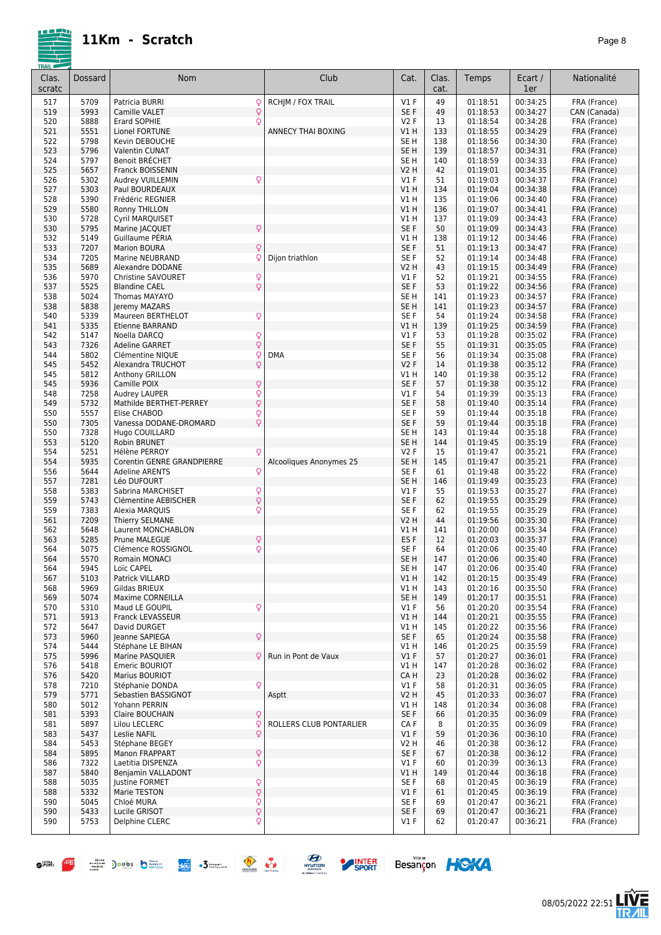|--|--|

| Clas.<br>scratc | Dossard      | Nom                                                        | Club                      | Cat.                               | Clas.<br>cat. | Temps                | Ecart /<br>1er       | Nationalité                  |
|-----------------|--------------|------------------------------------------------------------|---------------------------|------------------------------------|---------------|----------------------|----------------------|------------------------------|
| 517             | 5709         | Patricia BURRI<br>Q                                        | <b>RCHIM / FOX TRAIL</b>  | V1F                                | 49            | 01:18:51             | 00:34:25             | FRA (France)                 |
| 519             | 5993         | $\overline{Q}$<br>Camille VALET                            |                           | SE F                               | 49            | 01:18:53             | 00:34:27             | CAN (Canada)                 |
| 520             | 5888         | Q<br>Erard SOPHIE                                          |                           | V <sub>2</sub> F                   | 13            | 01:18:54             | 00:34:28             | FRA (France)                 |
| 521             | 5551         | Lionel FORTUNE                                             | <b>ANNECY THAI BOXING</b> | V1H                                | 133           | 01:18:55             | 00:34:29             | FRA (France)                 |
| 522             | 5798         | Kevin DEBOUCHE                                             |                           | SE <sub>H</sub>                    | 138           | 01:18:56<br>01:18:57 | 00:34:30             | FRA (France)                 |
| 523<br>524      | 5796<br>5797 | Valentin CUNAT<br>Benoit BRÉCHET                           |                           | SE <sub>H</sub><br>SE <sub>H</sub> | 139<br>140    | 01:18:59             | 00:34:31<br>00:34:33 | FRA (France)<br>FRA (France) |
| 525             | 5657         | Franck BOISSENIN                                           |                           | <b>V2 H</b>                        | 42            | 01:19:01             | 00:34:35             | FRA (France)                 |
| 526             | 5302         | Audrey VUILLEMIN<br>Q                                      |                           | $VI$ F                             | 51            | 01:19:03             | 00:34:37             | FRA (France)                 |
| 527             | 5303         | Paul BOURDEAUX                                             |                           | V1H                                | 134           | 01:19:04             | 00:34:38             | FRA (France)                 |
| 528             | 5390         | Frédéric REGNIER                                           |                           | V1 H                               | 135           | 01:19:06             | 00:34:40             | FRA (France)                 |
| 529             | 5580         | Ronny THILLON                                              |                           | V1H                                | 136           | 01:19:07             | 00:34:41             | FRA (France)                 |
| 530             | 5728         | Cyril MARQUISET                                            |                           | V1H                                | 137           | 01:19:09             | 00:34:43             | FRA (France)                 |
| 530             | 5795<br>5149 | Marine JACQUET<br>Q                                        |                           | SE F                               | 50            | 01:19:09<br>01:19:12 | 00:34:43<br>00:34:46 | FRA (France)                 |
| 532<br>533      | 7207         | Guillaume PERIA<br><b>Marion BOURA</b><br>Q                |                           | VIH<br>SE F                        | 138<br>51     | 01:19:13             | 00:34:47             | FRA (France)<br>FRA (France) |
| 534             | 7205         | Marine NEUBRAND<br>Ç                                       | Dijon triathlon           | SE F                               | 52            | 01:19:14             | 00:34:48             | FRA (France)                 |
| 535             | 5689         | Alexandre DODANE                                           |                           | <b>V2 H</b>                        | 43            | 01:19:15             | 00:34:49             | FRA (France)                 |
| 536             | 5970         | ç<br>Christine SAVOURET                                    |                           | $VI$ F                             | 52            | 01:19:21             | 00:34:55             | FRA (France)                 |
| 537             | 5525         | Q<br><b>Blandine CAEL</b>                                  |                           | SE <sub>F</sub>                    | 53            | 01:19:22             | 00:34:56             | FRA (France)                 |
| 538             | 5024         | Thomas MAYAYO                                              |                           | SE <sub>H</sub>                    | 141           | 01:19:23             | 00:34:57             | FRA (France)                 |
| 538             | 5838         | Jeremy MAZARS                                              |                           | SE <sub>H</sub>                    | 141           | 01:19:23             | 00:34:57             | FRA (France)                 |
| 540             | 5339         | Q<br>Maureen BERTHELOT                                     |                           | SE F                               | 54            | 01:19:24             | 00:34:58             | FRA (France)                 |
| 541<br>542      | 5335<br>5147 | <b>Etienne BARRAND</b><br>Q<br>Noella DARCQ                |                           | V1H<br>$VI$ F                      | 139<br>53     | 01:19:25<br>01:19:28 | 00:34:59<br>00:35:02 | FRA (France)<br>FRA (France) |
| 543             | 7326         | $\dot{\overline{Q}}$<br><b>Adeline GARRET</b>              |                           | SE <sub>F</sub>                    | 55            | 01:19:31             | 00:35:05             | FRA (France)                 |
| 544             | 5802         | Clémentine NIQUE<br>Q                                      | <b>DMA</b>                | SE <sub>F</sub>                    | 56            | 01:19:34             | 00:35:08             | FRA (France)                 |
| 545             | 5452         | $\overline{Q}$<br>Alexandra TRUCHOT                        |                           | <b>V2F</b>                         | 14            | 01:19:38             | 00:35:12             | FRA (France)                 |
| 545             | 5812         | Anthony GRILLON                                            |                           | V1 H                               | 140           | 01:19:38             | 00:35:12             | FRA (France)                 |
| 545             | 5936         | Q<br>Camille POIX                                          |                           | SE F                               | 57            | 01:19:38             | 00:35:12             | FRA (France)                 |
| 548             | 7258         | $\frac{Q}{Q}$<br>Audrey LAUPER                             |                           | $VI$ F                             | 54            | 01:19:39             | 00:35:13             | FRA (France)                 |
| 549             | 5732         | Mathilde BERTHET-PERREY                                    |                           | SE <sub>F</sub>                    | 58            | 01:19:40             | 00:35:14             | FRA (France)                 |
| 550<br>550      | 5557<br>7305 | Q<br>Elise CHABOD<br>Q<br>Vanessa DODANE-DROMARD           |                           | SE F<br>SE <sub>F</sub>            | 59<br>59      | 01:19:44<br>01:19:44 | 00:35:18<br>00:35:18 | FRA (France)<br>FRA (France) |
| 550             | 7328         | Hugo COUILLARD                                             |                           | SE <sub>H</sub>                    | 143           | 01:19:44             | 00:35:18             | FRA (France)                 |
| 553             | 5120         | Robin BRUNET                                               |                           | SE <sub>H</sub>                    | 144           | 01:19:45             | 00:35:19             | FRA (France)                 |
| 554             | 5251         | Hélène PERROY<br>Q                                         |                           | <b>V2F</b>                         | 15            | 01:19:47             | 00:35:21             | FRA (France)                 |
| 554             | 5935         | Corentin GENRE GRANDPIERRE                                 | Alcooliques Anonymes 25   | SE <sub>H</sub>                    | 145           | 01:19:47             | 00:35:21             | FRA (France)                 |
| 556             | 5644         | Q<br><b>Adeline ARENTS</b>                                 |                           | SE <sub>F</sub>                    | 61            | 01:19:48             | 00:35:22             | FRA (France)                 |
| 557             | 7281         | Léo DUFOURT                                                |                           | SE <sub>H</sub>                    | 146           | 01:19:49             | 00:35:23             | FRA (France)                 |
| 558<br>559      | 5383<br>5743 | $\frac{Q}{Q}$<br>Sabrina MARCHISET<br>Clémentine AEBISCHER |                           | $VI$ F<br>SE F                     | 55<br>62      | 01:19:53<br>01:19:55 | 00:35:27<br>00:35:29 | FRA (France)                 |
| 559             | 7383         | Q<br>Alexia MARQUIS                                        |                           | SE F                               | 62            | 01:19:55             | 00:35:29             | FRA (France)<br>FRA (France) |
| 561             | 7209         | Thierry SELMANE                                            |                           | <b>V2 H</b>                        | 44            | 01:19:56             | 00:35:30             | FRA (France)                 |
| 562             | 5648         | Laurent MONCHABLON                                         |                           | V1 H                               | 141           | 01:20:00             | 00:35:34             | FRA (France)                 |
| 563             | 5285         | Q<br>Prune MALEGUE                                         |                           | ES F                               | 12            | 01:20:03             | 00:35:37             | FRA (France)                 |
| 564             | 5075         | Q<br>Clémence ROSSIGNOL                                    |                           | SE F                               | 64            | 01:20:06             | 00:35:40             | FRA (France)                 |
| 564             | 5570         | <b>Romain MONACI</b>                                       |                           | SE <sub>H</sub>                    | 147           | 01:20:06             | 00:35:40             | FRA (France)                 |
| 564             | 5945         | LOIC CAPEL                                                 |                           | SE H                               | 14/           | 01:20:06             | 00:35:40             | FRA (France)                 |
| 567<br>568      | 5103<br>5969 | Patrick VILLARD<br>Gildas BRIEUX                           |                           | V1 H<br>V1 H                       | 142<br>143    | 01:20:15<br>01:20:16 | 00:35:49<br>00:35:50 | FRA (France)<br>FRA (France) |
| 569             | 5074         | Maxime CORNEILLA                                           |                           | SE <sub>H</sub>                    | 149           | 01:20:17             | 00:35:51             | FRA (France)                 |
| 570             | 5310         | Q<br>Maud LE GOUPIL                                        |                           | $VI$ F                             | 56            | 01:20:20             | 00:35:54             | FRA (France)                 |
| 571             | 5913         | Franck LEVASSEUR                                           |                           | V1H                                | 144           | 01:20:21             | 00:35:55             | FRA (France)                 |
| 572             | 5647         | David DURGET                                               |                           | V1 H                               | 145           | 01:20:22             | 00:35:56             | FRA (France)                 |
| 573             | 5960         | Q<br>Jeanne SAPIEGA                                        |                           | SE F                               | 65            | 01:20:24             | 00:35:58             | FRA (France)                 |
| 574             | 5444         | Stéphane LE BIHAN                                          |                           | V1 H                               | 146           | 01:20:25             | 00:35:59             | FRA (France)                 |
| 575<br>576      | 5996<br>5418 | Marine PASQUIER<br>Q<br>Emeric BOURIOT                     | Run in Pont de Vaux       | $VI$ F<br>V1 H                     | 57<br>147     | 01:20:27<br>01:20:28 | 00:36:01<br>00:36:02 | FRA (France)<br>FRA (France) |
| 576             | 5420         | Marius BOURIOT                                             |                           | CA H                               | 23            | 01:20:28             | 00:36:02             | FRA (France)                 |
| 578             | 7210         | Q<br>Stéphanie DONDA                                       |                           | $VI$ F                             | 58            | 01:20:31             | 00:36:05             | FRA (France)                 |
| 579             | 5771         | Sebastien BASSIGNOT                                        | Asptt                     | V2 H                               | 45            | 01:20:33             | 00:36:07             | FRA (France)                 |
| 580             | 5012         | Yohann PERRIN                                              |                           | V1 H                               | 148           | 01:20:34             | 00:36:08             | FRA (France)                 |
| 581             | 5393         | Claire BOUCHAIN<br>Q                                       |                           | SE F                               | 66            | 01:20:35             | 00:36:09             | FRA (France)                 |
| 581             | 5897         | Lilou LECLERC<br>Q                                         | ROLLERS CLUB PONTARLIER   | CA F                               | 8             | 01:20:35             | 00:36:09             | FRA (France)                 |
| 583             | 5437         | Q<br>Leslie NAFIL                                          |                           | V1F                                | 59            | 01:20:36             | 00:36:10             | FRA (France)                 |
| 584             | 5453         | Stéphane BEGEY                                             |                           | V2 H                               | 46            | 01:20:38             | 00:36:12             | FRA (France)                 |
| 584<br>586      | 5895<br>7322 | Q<br>Manon FRAPPART<br>Q<br>Laetitia DISPENZA              |                           | SE F<br>$VI$ F                     | 67<br>60      | 01:20:38<br>01:20:39 | 00:36:12<br>00:36:13 | FRA (France)<br>FRA (France) |
| 587             | 5840         | Benjamin VALLADONT                                         |                           | V1 H                               | 149           | 01:20:44             | 00:36:18             | FRA (France)                 |
| 588             | 5035         | lustine FORMET                                             |                           | SE F                               | 68            | 01:20:45             | 00:36:19             | FRA (France)                 |
| 588             | 5332         | Q<br>Q<br>Marie TESTON                                     |                           | $VI$ F                             | 61            | 01:20:45             | 00:36:19             | FRA (France)                 |
| 590             | 5045         | Q<br>Chloé MURA                                            |                           | SE F                               | 69            | 01:20:47             | 00:36:21             | FRA (France)                 |
| 590             | 5433         | $\dot{\varphi}$<br>Lucile GRISOT                           |                           | SE F                               | 69            | 01:20:47             | 00:36:21             | FRA (France)                 |
| 590             | 5753         | Delphine CLERC<br>Q                                        |                           | $VI$ F                             | 62            | 01:20:47             | 00:36:21             | FRA (France)                 |
|                 |              |                                                            |                           |                                    |               |                      |                      |                              |







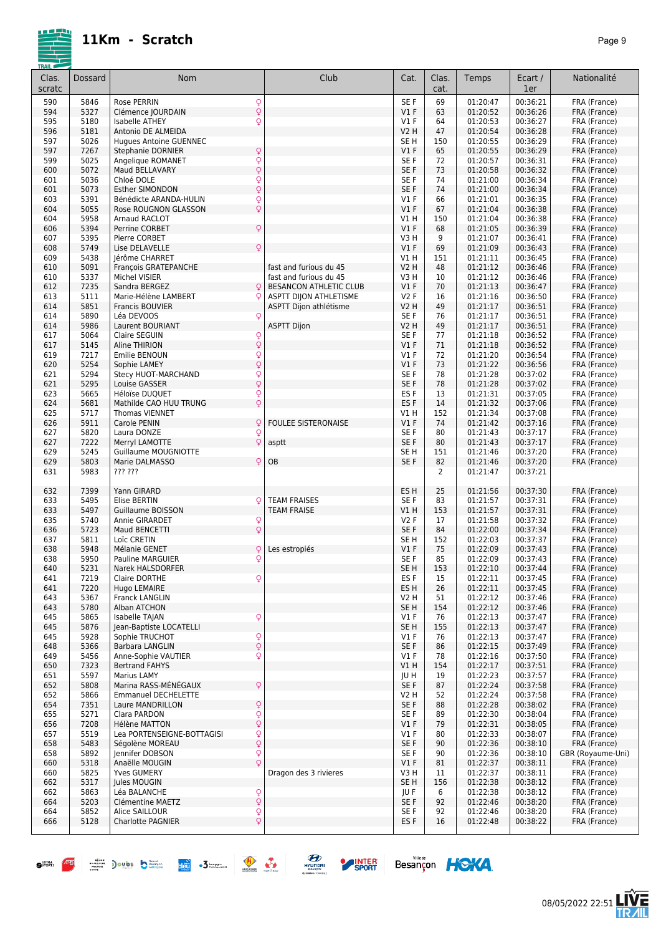

| Clas.<br>scratc | Dossard      | Nom                                            |                      | Club                       | Cat.                    | Clas.<br>cat. | Temps                | Ecart /<br>1er       | Nationalité                  |
|-----------------|--------------|------------------------------------------------|----------------------|----------------------------|-------------------------|---------------|----------------------|----------------------|------------------------------|
| 590             | 5846         | Rose PERRIN                                    |                      |                            | SE F                    | 69            | 01:20:47             | 00:36:21             | FRA (France)                 |
| 594             | 5327         | Clémence JOURDAIN                              | $\frac{Q}{Q}$        |                            | V1F                     | 63            | 01:20:52             | 00:36:26             | FRA (France)                 |
| 595             | 5180         | Isabelle ATHEY                                 | $\mathsf{Q}$         |                            | $VI$ F                  | 64            | 01:20:53             | 00:36:27             | FRA (France)                 |
| 596             | 5181         | Antonio DE ALMEIDA                             |                      |                            | <b>V2 H</b>             | 47            | 01:20:54             | 00:36:28             | FRA (France)                 |
| 597             | 5026         | <b>Hugues Antoine GUENNEC</b>                  |                      |                            | SE <sub>H</sub>         | 150           | 01:20:55             | 00:36:29             | FRA (France)                 |
| 597             | 7267         | <b>Stephanie DORNIER</b>                       | $\mathsf{Q}$         |                            | $VI$ F                  | 65            | 01:20:55             | 00:36:29             | FRA (France)                 |
| 599             | 5025         | Angelique ROMANET                              | Q                    |                            | SE F                    | 72            | 01:20:57             | 00:36:31             | FRA (France)                 |
| 600             | 5072         | Maud BELLAVARY                                 | $\overline{Q}$       |                            | SE F                    | 73            | 01:20:58             | 00:36:32             | FRA (France)                 |
| 601             | 5036         | Chloé DOLE                                     | $\frac{Q}{Q}$        |                            | SE F                    | 74            | 01:21:00             | 00:36:34             | FRA (France)                 |
| 601             | 5073         | <b>Esther SIMONDON</b>                         |                      |                            | SE F                    | 74            | 01:21:00             | 00:36:34             | FRA (France)                 |
| 603<br>604      | 5391<br>5055 | Bénédicte ARANDA-HULIN<br>Rose ROUGNON GLASSON | Q<br>$\overline{Q}$  |                            | $VI$ F<br>V1F           | 66<br>67      | 01:21:01<br>01:21:04 | 00:36:35<br>00:36:38 | FRA (France)<br>FRA (France) |
| 604             | 5958         | Arnaud RACLOT                                  |                      |                            | V1H                     | 150           | 01:21:04             | 00:36:38             | FRA (France)                 |
| 606             | 5394         | Perrine CORBET                                 | Q                    |                            | V1F                     | 68            | 01:21:05             | 00:36:39             | FRA (France)                 |
| 607             | 5395         | Pierre CORBET                                  |                      |                            | V3H                     | 9             | 01:21:07             | 00:36:41             | FRA (France)                 |
| 608             | 5749         | Lise DELAVELLE                                 | Q                    |                            | V1F                     | 69            | 01:21:09             | 00:36:43             | FRA (France)                 |
| 609             | 5438         | Jérôme CHARRET                                 |                      |                            | V1H                     | 151           | 01:21:11             | 00:36:45             | FRA (France)                 |
| 610             | 5091         | François GRATEPANCHE                           |                      | fast and furious du 45     | <b>V2 H</b>             | 48            | 01:21:12             | 00:36:46             | FRA (France)                 |
| 610             | 5337         | Michel VISIER                                  |                      | fast and furious du 45     | V3H                     | 10            | 01:21:12             | 00:36:46             | FRA (France)                 |
| 612             | 7235         | Sandra BERGEZ                                  | Q                    | BESANCON ATHLETIC CLUB     | $VI$ F                  | 70            | 01:21:13             | 00:36:47             | FRA (France)                 |
| 613             | 5111         | Marie-Hélène LAMBERT                           | Q                    | ASPTT DIJON ATHLETISME     | V2F                     | 16            | 01:21:16             | 00:36:50             | FRA (France)                 |
| 614             | 5851         | Francis BOUVIER                                |                      | ASPTT Dijon athlétisme     | <b>V2 H</b>             | 49            | 01:21:17             | 00:36:51             | FRA (France)                 |
| 614             | 5890         | Léa DEVOOS                                     | Q                    |                            | SE F                    | 76            | 01:21:17             | 00:36:51             | FRA (France)                 |
| 614             | 5986         | Laurent BOURIANT                               |                      | <b>ASPTT Dijon</b>         | <b>V2 H</b>             | 49            | 01:21:17             | 00:36:51             | FRA (France)                 |
| 617             | 5064<br>5145 | Claire SEGUIN                                  | $\frac{Q}{Q}$        |                            | SE F<br>V1F             | 77<br>71      | 01:21:18<br>01:21:18 | 00:36:52<br>00:36:52 | FRA (France)                 |
| 617<br>619      | 7217         | Aline THIRION<br>Emilie BENOUN                 |                      |                            | $VI$ F                  | 72            | 01:21:20             | 00:36:54             | FRA (France)<br>FRA (France) |
| 620             | 5254         | Sophie LAMEY                                   | $\frac{Q}{Q}$        |                            | V1F                     | 73            | 01:21:22             | 00:36:56             | FRA (France)                 |
| 621             | 5294         | Stecy HUOT-MARCHAND                            |                      |                            | SE F                    | 78            | 01:21:28             | 00:37:02             | FRA (France)                 |
| 621             | 5295         | Louise GASSER                                  | $\frac{Q}{Q}$        |                            | SE F                    | 78            | 01:21:28             | 00:37:02             | FRA (France)                 |
| 623             | 5665         | Héloïse DUQUET                                 | $\overline{Q}$       |                            | ES <sub>F</sub>         | 13            | 01:21:31             | 00:37:05             | FRA (France)                 |
| 624             | 5681         | Mathilde CAO HUU TRUNG                         | $\dot{\overline{Q}}$ |                            | ES <sub>F</sub>         | 14            | 01:21:32             | 00:37:06             | FRA (France)                 |
| 625             | 5717         | Thomas VIENNET                                 |                      |                            | V1 H                    | 152           | 01:21:34             | 00:37:08             | FRA (France)                 |
| 626             | 5911         | Carole PENIN                                   | Q                    | <b>FOULEE SISTERONAISE</b> | V1F                     | 74            | 01:21:42             | 00:37:16             | FRA (France)                 |
| 627             | 5820         | Laura DONZE                                    | $\overline{Q}$       |                            | SE F                    | 80            | 01:21:43             | 00:37:17             | FRA (France)                 |
| 627             | 7222         | Merryl LAMOTTE                                 | $\dot{\mathsf Q}$    | asptt                      | SE F                    | 80            | 01:21:43             | 00:37:17             | FRA (France)                 |
| 629             | 5245         | Guillaume MOUGNIOTTE                           |                      |                            | SE <sub>H</sub>         | 151           | 01:21:46             | 00:37:20             | FRA (France)                 |
| 629             | 5803         | Marie DALMASSO                                 | Q                    | OB                         | SE F                    | 82            | 01:21:46             | 00:37:20             | FRA (France)                 |
| 631             | 5983         | ??? ???                                        |                      |                            |                         | 2             | 01:21:47             | 00:37:21             |                              |
| 632             | 7399         | Yann GIRARD                                    |                      |                            | ES <sub>H</sub>         | 25            | 01:21:56             | 00:37:30             | FRA (France)                 |
| 633             | 5495         | Elise BERTIN                                   | Q                    | <b>TEAM FRAISES</b>        | SE F                    | 83            | 01:21:57             | 00:37:31             | FRA (France)                 |
| 633<br>635      | 5497<br>5740 | Guillaume BOISSON<br>Annie GIRARDET            |                      | <b>TEAM FRAISE</b>         | V1 H<br>V2F             | 153<br>17     | 01:21:57             | 00:37:31<br>00:37:32 | FRA (France)                 |
| 636             | 5723         | Maud BENCETTI                                  | Q<br>Q               |                            | SE F                    | 84            | 01:21:58<br>01:22:00 | 00:37:34             | FRA (France)<br>FRA (France) |
| 637             | 5811         | Loïc CRETIN                                    |                      |                            | SE H                    | 152           | 01:22:03             | 00:37:37             | FRA (France)                 |
| 638             | 5948         | Mélanie GENET                                  | Q                    | Les estropiés              | V1F                     | 75            | 01:22:09             | 00:37:43             | FRA (France)                 |
| 638             | 5950         | Pauline MARGUIER                               | Q                    |                            | SE F                    | 85            | 01:22:09             | 00:37:43             | FRA (France)                 |
| 640             | 5231         | Narek HALSDORFER                               |                      |                            | SE H                    | 153           | 01:22:10             | 00:37:44             | FRA (France)                 |
| 641             | 7219         | Claire DORTHE                                  | Q                    |                            | ES F                    | 15            | 01:22:11             | 00:37:45             | FRA (France)                 |
| 641             | 7220         | Hugo LEMAIRE                                   |                      |                            | ES H                    | 26            | 01:22:11             | 00:37:45             | FRA (France)                 |
| 643             | 5367         | Franck LANGLIN                                 |                      |                            | V2 H                    | 51            | 01:22:12             | 00:37:46             | FRA (France)                 |
| 643             | 5780         | Alban ATCHON                                   |                      |                            | SE H                    | 154           | 01:22:12             | 00:37:46             | FRA (France)                 |
| 645             | 5865         | Isabelle TAJAN                                 | Q                    |                            | $VI$ F                  | 76            | 01:22:13             | 00:37:47             | FRA (France)                 |
| 645             | 5876         | Jean-Baptiste LOCATELLI                        |                      |                            | SE H                    | 155           | 01:22:13             | 00:37:47             | FRA (France)                 |
| 645             | 5928         | Sophie TRUCHOT                                 | $\frac{Q}{Q}$        |                            | $VI$ F                  | 76            | 01:22:13             | 00:37:47             | FRA (France)                 |
| 648<br>649      | 5366<br>5456 | Barbara LANGLIN<br>Anne-Sophie VAUTIER         | Q                    |                            | SE F<br>$VI$ F          | 86<br>78      | 01:22:15<br>01:22:16 | 00:37:49<br>00:37:50 | FRA (France)<br>FRA (France) |
| 650             | 7323         | <b>Bertrand FAHYS</b>                          |                      |                            | V1 H                    | 154           | 01:22:17             | 00:37:51             | FRA (France)                 |
| 651             | 5597         | Marius LAMY                                    |                      |                            | JU H                    | 19            | 01:22:23             | 00:37:57             | FRA (France)                 |
| 652             | 5808         | Marina RASS-MÉNÉGAUX                           | Q                    |                            | SE F                    | 87            | 01:22:24             | 00:37:58             | FRA (France)                 |
| 652             | 5866         | <b>Emmanuel DECHELETTE</b>                     |                      |                            | <b>V2 H</b>             | 52            | 01:22:24             | 00:37:58             | FRA (France)                 |
| 654             | 7351         | Laure MANDRILLON                               | $\overline{Q}$       |                            | SE F                    | 88            | 01:22:28             | 00:38:02             | FRA (France)                 |
| 655             | 5271         | Clara PARDON                                   | $\frac{1}{2}$        |                            | SE F                    | 89            | 01:22:30             | 00:38:04             | FRA (France)                 |
| 656             | 7208         | <b>Hélène MATTON</b>                           |                      |                            | $VI$ F                  | 79            | 01:22:31             | 00:38:05             | FRA (France)                 |
| 657             | 5519         | Lea PORTENSEIGNE-BOTTAGISI                     | $\frac{Q}{Q}$        |                            | V1F                     | 80            | 01:22:33             | 00:38:07             | FRA (France)                 |
| 658             | 5483         | Ségolène MOREAU                                |                      |                            | SE F                    | 90            | 01:22:36             | 00:38:10             | FRA (France)                 |
| 658             | 5892         | Jennifer DOBSON                                | $\dot{\overline{Q}}$ |                            | SE F                    | 90            | 01:22:36             | 00:38:10             | GBR (Royaume-Uni)            |
| 660             | 5318         | Anaëlle MOUGIN                                 | $\ddot{\mathsf{o}}$  |                            | $VI$ F                  | 81            | 01:22:37             | 00:38:11             | FRA (France)                 |
| 660             | 5825         | Yves GUMERY                                    |                      | Dragon des 3 rivieres      | V3H                     | 11            | 01:22:37             | 00:38:11             | FRA (France)                 |
| 662<br>662      | 5317<br>5863 | Jules MOUGIN<br>Léa BALANCHE                   |                      |                            | SE <sub>H</sub><br>JU F | 156<br>6      | 01:22:38<br>01:22:38 | 00:38:12<br>00:38:12 | FRA (France)<br>FRA (France) |
| 664             | 5203         | Clémentine MAETZ                               | O<br>O<br>O          |                            | SE F                    | 92            | 01:22:46             | 00:38:20             | FRA (France)                 |
| 664             | 5852         | Alice SAILLOUR                                 |                      |                            | SE F                    | 92            | 01:22:46             | 00:38:20             | FRA (France)                 |
| 666             | 5128         | Charlotte PAGNIER                              | $\overline{Q}$       |                            | ES <sub>F</sub>         | 16            | 01:22:48             | 00:38:22             | FRA (France)                 |
|                 |              |                                                |                      |                            |                         |               |                      |                      |                              |







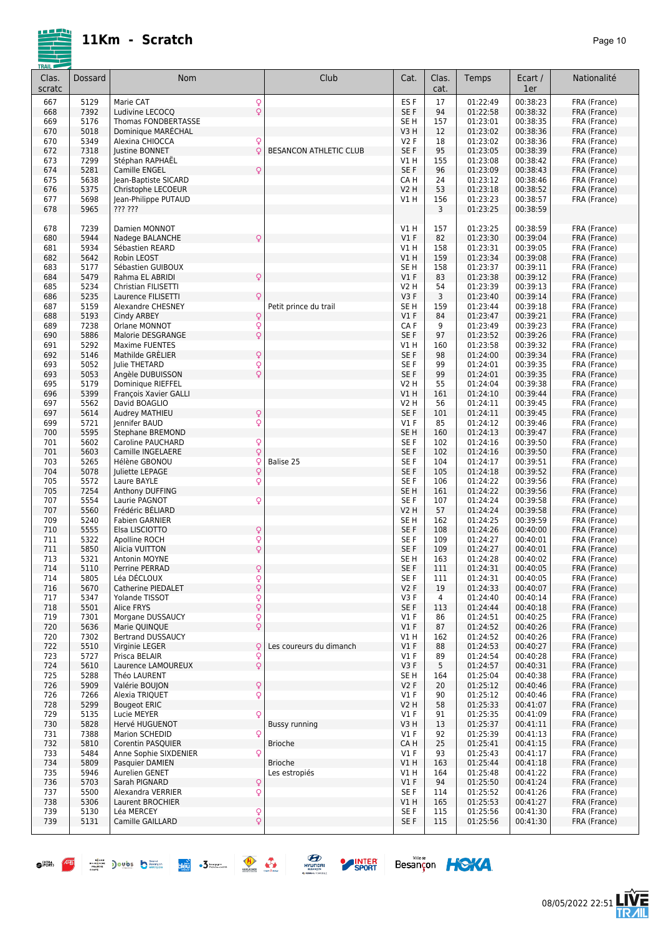

| <b>TRAIL</b>    |              |                                          |                               |                         |               |                      |                      |                              |
|-----------------|--------------|------------------------------------------|-------------------------------|-------------------------|---------------|----------------------|----------------------|------------------------------|
| Clas.<br>scratc | Dossard      | <b>Nom</b>                               | Club                          | Cat.                    | Clas.<br>cat. | Temps                | Ecart /<br>1er       | Nationalité                  |
| 667             | 5129         | Q<br>Marie CAT                           |                               | ES <sub>F</sub>         | 17            | 01:22:49             | 00:38:23             | FRA (France)                 |
| 668             | 7392         | $\overline{Q}$<br>Ludivine LECOCQ        |                               | SE F                    | 94            | 01:22:58             | 00:38:32             | FRA (France)                 |
| 669             | 5176         | Thomas FONDBERTASSE                      |                               | SE <sub>H</sub>         | 157           | 01:23:01             | 00:38:35             | FRA (France)                 |
| 670             | 5018         | Dominique MARÉCHAL                       |                               | V3H                     | 12            | 01:23:02             | 00:38:36             | FRA (France)                 |
| 670             | 5349         | Q<br>Alexina CHIOCCA                     |                               | V <sub>2</sub> F        | 18            | 01:23:02             | 00:38:36             | FRA (France)                 |
| 672             | 7318         | Justine BONNET<br>Q                      | <b>BESANCON ATHLETIC CLUB</b> | SE F                    | 95            | 01:23:05             | 00:38:39             | FRA (France)                 |
| 673             | 7299         | Stéphan RAPHAËL                          |                               | V1 H                    | 155           | 01:23:08             | 00:38:42             | FRA (France)                 |
| 674             | 5281         | Camille ENGEL<br>Q                       |                               | SE F                    | 96            | 01:23:09             | 00:38:43             | FRA (France)                 |
| 675             | 5638         | Jean-Baptiste SICARD                     |                               | CA H                    | 24            | 01:23:12             | 00:38:46             | FRA (France)                 |
| 676             | 5375         | Christophe LECOEUR                       |                               | V2 H                    | 53            | 01:23:18             | 00:38:52             | FRA (France)                 |
| 677             | 5698         | Jean-Philippe PUTAUD                     |                               | V1 H                    | 156           | 01:23:23             | 00:38:57             | FRA (France)                 |
| 678             | 5965         | ??? ???                                  |                               |                         | 3             | 01:23:25             | 00:38:59             |                              |
|                 |              |                                          |                               |                         |               |                      |                      |                              |
| 678             | 7239         | Damien MONNOT                            |                               | V1H                     | 157           | 01:23:25             | 00:38:59             | FRA (France)                 |
| 680             | 5944         | Nadege BALANCHE<br>Q                     |                               | V1F                     | 82            | 01:23:30             | 00:39:04             | FRA (France)                 |
| 681             | 5934         | Sébastien REARD                          |                               | V1H                     | 158           | 01:23:31             | 00:39:05             | FRA (France)                 |
| 682             | 5642         | Robin LEOST                              |                               | V1H                     | 159           | 01:23:34             | 00:39:08             | FRA (France)                 |
| 683             | 5177         | Sébastien GUIBOUX                        |                               | SE <sub>H</sub>         | 158           | 01:23:37             | 00:39:11             | FRA (France)                 |
| 684             | 5479         | Q<br>Rahma EL ABRIDI                     |                               | $VI$ F                  | 83            | 01:23:38             | 00:39:12             | FRA (France)                 |
| 685             | 5234         | Christian FILISETTI                      |                               | V2 H                    | 54            | 01:23:39             | 00:39:13             | FRA (France)                 |
| 686             | 5235         | Q<br>Laurence FILISETTI                  |                               | V3F                     | 3             | 01:23:40             | 00:39:14             | FRA (France)                 |
| 687             | 5159         | Alexandre CHESNEY                        | Petit prince du trail         | SE <sub>H</sub>         | 159           | 01:23:44             | 00:39:18             | FRA (France)                 |
| 688             | 5193         | Cindy ARBEY                              |                               | V1F                     | 84            | 01:23:47             | 00:39:21             | FRA (France)                 |
| 689             | 7238         | O O O<br>Orlane MONNOT                   |                               | CA F                    | 9             | 01:23:49             | 00:39:23             | FRA (France)                 |
| 690             | 5886         | Malorie DESGRANGE                        |                               | SE F                    | 97            | 01:23:52             | 00:39:26             | FRA (France)                 |
| 691             | 5292         | <b>Maxime FUENTES</b>                    |                               | V1 H                    | 160           | 01:23:58             | 00:39:32             | FRA (France)                 |
| 692             | 5146         | Q<br>Mathilde GRELIER                    |                               | SE F                    | 98            | 01:24:00             | 00:39:34             | FRA (France)                 |
| 693             | 5052         | $\varphi$<br>Julie THETARD               |                               | SE F                    | 99            | 01:24:01             | 00:39:35             | FRA (France)                 |
| 693             | 5053         | Q<br>Angèle DUBUISSON                    |                               | SE F                    | 99            | 01:24:01             | 00:39:35             | FRA (France)                 |
| 695             | 5179         | Dominique RIEFFEL                        |                               | V2 H                    | 55            | 01:24:04             | 00:39:38             | FRA (France)                 |
| 696             | 5399         | François Xavier GALLI                    |                               | V1H                     | 161           | 01:24:10             | 00:39:44             | FRA (France)                 |
| 697             | 5562         | David BOAGLIO                            |                               | V2 H                    | 56            | 01:24:11             | 00:39:45             | FRA (France)                 |
| 697             | 5614         | Q<br>Audrey MATHIEU                      |                               | SE F                    | 101           | 01:24:11             | 00:39:45             | FRA (France)                 |
| 699             | 5721         | Q<br>Jennifer BAUD                       |                               | $VI$ F                  | 85            | 01:24:12             | 00:39:46             | FRA (France)                 |
| 700             | 5595         | Stephane BREMOND                         |                               | SE <sub>H</sub>         | 160           | 01:24:13             | 00:39:47             | FRA (France)                 |
| 701             | 5602         | Q<br>Q<br>Caroline PAUCHARD              |                               | SE <sub>F</sub>         | 102           | 01:24:16             | 00:39:50             | FRA (France)                 |
| 701<br>703      | 5603<br>5265 | Camille INGELAERE<br>ç                   | Balise 25                     | SE F<br>SE <sub>F</sub> | 102<br>104    | 01:24:16<br>01:24:17 | 00:39:50<br>00:39:51 | FRA (France)                 |
| 704             | 5078         | Hélène GBONOU<br>Q<br>Juliette LEPAGE    |                               | SE F                    | 105           | 01:24:18             | 00:39:52             | FRA (France)<br>FRA (France) |
| 705             | 5572         | Q<br>Laure BAYLE                         |                               | SE <sub>F</sub>         | 106           | 01:24:22             | 00:39:56             | FRA (France)                 |
| 705             | 7254         | Anthony DUFFING                          |                               | SE <sub>H</sub>         | 161           | 01:24:22             | 00:39:56             | FRA (France)                 |
| 707             | 5554         | Q<br>Laurie PAGNOT                       |                               | SE <sub>F</sub>         | 107           | 01:24:24             | 00:39:58             | FRA (France)                 |
| 707             | 5560         | Frédéric BÉLIARD                         |                               | <b>V2 H</b>             | 57            | 01:24:24             | 00:39:58             | FRA (France)                 |
| 709             | 5240         | <b>Fabien GARNIER</b>                    |                               | SE <sub>H</sub>         | 162           | 01:24:25             | 00:39:59             | FRA (France)                 |
| 710             | 5555         | Q<br>Elsa LISCIOTTO                      |                               | SE F                    | 108           | 01:24:26             | 00:40:00             | FRA (France)                 |
| 711             | 5322         | $\overline{Q}$<br>Apolline ROCH          |                               | SE F                    | 109           | 01:24:27             | 00:40:01             | FRA (France)                 |
| 711             | 5850         | Q<br>Alicia VUITTON                      |                               | SE <sub>F</sub>         | 109           | 01:24:27             | 00:40:01             | FRA (France)                 |
| 713             | 5321         | Antonin MOYNE                            |                               | SE H                    | 163           | 01:24:28             | 00:40:02             | FRA (France)                 |
| 714             | 5110         | Perrine PERRAD                           |                               | SE F                    | 111           | 01:24:31             | 00:40:05             | FRA (France)                 |
| 714             | 5805         | Léa DÉCLOUX                              |                               | SE F                    | 111           | 01:24:31             | 00:40:05             | FRA (France)                 |
| 716             | 5670         | O O O<br>Catherine PIEDALET              |                               | V2F                     | 19            | 01:24:33             | 00:40:07             | FRA (France)                 |
| 717             | 5347         | Yolande TISSOT                           |                               | V3F                     | 4             | 01:24:40             | 00:40:14             | FRA (France)                 |
| 718             | 5501         | $\frac{Q}{Q}$<br>Alice FRYS              |                               | SE F                    | 113           | 01:24:44             | 00:40:18             | FRA (France)                 |
| 719             | 7301         | Q<br>Morgane DUSSAUCY                    |                               | V1F                     | 86            | 01:24:51             | 00:40:25             | FRA (France)                 |
| 720             | 5636         | Q<br>Marie QUINQUE                       |                               | $VI$ F                  | 87            | 01:24:52             | 00:40:26             | FRA (France)                 |
| 720             | 7302         | Bertrand DUSSAUCY                        |                               | V1 H                    | 162           | 01:24:52             | 00:40:26             | FRA (France)                 |
| 722             | 5510         | ç<br>Virginie LEGER                      | Les coureurs du dimanch       | $VI$ F                  | 88            | 01:24:53             | 00:40:27             | FRA (France)                 |
| 723             | 5727         | Prisca BELAIR                            |                               | $VI$ F                  | 89            | 01:24:54             | 00:40:28             | FRA (France)                 |
| 724             | 5610         | $\frac{Q}{Q}$<br>Laurence LAMOUREUX      |                               | V3F                     | 5             | 01:24:57             | 00:40:31             | FRA (France)                 |
| 725             | 5288         | Théo LAURENT                             |                               | SE <sub>H</sub>         | 164           | 01:25:04             | 00:40:38             | FRA (France)                 |
| 726             | 5909         | Q<br>Valérie BOUJON                      |                               | V2F                     | 20            | 01:25:12             | 00:40:46             | FRA (France)                 |
| 726             | 7266         | Q<br>Alexia TRIQUET                      |                               | $VI$ F                  | 90            | 01:25:12             | 00:40:46             | FRA (France)                 |
| 728             | 5299         | <b>Bougeot ERIC</b>                      |                               | V2 H                    | 58            | 01:25:33             | 00:41:07             | FRA (France)                 |
| 729             | 5135         | Q<br>Lucie MEYER                         |                               | $VI$ F                  | 91            | 01:25:35             | 00:41:09             | FRA (France)                 |
| 730             | 5828         | Hervé HUGUENOT                           | <b>Bussy running</b>          | V3H                     | 13            | 01:25:37             | 00:41:11             | FRA (France)                 |
| 731             | 7388         | Q<br>Marion SCHEDID                      |                               | $VI$ F                  | 92            | 01:25:39             | 00:41:13             | FRA (France)                 |
| 732             | 5810         | Corentin PASQUIER                        | <b>Brioche</b>                | CA H                    | 25            | 01:25:41             | 00:41:15             | FRA (France)                 |
| 733             | 5484         | Q<br>Anne Sophie SIXDENIER               |                               | $VI$ F                  | 93            | 01:25:43             | 00:41:17             | FRA (France)                 |
| 734             | 5809         | Pasquier DAMIEN                          | <b>Brioche</b>                | V1 H                    | 163           | 01:25:44             | 00:41:18             | FRA (France)                 |
| 735             | 5946         | Aurelien GENET                           | Les estropiés                 | V1 H                    | 164           | 01:25:48             | 00:41:22             | FRA (France)                 |
| 736             | 5703         | Q<br>Sarah PIGNARD                       |                               | $VI$ F                  | 94            | 01:25:50             | 00:41:24             | FRA (France)                 |
| 737             | 5500         | Q<br>Alexandra VERRIER                   |                               | SE F                    | 114           | 01:25:52             | 00:41:26             | FRA (France)                 |
| 738             | 5306         | Laurent BROCHIER                         |                               | V1 H                    | 165           | 01:25:53             | 00:41:27             | FRA (France)                 |
| 739             | 5130         | Q<br>Léa MERCEY                          |                               | SE F                    | 115           | 01:25:56             | 00:41:30             | FRA (France)                 |
| 739             | 5131         | $\dot{\overline{Q}}$<br>Camille GAILLARD |                               | SE F                    | 115           | 01:25:56             | 00:41:30             | FRA (France)                 |
|                 |              |                                          |                               |                         |               |                      |                      |                              |









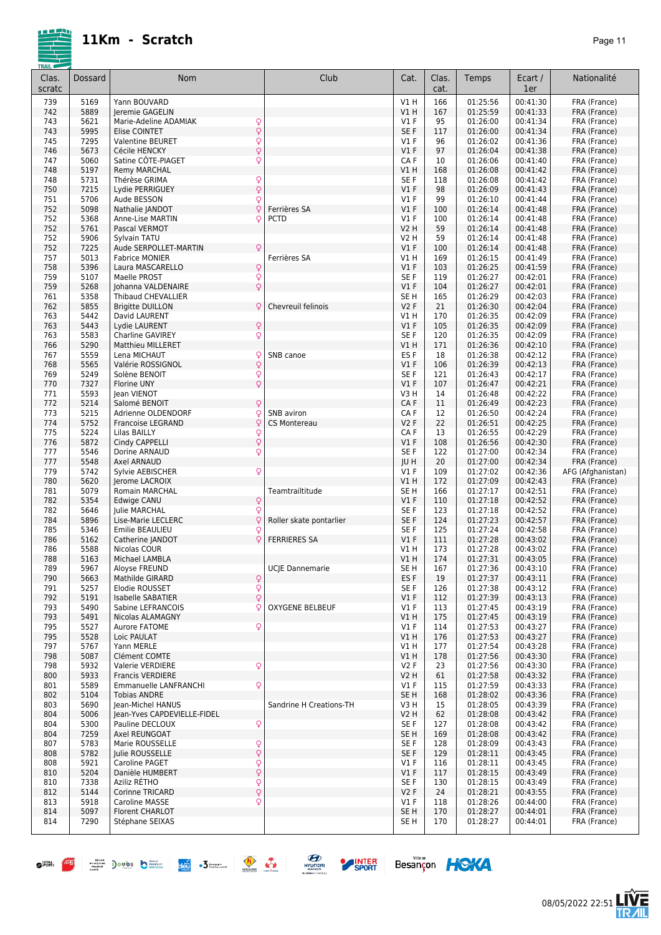



| Clas.<br>scratc | Dossard      | Nom                                                       | Club                    | Cat.                      | Clas.<br>cat. | Temps                | Ecart /<br>1er       | Nationalité                       |
|-----------------|--------------|-----------------------------------------------------------|-------------------------|---------------------------|---------------|----------------------|----------------------|-----------------------------------|
| 739             | 5169         | Yann BOUVARD                                              |                         | V1 H                      | 166           | 01:25:56             | 00:41:30             | FRA (France)                      |
| 742             | 5889         | Jeremie GAGELIN                                           |                         | V1 H                      | 167           | 01:25:59             | 00:41:33             | FRA (France)                      |
| 743             | 5621         | Marie-Adeline ADAMIAK<br>$\frac{Q}{Q}$                    |                         | <b>V1 F</b>               | 95            | 01:26:00             | 00:41:34             | FRA (France)                      |
| 743             | 5995         | Elise COINTET                                             |                         | SE <sub>F</sub>           | 117           | 01:26:00             | 00:41:34             | FRA (France)                      |
| 745<br>746      | 7295<br>5673 | $\frac{Q}{Q}$<br><b>Valentine BEURET</b><br>Cécile HENCKY |                         | V1F<br>V1F                | 96<br>97      | 01:26:02<br>01:26:04 | 00:41:36<br>00:41:38 | FRA (France)                      |
| 747             | 5060         | Satine CÔTE-PIAGET<br>Q                                   |                         | CA F                      | 10            | 01:26:06             | 00:41:40             | FRA (France)<br>FRA (France)      |
| 748             | 5197         | <b>Remy MARCHAL</b>                                       |                         | V1H                       | 168           | 01:26:08             | 00:41:42             | FRA (France)                      |
| 748             | 5731         | $\frac{Q}{Q}$<br>Thérèse GRIMA                            |                         | SE <sub>F</sub>           | 118           | 01:26:08             | 00:41:42             | FRA (France)                      |
| 750             | 7215         | Lydie PERRIGUEY                                           |                         | V1F                       | 98            | 01:26:09             | 00:41:43             | FRA (France)                      |
| 751             | 5706         | Q<br>Aude BESSON                                          | Ferrières SA            | V1F                       | 99            | 01:26:10<br>01:26:14 | 00:41:44             | FRA (France)                      |
| 752<br>752      | 5098<br>5368 | Q<br>Nathalie JANDOT<br>Q<br>Anne-Lise MARTIN             | <b>PCTD</b>             | $VI$ F<br>$VI$ F          | 100<br>100    | 01:26:14             | 00:41:48<br>00:41:48 | FRA (France)<br>FRA (France)      |
| 752             | 5761         | Pascal VERMOT                                             |                         | V2 H                      | 59            | 01:26:14             | 00:41:48             | FRA (France)                      |
| 752             | 5906         | Sylvain TATU                                              |                         | V2 H                      | 59            | 01:26:14             | 00:41:48             | FRA (France)                      |
| 752             | 7225         | Q<br>Aude SERPOLLET-MARTIN                                |                         | $VI$ F                    | 100           | 01:26:14             | 00:41:48             | FRA (France)                      |
| 757             | 5013         | <b>Fabrice MONIER</b>                                     | Ferrières SA            | V1 H                      | 169           | 01:26:15             | 00:41:49             | FRA (France)                      |
| 758<br>759      | 5396<br>5107 | $\frac{Q}{Q}$<br>Laura MASCARELLO<br>Maelle PROST         |                         | $VI$ F<br>SE <sub>F</sub> | 103<br>119    | 01:26:25<br>01:26:27 | 00:41:59<br>00:42:01 | FRA (France)<br>FRA (France)      |
| 759             | 5268         | $\overline{Q}$<br>Johanna VALDENAIRE                      |                         | $VI$ F                    | 104           | 01:26:27             | 00:42:01             | FRA (France)                      |
| 761             | 5358         | Thibaud CHEVALLIER                                        |                         | SE <sub>H</sub>           | 165           | 01:26:29             | 00:42:03             | FRA (France)                      |
| 762             | 5855         | <b>Brigitte DUILLON</b><br>ΩI                             | Chevreuil felinois      | V2F                       | 21            | 01:26:30             | 00:42:04             | FRA (France)                      |
| 763             | 5442         | David LAURENT                                             |                         | V1 H                      | 170           | 01:26:35             | 00:42:09             | FRA (France)                      |
| 763             | 5443         | Q<br>Lydie LAURENT                                        |                         | $VI$ F                    | 105           | 01:26:35             | 00:42:09             | FRA (France)                      |
| 763<br>766      | 5583<br>5290 | Q<br>Charline GAVIREY<br><b>Matthieu MILLERET</b>         |                         | SE <sub>F</sub><br>V1 H   | 120<br>171    | 01:26:35<br>01:26:36 | 00:42:09<br>00:42:10 | FRA (France)<br>FRA (France)      |
| 767             | 5559         | Lena MICHAUT<br>Q                                         | SNB canoe               | ES F                      | 18            | 01:26:38             | 00:42:12             | FRA (France)                      |
| 768             | 5565         | $\overline{Q}$<br>Valérie ROSSIGNOL                       |                         | V1F                       | 106           | 01:26:39             | 00:42:13             | FRA (France)                      |
| 769             | 5249         | $\frac{Q}{Q}$<br>Solène BENOIT                            |                         | SE <sub>F</sub>           | 121           | 01:26:43             | 00:42:17             | FRA (France)                      |
| 770             | 7327         | <b>Florine UNY</b>                                        |                         | V1F                       | 107           | 01:26:47             | 00:42:21             | FRA (France)                      |
| 771             | 5593         | lean VIENOT                                               |                         | V3H                       | 14            | 01:26:48             | 00:42:22             | FRA (France)                      |
| 772<br>773      | 5214<br>5215 | Q<br>Salomé BENOIT<br>Adrienne OLDENDORF<br>Q             | SNB aviron              | CA F<br>CA F              | 11<br>12      | 01:26:49<br>01:26:50 | 00:42:23<br>00:42:24 | FRA (France)<br>FRA (France)      |
| 774             | 5752         | Francoise LEGRAND<br>Ç                                    | <b>CS Montereau</b>     | V <sub>2</sub> F          | 22            | 01:26:51             | 00:42:25             | FRA (France)                      |
| 775             | 5224         | Lilas BAILLY                                              |                         | CAF                       | 13            | 01:26:55             | 00:42:29             | FRA (France)                      |
| 776             | 5872         | $\frac{Q}{Q}$<br>Cindy CAPPELLI                           |                         | V1F                       | 108           | 01:26:56             | 00:42:30             | FRA (France)                      |
| 777             | 5546         | Q<br>Dorine ARNAUD                                        |                         | SE <sub>F</sub>           | 122           | 01:27:00             | 00:42:34             | FRA (France)                      |
| 777             | 5548         | Axel ARNAUD                                               |                         | JU H                      | 20            | 01:27:00             | 00:42:34<br>00:42:36 | FRA (France)                      |
| 779<br>780      | 5742<br>5620 | Q<br>Sylvie AEBISCHER<br>Jerome LACROIX                   |                         | <b>V1 F</b><br>V1 H       | 109<br>172    | 01:27:02<br>01:27:09 | 00:42:43             | AFG (Afghanistan)<br>FRA (France) |
| 781             | 5079         | Romain MARCHAL                                            | Teamtrailtitude         | SE <sub>H</sub>           | 166           | 01:27:17             | 00:42:51             | FRA (France)                      |
| 782             | 5354         | $\frac{Q}{Q}$<br>Edwige CANU                              |                         | $VI$ F                    | 110           | 01:27:18             | 00:42:52             | FRA (France)                      |
| 782             | 5646         | <b>Julie MARCHAL</b>                                      |                         | SE F                      | 123           | 01:27:18             | 00:42:52             | FRA (France)                      |
| 784             | 5896         | Q<br>Lise-Marie LECLERC                                   | Roller skate pontarlier | SE F                      | 124           | 01:27:23             | 00:42:57             | FRA (France)                      |
| 785<br>786      | 5346<br>5162 | Q<br>Emilie BEAULIEU<br>Catherine JANDOT<br>Q             | <b>FERRIERES SA</b>     | SE <sub>F</sub><br>V1F    | 125<br>111    | 01:27:24<br>01:27:28 | 00:42:58<br>00:43:02 | FRA (France)<br>FRA (France)      |
| 786             | 5588         | Nicolas COUR                                              |                         | V1 H                      | 173           | 01:27:28             | 00:43:02             | FRA (France)                      |
| 788             | 5163         | Michael LAMBLA                                            |                         | V1 H                      | 174           | 01:27:31             | 00:43:05             | FRA (France)                      |
| 789             | 5967         | Aloyse FREUND                                             | UCJE Dannemarie         | SE H                      | 167           | 01:27:36             | 00:43:10             | FRA (France)                      |
| 790             | 5663         | Mathilde GIRARD<br>$\frac{Q}{Q}$                          |                         | ES <sub>F</sub>           | 19            | 01:27:37             | 00:43:11             | FRA (France)                      |
| 791<br>792      | 5257<br>5191 | Elodie ROUSSET<br>$\overline{Q}$<br>Isabelle SABATIER     |                         | SE F<br>$VI$ F            | 126           | 01:27:38<br>01:27:39 | 00:43:12<br>00:43:13 | FRA (France)<br>FRA (France)      |
| 793             | 5490         | Sabine LEFRANCOIS<br>Q                                    | <b>OXYGENE BELBEUF</b>  | $VI$ F                    | 112<br>113    | 01:27:45             | 00:43:19             | FRA (France)                      |
| 793             | 5491         | Nicolas ALAMAGNY                                          |                         | V1H                       | 175           | 01:27:45             | 00:43:19             | FRA (France)                      |
| 795             | 5527         | Q<br>Aurore FATOME                                        |                         | V1F                       | 114           | 01:27:53             | 00:43:27             | FRA (France)                      |
| 795             | 5528         | Loic PAULAT                                               |                         | V1H                       | 176           | 01:27:53             | 00:43:27             | FRA (France)                      |
| 797             | 5767         | Yann MERLE                                                |                         | V1 H<br>V1H               | 177           | 01:27:54<br>01:27:56 | 00:43:28<br>00:43:30 | FRA (France)                      |
| 798<br>798      | 5087<br>5932 | Clément COMTE<br>Valerie VERDIERE<br>Q                    |                         | V2F                       | 178<br>23     | 01:27:56             | 00:43:30             | FRA (France)<br>FRA (France)      |
| 800             | 5933         | <b>Francis VERDIERE</b>                                   |                         | <b>V2 H</b>               | 61            | 01:27:58             | 00:43:32             | FRA (France)                      |
| 801             | 5589         | Q<br>Emmanuelle LANFRANCHI                                |                         | $VI$ F                    | 115           | 01:27:59             | 00:43:33             | FRA (France)                      |
| 802             | 5104         | <b>Tobias ANDRE</b>                                       |                         | SE <sub>H</sub>           | 168           | 01:28:02             | 00:43:36             | FRA (France)                      |
| 803             | 5690         | Jean-Michel HANUS                                         | Sandrine H Creations-TH | V3 H                      | 15            | 01:28:05             | 00:43:39             | FRA (France)                      |
| 804<br>804      | 5006<br>5300 | Jean-Yves CAPDEVIELLE-FIDEL<br>Pauline DECLOUX            |                         | V2 H                      | 62            | 01:28:08             | 00:43:42<br>00:43:42 | FRA (France)<br>FRA (France)      |
| 804             | 7259         | Q<br>Axel REUNGOAT                                        |                         | SE F<br>SE <sub>H</sub>   | 127<br>169    | 01:28:08<br>01:28:08 | 00:43:42             | FRA (France)                      |
| 807             | 5783         | Marie ROUSSELLE                                           |                         | SE F                      | 128           | 01:28:09             | 00:43:43             | FRA (France)                      |
| 808             | 5782         | $\frac{Q}{Q}$<br>Julie ROUSSELLE                          |                         | SE F                      | 129           | 01:28:11             | 00:43:45             | FRA (France)                      |
| 808             | 5921         | Q<br>Caroline PAGET                                       |                         | $VI$ F                    | 116           | 01:28:11             | 00:43:45             | FRA (France)                      |
| 810             | 5204         | $\dot{\varphi}$<br>Danièle HUMBERT                        |                         | $VI$ F                    | 117           | 01:28:15             | 00:43:49             | FRA (France)                      |
| 810<br>812      | 7338<br>5144 | $\frac{Q}{Q}$<br>Aziliz RÉTHO<br>Corinne TRICARD          |                         | SE F<br>V2F               | 130<br>24     | 01:28:15<br>01:28:21 | 00:43:49<br>00:43:55 | FRA (France)<br>FRA (France)      |
| 813             | 5918         | Q<br>Caroline MASSE                                       |                         | $VI$ F                    | 118           | 01:28:26             | 00:44:00             | FRA (France)                      |
| 814             | 5097         | Florent CHARLOT                                           |                         | SE <sub>H</sub>           | 170           | 01:28:27             | 00:44:01             | FRA (France)                      |
| 814             | 7290         | Stéphane SEIXAS                                           |                         | SE H                      | 170           | 01:28:27             | 00:44:01             | FRA (France)                      |
|                 |              |                                                           |                         |                           |               |                      |                      |                                   |





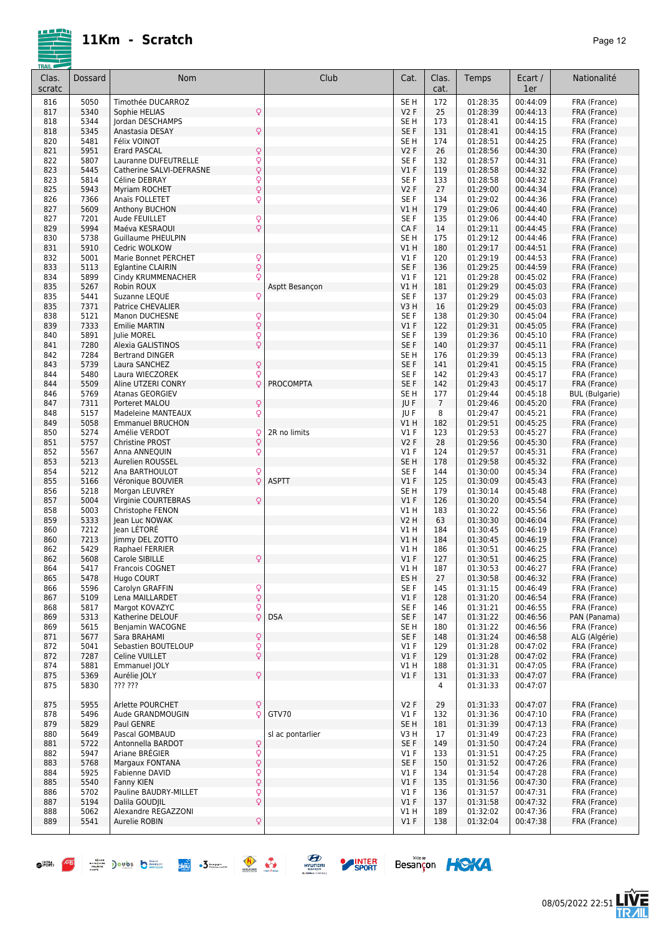

| Clas.<br>scratc | Dossard      | Nom                                                 | Club             | Cat.                               | Clas.<br>cat.  | Temps                | Ecart /<br>1er       | Nationalité                  |
|-----------------|--------------|-----------------------------------------------------|------------------|------------------------------------|----------------|----------------------|----------------------|------------------------------|
| 816             | 5050         | Timothée DUCARROZ                                   |                  | SE <sub>H</sub>                    | 172            | 01:28:35             | 00:44:09             | FRA (France)                 |
| 817             | 5340         | Q<br>Sophie HELIAS                                  |                  | <b>V2F</b>                         | 25             | 01:28:39             | 00:44:13             | FRA (France)                 |
| 818             | 5344         | Jordan DESCHAMPS                                    |                  | SE <sub>H</sub>                    | 173            | 01:28:41             | 00:44:15             | FRA (France)                 |
| 818<br>820      | 5345<br>5481 | Q<br>Anastasia DESAY<br>Félix VOINOT                |                  | SE <sub>F</sub><br>SE <sub>H</sub> | 131<br>174     | 01:28:41<br>01:28:51 | 00:44:15<br>00:44:25 | FRA (France)<br>FRA (France) |
| 821             | 5951         | Q<br><b>Erard PASCAL</b>                            |                  | <b>V2F</b>                         | 26             | 01:28:56             | 00:44:30             | FRA (France)                 |
| 822             | 5807         | Q<br>Lauranne DUFEUTRELLE                           |                  | SE <sub>F</sub>                    | 132            | 01:28:57             | 00:44:31             | FRA (France)                 |
| 823             | 5445         | $\dot{\overline{Q}}$<br>Catherine SALVI-DEFRASNE    |                  | V1F                                | 119            | 01:28:58             | 00:44:32             | FRA (France)                 |
| 823             | 5814         | $\frac{Q}{Q}$<br>Céline DEBRAY                      |                  | SE <sub>F</sub>                    | 133            | 01:28:58             | 00:44:32             | FRA (France)                 |
| 825             | 5943         | Myriam ROCHET<br>Anaïs FOLLETET                     |                  | V2F                                | 27             | 01:29:00             | 00:44:34             | FRA (France)                 |
| 826<br>827      | 7366<br>5609 | Q<br>Anthony BUCHON                                 |                  | SE <sub>F</sub><br>V1H             | 134<br>179     | 01:29:02<br>01:29:06 | 00:44:36<br>00:44:40 | FRA (France)<br>FRA (France) |
| 827             | 7201         | Q<br>Aude FEUILLET                                  |                  | SE <sub>F</sub>                    | 135            | 01:29:06             | 00:44:40             | FRA (France)                 |
| 829             | 5994         | $\overline{Q}$<br>Maéva KESRAOUI                    |                  | CA F                               | 14             | 01:29:11             | 00:44:45             | FRA (France)                 |
| 830             | 5738         | <b>Guillaume PHEULPIN</b>                           |                  | SE <sub>H</sub>                    | 175            | 01:29:12             | 00:44:46             | FRA (France)                 |
| 831             | 5910         | Cedric WOLKOW                                       |                  | V1H                                | 180            | 01:29:17             | 00:44:51             | FRA (France)                 |
| 832             | 5001         | $\frac{Q}{Q}$<br>Marie Bonnet PERCHET               |                  | $VI$ F                             | 120            | 01:29:19             | 00:44:53             | FRA (France)                 |
| 833<br>834      | 5113<br>5899 | <b>Eglantine CLAIRIN</b><br>Q<br>Cindy KRUMMENACHER |                  | SE F<br>$VI$ F                     | 136<br>121     | 01:29:25<br>01:29:28 | 00:44:59<br>00:45:02 | FRA (France)<br>FRA (France) |
| 835             | 5267         | Robin ROUX                                          | Asptt Besancon   | V1H                                | 181            | 01:29:29             | 00:45:03             | FRA (France)                 |
| 835             | 5441         | Suzanne LEQUE<br>Q                                  |                  | SE F                               | 137            | 01:29:29             | 00:45:03             | FRA (France)                 |
| 835             | 7371         | <b>Patrice CHEVALIER</b>                            |                  | V3 H                               | 16             | 01:29:29             | 00:45:03             | FRA (France)                 |
| 838             | 5121         | $\frac{Q}{Q}$<br>Manon DUCHESNE                     |                  | SE F                               | 138            | 01:29:30             | 00:45:04             | FRA (France)                 |
| 839             | 7333         | <b>Emilie MARTIN</b>                                |                  | V1F                                | 122            | 01:29:31             | 00:45:05             | FRA (France)                 |
| 840             | 5891         | $\frac{Q}{Q}$<br>Julie MOREL                        |                  | SE F                               | 139            | 01:29:36             | 00:45:10             | FRA (France)                 |
| 841<br>842      | 7280<br>7284 | Alexia GALISTINOS<br><b>Bertrand DINGER</b>         |                  | SE <sub>F</sub><br>SE <sub>H</sub> | 140<br>176     | 01:29:37<br>01:29:39 | 00:45:11<br>00:45:13 | FRA (France)<br>FRA (France) |
| 843             | 5739         | Q<br>Laura SANCHEZ                                  |                  | SE F                               | 141            | 01:29:41             | 00:45:15             | FRA (France)                 |
| 844             | 5480         | Q<br>Laura WIECZOREK                                |                  | SE F                               | 142            | 01:29:43             | 00:45:17             | FRA (France)                 |
| 844             | 5509         | Q<br>Aline UTZERI CONRY                             | PROCOMPTA        | SE F                               | 142            | 01:29:43             | 00:45:17             | FRA (France)                 |
| 846             | 5769         | Atanas GEORGIEV                                     |                  | SE <sub>H</sub>                    | 177            | 01:29:44             | 00:45:18             | <b>BUL</b> (Bulgarie)        |
| 847             | 7311         | Q<br>Porteret MALOU                                 |                  | JU F                               | $\overline{7}$ | 01:29:46             | 00:45:20             | FRA (France)                 |
| 848             | 5157         | Q<br>Madeleine MANTEAUX                             |                  | JUF                                | 8              | 01:29:47             | 00:45:21             | FRA (France)                 |
| 849             | 5058         | <b>Emmanuel BRUCHON</b>                             |                  | VIH                                | 182            | 01:29:51             | 00:45:25             | FRA (France)                 |
| 850<br>851      | 5274<br>5757 | Amélie VERDOT<br>Q<br>Q<br>Christine PROST          | 2R no limits     | V1F<br>V2F                         | 123<br>28      | 01:29:53<br>01:29:56 | 00:45:27<br>00:45:30 | FRA (France)<br>FRA (France) |
| 852             | 5567         | Q<br>Anna ANNEQUIN                                  |                  | V1F                                | 124            | 01:29:57             | 00:45:31             | FRA (France)                 |
| 853             | 5213         | Aurelien ROUSSEL                                    |                  | SE <sub>H</sub>                    | 178            | 01:29:58             | 00:45:32             | FRA (France)                 |
| 854             | 5212         | Ana BARTHOULOT<br>Q                                 |                  | SE F                               | 144            | 01:30:00             | 00:45:34             | FRA (France)                 |
| 855             | 5166         | Q<br>Véronique BOUVIER                              | <b>ASPTT</b>     | V1F                                | 125            | 01:30:09             | 00:45:43             | FRA (France)                 |
| 856             | 5218         | Morgan LEUVREY                                      |                  | SE <sub>H</sub>                    | 179            | 01:30:14             | 00:45:48             | FRA (France)                 |
| 857             | 5004         | Q<br>Virginie COURTEBRAS                            |                  | V1F                                | 126            | 01:30:20             | 00:45:54             | FRA (France)                 |
| 858<br>859      | 5003<br>5333 | Christophe FENON<br>lean Luc NOWAK                  |                  | V1 H<br><b>V2 H</b>                | 183<br>63      | 01:30:22<br>01:30:30 | 00:45:56<br>00:46:04 | FRA (France)<br>FRA (France) |
| 860             | 7212         | Jean LÉTORÉ                                         |                  | V1 H                               | 184            | 01:30:45             | 00:46:19             | FRA (France)                 |
| 860             | 7213         | Jimmy DEL ZOTTO                                     |                  | VIH                                | 184            | 01:30:45             | 00:46:19             | FRA (France)                 |
| 862             | 5429         | Raphael FERRIER                                     |                  | V1 H                               | 186            | 01:30:51             | 00:46:25             | FRA (France)                 |
| 862             | 5608         | Q<br>Carole SIBILLE                                 |                  | $VI$ F                             | 127            | 01:30:51             | 00:46:25             | FRA (France)                 |
| 864             | 5417         | <b>Francois COGNET</b>                              |                  | V1 H                               | 187            | 01:30:53             | 00:46:27             | FRA (France)                 |
| 865             | 5478         | Hugo COURT                                          |                  | ES H                               | 27             | 01:30:58             | 00:46:32             | FRA (France)                 |
| 866             | 5596         | Carolyn GRAFFIN<br>$\frac{Q}{Q}$                    |                  | SE F                               | 145            | 01:31:15             | 00:46:49             | FRA (France)                 |
| 867<br>868      | 5109<br>5817 | Lena MAILLARDET<br>Q<br>Margot KOVAZYC              |                  | $VI$ F<br>SE F                     | 128<br>146     | 01:31:20<br>01:31:21 | 00:46:54<br>00:46:55 | FRA (France)<br>FRA (France) |
| 869             | 5313         | Q<br>Katherine DELOUF                               | <b>DSA</b>       | SE F                               | 147            | 01:31:22             | 00:46:56             | PAN (Panama)                 |
| 869             | 5615         | Benjamin WACOGNE                                    |                  | SE <sub>H</sub>                    | 180            | 01:31:22             | 00:46:56             | FRA (France)                 |
| 871             | 5677         | Q<br>Sara BRAHAMI                                   |                  | SE F                               | 148            | 01:31:24             | 00:46:58             | ALG (Algérie)                |
| 872             | 5041         | Q<br>Sebastien BOUTELOUP                            |                  | $VI$ F                             | 129            | 01:31:28             | 00:47:02             | FRA (France)                 |
| 872             | 7287         | Q<br>Celine VUILLET                                 |                  | $VI$ F                             | 129            | 01:31:28             | 00:47:02             | FRA (France)                 |
| 874             | 5881         | Emmanuel JOLY                                       |                  | V1 H                               | 188            | 01:31:31             | 00:47:05             | FRA (France)                 |
| 875<br>875      | 5369<br>5830 | Q<br>Aurélie JOLY<br>??? ???                        |                  | $VI$ F                             | 131<br>4       | 01:31:33<br>01:31:33 | 00:47:07<br>00:47:07 | FRA (France)                 |
|                 |              |                                                     |                  |                                    |                |                      |                      |                              |
| 875             | 5955         | $\mathsf{Q}$<br>Arlette POURCHET                    |                  | V2F                                | 29             | 01:31:33             | 00:47:07             | FRA (France)                 |
| 878             | 5496         | Aude GRANDMOUGIN<br>Q                               | GTV70            | $VI$ F                             | 132            | 01:31:36             | 00:47:10             | FRA (France)                 |
| 879             | 5829         | Paul GENRE                                          |                  | SE H                               | 181            | 01:31:39             | 00:47:13             | FRA (France)                 |
| 880             | 5649         | Pascal GOMBAUD                                      | sl ac pontarlier | V3 H                               | 17             | 01:31:49             | 00:47:23             | FRA (France)                 |
| 881             | 5722         | Antonnella BARDOT<br>Q                              |                  | SE F                               | 149            | 01:31:50             | 00:47:24             | FRA (France)                 |
| 882             | 5947         | $\frac{Q}{Q}$<br>Ariane BRÉGIER                     |                  | $VI$ F                             | 133            | 01:31:51             | 00:47:25             | FRA (France)                 |
| 883<br>884      | 5768<br>5925 | Margaux FONTANA<br>Fabienne DAVID                   |                  | SE F<br>$VI$ F                     | 150<br>134     | 01:31:52<br>01:31:54 | 00:47:26<br>00:47:28 | FRA (France)<br>FRA (France) |
| 885             | 5540         | .<br>२<br>Fanny KIEN                                |                  | $VI$ F                             | 135            | 01:31:56             | 00:47:30             | FRA (France)                 |
| 886             | 5702         | Pauline BAUDRY-MILLET                               |                  | $VI$ F                             | 136            | 01:31:57             | 00:47:31             | FRA (France)                 |
| 887             | 5194         | $\frac{Q}{Q}$<br>Dalila GOUDJIL                     |                  | $VI$ F                             | 137            | 01:31:58             | 00:47:32             | FRA (France)                 |
| 888             | 5062         | Alexandre REGAZZONI                                 |                  | VIH                                | 189            | 01:32:02             | 00:47:36             | FRA (France)                 |
| 889             | 5541         | Q<br>Aurelie ROBIN                                  |                  | $VI$ F                             | 138            | 01:32:04             | 00:47:38             | FRA (France)                 |
|                 |              |                                                     |                  |                                    |                |                      |                      |                              |





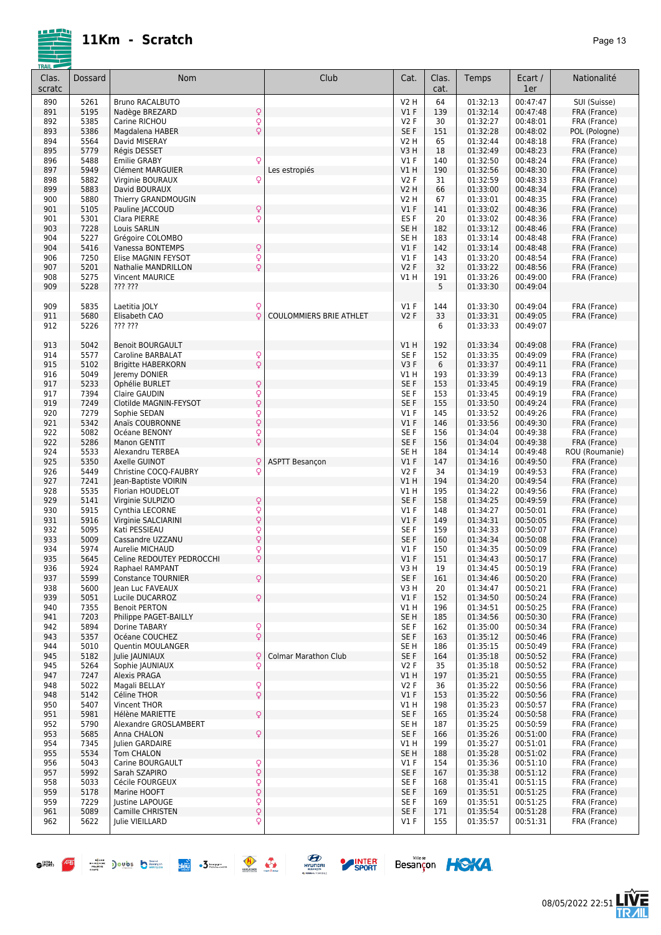

| I KAIL – |         |                                                   |                                |                  |       |          |          |                |
|----------|---------|---------------------------------------------------|--------------------------------|------------------|-------|----------|----------|----------------|
| Clas.    | Dossard | Nom                                               | Club                           | Cat.             | Clas. | Temps    | Ecart /  | Nationalité    |
| scratc   |         |                                                   |                                |                  | cat.  |          | 1er      |                |
|          |         |                                                   |                                |                  |       |          |          |                |
| 890      | 5261    | <b>Bruno RACALBUTO</b>                            |                                | V2 H             | 64    | 01:32:13 | 00:47:47 | SUI (Suisse)   |
| 891      | 5195    | Nadège BREZARD<br>Q                               |                                | V1F              | 139   | 01:32:14 | 00:47:48 | FRA (France)   |
| 892      | 5385    | Q<br>Carine RICHOU                                |                                | <b>V2F</b>       | 30    | 01:32:27 | 00:48:01 | FRA (France)   |
| 893      | 5386    | $\dot{\varphi}$<br>Magdalena HABER                |                                | SE <sub>F</sub>  | 151   | 01:32:28 | 00:48:02 | POL (Pologne)  |
|          | 5564    |                                                   |                                |                  |       | 01:32:44 | 00:48:18 |                |
| 894      |         | David MISERAY                                     |                                | V2 H             | 65    |          |          | FRA (France)   |
| 895      | 5779    | Régis DESSET                                      |                                | V3 H             | 18    | 01:32:49 | 00:48:23 | FRA (France)   |
| 896      | 5488    | Q<br><b>Emilie GRABY</b>                          |                                | V1F              | 140   | 01:32:50 | 00:48:24 | FRA (France)   |
| 897      | 5949    | Clément MARGUIER                                  | Les estropiés                  | VIH              | 190   | 01:32:56 | 00:48:30 | FRA (France)   |
| 898      | 5882    | Virginie BOURAUX<br>Q                             |                                | <b>V2F</b>       | 31    | 01:32:59 | 00:48:33 | FRA (France)   |
| 899      | 5883    | David BOURAUX                                     |                                | <b>V2 H</b>      | 66    | 01:33:00 | 00:48:34 | FRA (France)   |
|          |         |                                                   |                                |                  |       |          | 00:48:35 |                |
| 900      | 5880    | Thierry GRANDMOUGIN                               |                                | V2 H             | 67    | 01:33:01 |          | FRA (France)   |
| 901      | 5105    | Q<br>Pauline JACCOUD                              |                                | V1F              | 141   | 01:33:02 | 00:48:36 | FRA (France)   |
| 901      | 5301    | Q<br>Clara PIERRE                                 |                                | ES <sub>F</sub>  | 20    | 01:33:02 | 00:48:36 | FRA (France)   |
| 903      | 7228    | <b>Louis SARLIN</b>                               |                                | SE <sub>H</sub>  | 182   | 01:33:12 | 00:48:46 | FRA (France)   |
| 904      | 5227    | Grégoire COLOMBO                                  |                                | SE <sub>H</sub>  | 183   | 01:33:14 | 00:48:48 | FRA (France)   |
| 904      | 5416    | Q<br>Vanessa BONTEMPS                             |                                | V1F              | 142   | 01:33:14 | 00:48:48 | FRA (France)   |
| 906      | 7250    | Elise MAGNIN FEYSOT                               |                                | $VI$ F           | 143   | 01:33:20 | 00:48:54 | FRA (France)   |
|          |         | $\frac{Q}{Q}$                                     |                                |                  |       |          |          |                |
| 907      | 5201    | Nathalie MANDRILLON                               |                                | V <sub>2</sub> F | 32    | 01:33:22 | 00:48:56 | FRA (France)   |
| 908      | 5275    | <b>Vincent MAURICE</b>                            |                                | V1H              | 191   | 01:33:26 | 00:49:00 | FRA (France)   |
| 909      | 5228    | ??? ???                                           |                                |                  | 5     | 01:33:30 | 00:49:04 |                |
|          |         |                                                   |                                |                  |       |          |          |                |
| 909      | 5835    | Laetitia JOLY<br>Q                                |                                | $VI$ F           | 144   | 01:33:30 | 00:49:04 | FRA (France)   |
| 911      | 5680    | Q<br>Elisabeth CAO                                | <b>COULOMMIERS BRIE ATHLET</b> | <b>V2F</b>       | 33    | 01:33:31 | 00:49:05 | FRA (France)   |
|          |         |                                                   |                                |                  |       |          |          |                |
| 912      | 5226    | ??? ???                                           |                                |                  | 6     | 01:33:33 | 00:49:07 |                |
|          |         |                                                   |                                |                  |       |          |          |                |
| 913      | 5042    | <b>Benoit BOURGAULT</b>                           |                                | VIH              | 192   | 01:33:34 | 00:49:08 | FRA (France)   |
| 914      | 5577    | Caroline BARBALAT<br>Q                            |                                | SE <sub>F</sub>  | 152   | 01:33:35 | 00:49:09 | FRA (France)   |
| 915      | 5102    | $\dot{\overline{Q}}$<br><b>Brigitte HABERKORN</b> |                                | V3F              | 6     | 01:33:37 | 00:49:11 | FRA (France)   |
| 916      | 5049    |                                                   |                                | V1 H             | 193   | 01:33:39 | 00:49:13 | FRA (France)   |
|          |         | Jeremy DONIER                                     |                                |                  |       |          |          |                |
| 917      | 5233    | Q<br>Ophélie BURLET                               |                                | SE <sub>F</sub>  | 153   | 01:33:45 | 00:49:19 | FRA (France)   |
| 917      | 7394    | Q<br>Q<br>Claire GAUDIN                           |                                | SE <sub>F</sub>  | 153   | 01:33:45 | 00:49:19 | FRA (France)   |
| 919      | 7249    | Clotilde MAGNIN-FEYSOT                            |                                | SE F             | 155   | 01:33:50 | 00:49:24 | FRA (France)   |
| 920      | 7279    | Q<br>Sophie SEDAN                                 |                                | V1F              | 145   | 01:33:52 | 00:49:26 | FRA (France)   |
| 921      | 5342    | $\dot{\overline{Q}}$<br>Anaïs COUBRONNE           |                                | V1F              | 146   | 01:33:56 | 00:49:30 | FRA (France)   |
|          | 5082    | Océane BENONY                                     |                                | SE <sub>F</sub>  |       | 01:34:04 | 00:49:38 |                |
| 922      |         | Q                                                 |                                |                  | 156   |          |          | FRA (France)   |
| 922      | 5286    | Q<br>Manon GENTIT                                 |                                | SE F             | 156   | 01:34:04 | 00:49:38 | FRA (France)   |
| 924      | 5533    | Alexandru TERBEA                                  |                                | SE <sub>H</sub>  | 184   | 01:34:14 | 00:49:48 | ROU (Roumanie) |
| 925      | 5350    | Q<br>Axelle GUINOT                                | <b>ASPTT Besançon</b>          | V1F              | 147   | 01:34:16 | 00:49:50 | FRA (France)   |
| 926      | 5449    | Christine COCQ-FAUBRY<br>Q                        |                                | <b>V2F</b>       | 34    | 01:34:19 | 00:49:53 | FRA (France)   |
| 927      | 7241    | Jean-Baptiste VOIRIN                              |                                | VIH              | 194   | 01:34:20 | 00:49:54 | FRA (France)   |
|          |         |                                                   |                                |                  |       |          |          |                |
| 928      | 5535    | Florian HOUDELOT                                  |                                | V1 H             | 195   | 01:34:22 | 00:49:56 | FRA (France)   |
| 929      | 5141    | Q<br>Virginie SULPIZIO                            |                                | SE F             | 158   | 01:34:25 | 00:49:59 | FRA (France)   |
| 930      | 5915    | $\frac{Q}{Q}$<br>Cynthia LECORNE                  |                                | $VI$ F           | 148   | 01:34:27 | 00:50:01 | FRA (France)   |
| 931      | 5916    | Virginie SALCIARINI                               |                                | V1F              | 149   | 01:34:31 | 00:50:05 | FRA (France)   |
| 932      | 5095    | Q<br>Kati PESSIEAU                                |                                | SE <sub>F</sub>  | 159   | 01:34:33 | 00:50:07 | FRA (France)   |
| 933      | 5009    | Q<br>Cassandre UZZANU                             |                                | SE <sub>F</sub>  | 160   | 01:34:34 | 00:50:08 | FRA (France)   |
|          |         |                                                   |                                |                  |       |          |          |                |
| 934      | 5974    | Q<br>Aurelie MICHAUD                              |                                | V1F              | 150   | 01:34:35 | 00:50:09 | FRA (France)   |
| 935      | 5645    | Q<br>Celine REDOUTEY PEDROCCHI                    |                                | V1F              | 151   | 01:34:43 | 00:50:17 | FRA (France)   |
| 936      | 5924    | Raphael RAMPANT                                   |                                | V3 H             | 19    | 01:34:45 | 00:50:19 | FRA (France)   |
| 937      | 5599    | Q<br><b>Constance TOURNIER</b>                    |                                | SE F             | 161   | 01:34:46 | 00:50:20 | FRA (France)   |
| 938      | 5600    | Jean Luc FAVEAUX                                  |                                | V3 H             | 20    | 01:34:47 | 00:50:21 | FRA (France)   |
| 939      |         |                                                   |                                | V1F              |       | 01:34:50 | 00:50:24 |                |
|          | 5051    | Q<br>Lucile DUCARROZ                              |                                |                  | 152   |          |          | FRA (France)   |
| 940      | 7355    | <b>Benoit PERTON</b>                              |                                | V1 H             | 196   | 01:34:51 | 00:50:25 | FRA (France)   |
| 941      | 7203    | Philippe PAGET-BAILLY                             |                                | SE H             | 185   | 01:34:56 | 00:50:30 | FRA (France)   |
| 942      | 5894    | Dorine TABARY                                     |                                | SE F             | 162   | 01:35:00 | 00:50:34 | FRA (France)   |
| 943      | 5357    | О<br>О<br>Océane COUCHEZ                          |                                | SE F             | 163   | 01:35:12 | 00:50:46 | FRA (France)   |
| 944      | 5010    | Quentin MOULANGER                                 |                                | SE H             | 186   | 01:35:15 | 00:50:49 | FRA (France)   |
|          |         |                                                   |                                |                  |       |          |          |                |
| 945      | 5182    | Julie JAUNIAUX<br>Q                               | <b>Colmar Marathon Club</b>    | SE F             | 164   | 01:35:18 | 00:50:52 | FRA (France)   |
| 945      | 5264    | Sophie JAUNIAUX<br>Q                              |                                | V2F              | 35    | 01:35:18 | 00:50:52 | FRA (France)   |
| 947      | 7247    | <b>Alexis PRAGA</b>                               |                                | V1H              | 197   | 01:35:21 | 00:50:55 | FRA (France)   |
| 948      | 5022    | Magali BELLAY                                     |                                | <b>V2F</b>       | 36    | 01:35:22 | 00:50:56 | FRA (France)   |
| 948      | 5142    | $\frac{Q}{Q}$<br>Céline THOR                      |                                | V1F              | 153   | 01:35:22 | 00:50:56 | FRA (France)   |
| 950      | 5407    | Vincent THOR                                      |                                | V1 H             | 198   | 01:35:23 | 00:50:57 | FRA (France)   |
|          |         |                                                   |                                |                  |       |          |          |                |
| 951      | 5981    | Q<br>Hélène MARIETTE                              |                                | SE F             | 165   | 01:35:24 | 00:50:58 | FRA (France)   |
| 952      | 5790    | Alexandre GROSLAMBERT                             |                                | SE <sub>H</sub>  | 187   | 01:35:25 | 00:50:59 | FRA (France)   |
| 953      | 5685    | Q<br>Anna CHALON                                  |                                | SE F             | 166   | 01:35:26 | 00:51:00 | FRA (France)   |
| 954      | 7345    | Julien GARDAIRE                                   |                                | V1 H             | 199   | 01:35:27 | 00:51:01 | FRA (France)   |
| 955      | 5534    | Tom CHALON                                        |                                | SE <sub>H</sub>  | 188   | 01:35:28 | 00:51:02 | FRA (France)   |
| 956      | 5043    | Carine BOURGAULT                                  |                                | <b>V1 F</b>      | 154   | 01:35:36 | 00:51:10 |                |
|          |         | Q<br>Q                                            |                                |                  |       |          |          | FRA (France)   |
| 957      | 5992    | Sarah SZAPIRO                                     |                                | SE F             | 167   | 01:35:38 | 00:51:12 | FRA (France)   |
| 958      | 5033    | Cécile FOURGEUX                                   |                                | SE F             | 168   | 01:35:41 | 00:51:15 | FRA (France)   |
| 959      | 5178    | .<br>२<br>Marine HOOFT                            |                                | SE F             | 169   | 01:35:51 | 00:51:25 | FRA (France)   |
| 959      | 7229    | Justine LAPOUGE                                   |                                | SE F             | 169   | 01:35:51 | 00:51:25 | FRA (France)   |
| 961      | 5089    | $\frac{1}{2}$<br>Camille CHRISTEN                 |                                | SE F             | 171   | 01:35:54 | 00:51:28 | FRA (France)   |
| 962      | 5622    | Q<br>Julie VIEILLARD                              |                                | $VI$ F           | 155   | 01:35:57 | 00:51:31 | FRA (France)   |
|          |         |                                                   |                                |                  |       |          |          |                |
|          |         |                                                   |                                |                  |       |          |          |                |



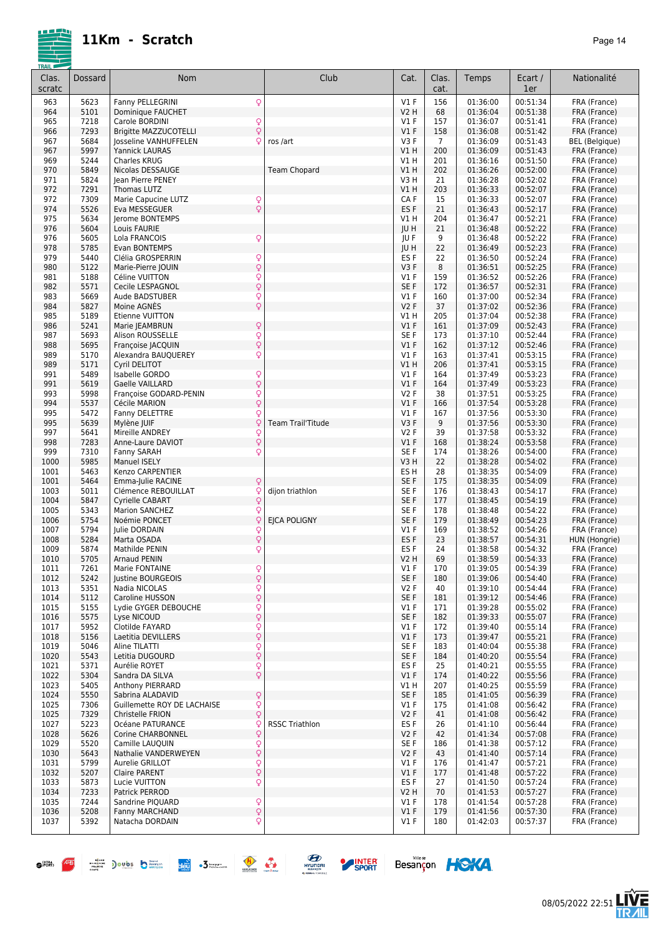| Clas.<br>scratc | Dossard      | Nom                                                                           | Club                     | Cat.              | Clas.<br>cat.         | Temps                | Ecart /<br>1er       | Nationalité                  |
|-----------------|--------------|-------------------------------------------------------------------------------|--------------------------|-------------------|-----------------------|----------------------|----------------------|------------------------------|
| 963             | 5623         | Q<br>Fanny PELLEGRINI                                                         |                          | $VI$ F            | 156                   | 01:36:00             | 00:51:34             | FRA (France)                 |
| 964             | 5101         | Dominique FAUCHET                                                             |                          | <b>V2 H</b>       | 68                    | 01:36:04             | 00:51:38             | FRA (France)                 |
| 965             | 7218         | $\mathsf{Q}$<br>Carole BORDINI                                                |                          | $VI$ F            | 157                   | 01:36:07             | 00:51:41             | FRA (France)                 |
| 966             | 7293         | $\dot{\varphi}$<br><b>Brigitte MAZZUCOTELLI</b>                               |                          | V1F               | 158                   | 01:36:08             | 00:51:42             | FRA (France)                 |
| 967<br>967      | 5684<br>5997 | <b>losseline VANHUFFELEN</b><br>Q<br><b>Yannick LAURAS</b>                    | ros /art                 | V3F<br>$VI$ H     | $\overline{7}$<br>200 | 01:36:09<br>01:36:09 | 00:51:43<br>00:51:43 | <b>BEL</b> (Belgique)        |
| 969             | 5244         | Charles KRUG                                                                  |                          | V1 H              | 201                   | 01:36:16             | 00:51:50             | FRA (France)<br>FRA (France) |
| 970             | 5849         | Nicolas DESSAUGE                                                              | <b>Team Chopard</b>      | V1H               | 202                   | 01:36:26             | 00:52:00             | FRA (France)                 |
| 971             | 5824         | Jean Pierre PENEY                                                             |                          | V3H               | 21                    | 01:36:28             | 00:52:02             | FRA (France)                 |
| 972             | 7291         | Thomas LUTZ                                                                   |                          | $VI$ H            | 203                   | 01:36:33             | 00:52:07             | FRA (France)                 |
| 972             | 7309         | Marie Capucine LUTZ<br>$\mathsf{Q}$                                           |                          | CA F              | 15                    | 01:36:33             | 00:52:07             | FRA (France)                 |
| 974             | 5526         | $\dot{Q}$<br>Eva MESSEGUER                                                    |                          | ES <sub>F</sub>   | 21                    | 01:36:43             | 00:52:17             | FRA (France)                 |
| 975             | 5634         | <b>lerome BONTEMPS</b>                                                        |                          | V1 H              | 204                   | 01:36:47             | 00:52:21             | FRA (France)                 |
| 976             | 5604         | Louis FAURIE                                                                  |                          | JU H              | 21                    | 01:36:48             | 00:52:22             | FRA (France)                 |
| 976<br>978      | 5605<br>5785 | $\mathsf{Q}$<br>Lola FRANCOIS<br>Evan BONTEMPS                                |                          | JU F<br>JU H      | 9<br>22               | 01:36:48<br>01:36:49 | 00:52:22<br>00:52:23 | FRA (France)                 |
| 979             | 5440         | Clélia GROSPERRIN<br>Q                                                        |                          | ES <sub>F</sub>   | 22                    | 01:36:50             | 00:52:24             | FRA (France)<br>FRA (France) |
| 980             | 5122         | $\dot{\varphi}$<br>Marie-Pierre JOUIN                                         |                          | V3F               | 8                     | 01:36:51             | 00:52:25             | FRA (France)                 |
| 981             | 5188         | Q<br>Céline VUITTON                                                           |                          | $VI$ F            | 159                   | 01:36:52             | 00:52:26             | FRA (France)                 |
| 982             | 5571         | Q<br>Cecile LESPAGNOL                                                         |                          | SE F              | 172                   | 01:36:57             | 00:52:31             | FRA (France)                 |
| 983             | 5669         | Q<br>Aude BADSTUBER                                                           |                          | $VI$ F            | 160                   | 01:37:00             | 00:52:34             | FRA (France)                 |
| 984             | 5827         | $\dot{Q}$<br>Moine AGNÈS                                                      |                          | <b>V2F</b>        | 37                    | 01:37:02             | 00:52:36             | FRA (France)                 |
| 985             | 5189         | Etienne VUITTON                                                               |                          | V1 H              | 205                   | 01:37:04             | 00:52:38             | FRA (France)                 |
| 986             | 5241         | Q<br>Marie JEAMBRUN<br><b>Alison ROUSSELLE</b>                                |                          | $VI$ F            | 161                   | 01:37:09             | 00:52:43             | FRA (France)<br>FRA (France) |
| 987<br>988      | 5693<br>5695 | $\overline{Q}$<br>$\hbox{\large\ensuremath{\mathsf{Q}}}$<br>Françoise JACQUIN |                          | SE F<br>V1F       | 173<br>162            | 01:37:10<br>01:37:12 | 00:52:44<br>00:52:46 | FRA (France)                 |
| 989             | 5170         | Q<br>Alexandra BAUQUEREY                                                      |                          | V1F               | 163                   | 01:37:41             | 00:53:15             | FRA (France)                 |
| 989             | 5171         | Cyril DELITOT                                                                 |                          | $VI$ H            | 206                   | 01:37:41             | 00:53:15             | FRA (France)                 |
| 991             | 5489         | Q<br>Isabelle GORDO                                                           |                          | $VI$ F            | 164                   | 01:37:49             | 00:53:23             | FRA (France)                 |
| 991             | 5619         | $\dot{\varphi}$<br>Gaelle VAILLARD                                            |                          | V1F               | 164                   | 01:37:49             | 00:53:23             | FRA (France)                 |
| 993             | 5998         | Q<br>Françoise GODARD-PENIN                                                   |                          | <b>V2F</b>        | 38                    | 01:37:51             | 00:53:25             | FRA (France)                 |
| 994             | 5537         | Q<br>Cécile MARION                                                            |                          | V1F               | 166                   | 01:37:54             | 00:53:28             | FRA (France)                 |
| 995             | 5472         | Q<br>Fanny DELETTRE                                                           |                          | $VI$ F            | 167                   | 01:37:56             | 00:53:30             | FRA (France)                 |
| 995<br>997      | 5639<br>5641 | Mylène JUIF<br>Q<br>Mireille ANDREY                                           | <b>Team Trail'Titude</b> | V3F<br><b>V2F</b> | 9<br>39               | 01:37:56<br>01:37:58 | 00:53:30<br>00:53:32 | FRA (France)<br>FRA (France) |
| 998             | 7283         | Q<br>$\dot{\varphi}$<br>Anne-Laure DAVIOT                                     |                          | V1F               | 168                   | 01:38:24             | 00:53:58             | FRA (France)                 |
| 999             | 7310         | $\mathsf{Q}$<br>Fanny SARAH                                                   |                          | SE F              | 174                   | 01:38:26             | 00:54:00             | FRA (France)                 |
| 1000            | 5985         | <b>Manuel ISELY</b>                                                           |                          | V3H               | 22                    | 01:38:28             | 00:54:02             | FRA (France)                 |
| 1001            | 5463         | Kenzo CARPENTIER                                                              |                          | ES H              | 28                    | 01:38:35             | 00:54:09             | FRA (France)                 |
| 1001            | 5464         | $\mathsf{Q}$<br>Emma-Julie RACINE                                             |                          | SE F              | 175                   | 01:38:35             | 00:54:09             | FRA (France)                 |
| 1003            | 5011         | Q<br>Clémence REBOUILLAT                                                      | dijon triathlon          | SE F              | 176                   | 01:38:43             | 00:54:17             | FRA (France)                 |
| 1004            | 5847         | Q<br>Cyrielle CABART                                                          |                          | SE F              | 177                   | 01:38:45             | 00:54:19<br>00:54:22 | FRA (France)                 |
| 1005<br>1006    | 5343<br>5754 | Q<br>Marion SANCHEZ<br>Q<br>Noémie PONCET                                     | <b>EJCA POLIGNY</b>      | SE F<br>SE F      | 178<br>179            | 01:38:48<br>01:38:49 | 00:54:23             | FRA (France)<br>FRA (France) |
| 1007            | 5794         | Q<br>Julie DORDAIN                                                            |                          | $VI$ F            | 169                   | 01:38:52             | 00:54:26             | FRA (France)                 |
| 1008            | 5284         | $\overline{Q}$<br>Marta OSADA                                                 |                          | ES <sub>F</sub>   | 23                    | 01:38:57             | 00:54:31             | HUN (Hongrie)                |
| 1009            | 5874         | Q<br>Mathilde PENIN                                                           |                          | ES <sub>F</sub>   | 24                    | 01:38:58             | 00:54:32             | FRA (France)                 |
| 1010            | 5705         | Arnaud PENIN                                                                  |                          | V2 H              | 69                    | 01:38:59             | 00:54:33             | FRA (France)                 |
| 1011            | 7261         | Marie FONTAINE<br>$\frac{Q}{Q}$                                               |                          | V1 F              | 170                   | 01:39:05             | 00:54:39             | FRA (France)                 |
| 1012            | 5242         | Justine BOURGEOIS                                                             |                          | SE F              | 180                   | 01:39:06             | 00:54:40             | FRA (France)                 |
| 1013            | 5351<br>5112 | Q<br>Nadia NICOLAS                                                            |                          | V2F<br>SE F       | 40                    | 01:39:10             | 00:54:44<br>00:54:46 | FRA (France)                 |
| 1014<br>1015    | 5155         | Q<br>Caroline HUSSON<br>Q<br>Lydie GYGER DEBOUCHE                             |                          | $VI$ F            | 181<br>171            | 01:39:12<br>01:39:28 | 00:55:02             | FRA (France)<br>FRA (France) |
| 1016            | 5575         | $\dot{\varphi}$<br>Lyse NICOUD                                                |                          | SE F              | 182                   | 01:39:33             | 00:55:07             | FRA (France)                 |
| 1017            | 5952         | Q<br>Clotilde FAYARD                                                          |                          | $VI$ F            | 172                   | 01:39:40             | 00:55:14             | FRA (France)                 |
| 1018            | 5156         | Q<br>Laetitia DEVILLERS                                                       |                          | $VI$ F            | 173                   | 01:39:47             | 00:55:21             | FRA (France)                 |
| 1019            | 5046         | Q<br>Aline TILATTI                                                            |                          | SE F              | 183                   | 01:40:04             | 00:55:38             | FRA (France)                 |
| 1020            | 5543         | $\mathsf{Q}$<br>Letitia DUGOURD                                               |                          | SE F              | 184                   | 01:40:20             | 00:55:54             | FRA (France)                 |
| 1021            | 5371         | $\mathsf{Q}$<br>Aurélie ROYET                                                 |                          | ES F              | 25                    | 01:40:21             | 00:55:55             | FRA (France)                 |
| 1022            | 5304         | $\overline{Q}$<br>Sandra DA SILVA                                             |                          | $VI$ F            | 174                   | 01:40:22<br>01:40:25 | 00:55:56             | FRA (France)                 |
| 1023<br>1024    | 5405<br>5550 | Anthony PIERRARD<br>$\mathsf{Q}$<br>Sabrina ALADAVID                          |                          | V1 H<br>SE F      | 207<br>185            | 01:41:05             | 00:55:59<br>00:56:39 | FRA (France)<br>FRA (France) |
| 1025            | 7306         | $\varphi$<br>Guillemette ROY DE LACHAISE                                      |                          | $VI$ F            | 175                   | 01:41:08             | 00:56:42             | FRA (France)                 |
| 1025            | 7329         | $\mathsf{Q}$<br>Christelle FRION                                              |                          | V2F               | 41                    | 01:41:08             | 00:56:42             | FRA (France)                 |
| 1027            | 5223         | Q<br>Océane PATURANCE                                                         | <b>RSSC Triathlon</b>    | ES <sub>F</sub>   | 26                    | 01:41:10             | 00:56:44             | FRA (France)                 |
| 1028            | 5626         | Q<br>Corine CHARBONNEL                                                        |                          | V2F               | 42                    | 01:41:34             | 00:57:08             | FRA (France)                 |
| 1029            | 5520         | $\boldsymbol{\mathsf{Q}}$<br>Camille LAUQUIN                                  |                          | SE F              | 186                   | 01:41:38             | 00:57:12             | FRA (France)                 |
| 1030            | 5643         | $\hbox{\large\it Q}$<br>Nathalie VANDERWEYEN                                  |                          | V2F               | 43                    | 01:41:40             | 00:57:14             | FRA (France)                 |
| 1031            | 5799         | $\frac{Q}{Q}$<br>Aurelie GRILLOT                                              |                          | $VI$ F<br>$VI$ F  | 176                   | 01:41:47<br>01:41:48 | 00:57:21<br>00:57:22 | FRA (France)                 |
| 1032<br>1033    | 5207<br>5873 | Claire PARENT<br>$\mathsf{Q}$<br>Lucie VUITTON                                |                          | ES <sub>F</sub>   | 177<br>27             | 01:41:50             | 00:57:24             | FRA (France)<br>FRA (France) |
| 1034            | 7233         | Patrick PERROD                                                                |                          | V2 H              | 70                    | 01:41:53             | 00:57:27             | FRA (France)                 |
| 1035            | 7244         | $\mathsf{Q}$<br>Sandrine PIQUARD                                              |                          | $VI$ F            | 178                   | 01:41:54             | 00:57:28             | FRA (France)                 |
| 1036            | 5208         | $\hbox{\large\textsf{Q}}$<br>Fanny MARCHAND                                   |                          | $VI$ F            | 179                   | 01:41:56             | 00:57:30             | FRA (France)                 |
| 1037            | 5392         | Q<br>Natacha DORDAIN                                                          |                          | V1 F              | 180                   | 01:42:03             | 00:57:37             | FRA (France)                 |



 $\bullet$   $\overline{P}$   $\overline{P}$   $\overline{P}$  ) only  $\overline{D}$   $\overline{D}$  only  $\overline{D}$   $\overline{D}$   $\overline{D}$ 



SPORT





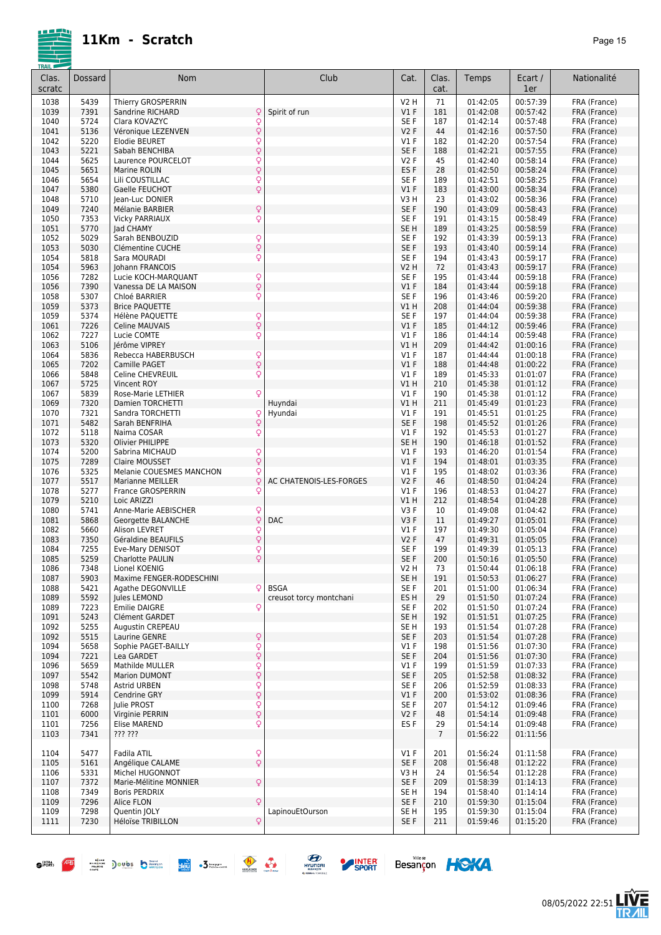

| Clas.<br>scratc | Dossard      | Nom                                           | Club                    | Cat.                 | Clas.<br>cat.  | Temps                | Ecart /<br>1er       | Nationalité                  |
|-----------------|--------------|-----------------------------------------------|-------------------------|----------------------|----------------|----------------------|----------------------|------------------------------|
| 1038            | 5439         | Thierry GROSPERRIN                            |                         | V2 H                 | 71             | 01:42:05             | 00:57:39             | FRA (France)                 |
| 1039            | 7391         | Sandrine RICHARD<br>Q                         | Spirit of run           | V1F                  | 181            | 01:42:08             | 00:57:42             | FRA (France)                 |
| 1040            | 5724         | $\mathsf{Q}$<br>Clara KOVAZYC                 |                         | SE F                 | 187            | 01:42:14             | 00:57:48             | FRA (France)                 |
| 1041            | 5136         | $\overline{Q}$<br>Véronique LEZENVEN          |                         | <b>V2F</b>           | 44             | 01:42:16             | 00:57:50             | FRA (France)                 |
| 1042            | 5220         | $\frac{Q}{Q}$<br><b>Elodie BEURET</b>         |                         | V1F                  | 182            | 01:42:20             | 00:57:54             | FRA (France)                 |
| 1043            | 5221         | Sabah BENCHIBA                                |                         | SE <sub>F</sub>      | 188            | 01:42:21             | 00:57:55             | FRA (France)                 |
| 1044            | 5625         | Q<br>Laurence POURCELOT                       |                         | <b>V2F</b>           | 45             | 01:42:40             | 00:58:14             | FRA (France)                 |
| 1045            | 5651         | Q<br>Marine ROLIN                             |                         | ES <sub>F</sub>      | 28             | 01:42:50             | 00:58:24             | FRA (France)                 |
| 1046            | 5654         | $\frac{1}{2}$<br>Lili COUSTILLAC              |                         | SE F                 | 189            | 01:42:51             | 00:58:25             | FRA (France)                 |
| 1047            | 5380         | Gaelle FEUCHOT                                |                         | V1F                  | 183            | 01:43:00             | 00:58:34             | FRA (France)                 |
| 1048<br>1049    | 5710<br>7240 | Jean-Luc DONIER                               |                         | V3H<br>SE F          | 23<br>190      | 01:43:02<br>01:43:09 | 00:58:36<br>00:58:43 | FRA (France)                 |
|                 | 7353         | Q<br>Mélanie BARBIER<br>Q                     |                         | SE <sub>F</sub>      | 191            | 01:43:15             | 00:58:49             | FRA (France)<br>FRA (France) |
| 1050<br>1051    | 5770         | <b>Vicky PARRIAUX</b><br>lad CHAMY            |                         | SE <sub>H</sub>      | 189            | 01:43:25             | 00:58:59             | FRA (France)                 |
| 1052            | 5029         | Sarah BENBOUZID                               |                         | SE <sub>F</sub>      | 192            | 01:43:39             | 00:59:13             | FRA (France)                 |
| 1053            | 5030         | $\frac{Q}{Q}$<br>Clémentine CUCHE             |                         | SE <sub>F</sub>      | 193            | 01:43:40             | 00:59:14             | FRA (France)                 |
| 1054            | 5818         | Q<br>Sara MOURADI                             |                         | SE F                 | 194            | 01:43:43             | 00:59:17             | FRA (France)                 |
| 1054            | 5963         | Johann FRANCOIS                               |                         | <b>V2 H</b>          | 72             | 01:43:43             | 00:59:17             | FRA (France)                 |
| 1056            | 7282         | Q<br>Lucie KOCH-MARQUANT                      |                         | SE F                 | 195            | 01:43:44             | 00:59:18             | FRA (France)                 |
| 1056            | 7390         | Q<br>Vanessa DE LA MAISON                     |                         | V1F                  | 184            | 01:43:44             | 00:59:18             | FRA (France)                 |
| 1058            | 5307         | Q<br>Chloé BARRIER                            |                         | SE F                 | 196            | 01:43:46             | 00:59:20             | FRA (France)                 |
| 1059            | 5373         | <b>Brice PAQUETTE</b>                         |                         | VIH                  | 208            | 01:44:04             | 00:59:38             | FRA (France)                 |
| 1059            | 5374         | $\frac{Q}{Q}$<br>Hélène PAQUETTE              |                         | SE F                 | 197            | 01:44:04             | 00:59:38             | FRA (France)                 |
| 1061            | 7226         | <b>Celine MAUVAIS</b>                         |                         | V1F                  | 185            | 01:44:12             | 00:59:46             | FRA (France)                 |
| 1062            | 7227         | Q<br>Lucie COMTE                              |                         | $VI$ F               | 186            | 01:44:14             | 00:59:48             | FRA (France)                 |
| 1063            | 5106         | lérôme VIPREY                                 |                         | V1H                  | 209            | 01:44:42             | 01:00:16             | FRA (France)                 |
| 1064            | 5836         | $\mathsf{Q}$<br>Rebecca HABERBUSCH            |                         | V1F                  | 187            | 01:44:44             | 01:00:18             | FRA (France)                 |
| 1065            | 7202         | $\overline{Q}$<br>Camille PAGET               |                         | V1F                  | 188            | 01:44:48             | 01:00:22             | FRA (France)                 |
| 1066            | 5848         | Q<br>Celine CHEVREUIL                         |                         | V1F                  | 189            | 01:45:33             | 01:01:07<br>01:01:12 | FRA (France)                 |
| 1067<br>1067    | 5725<br>5839 | Vincent ROY<br>Rose-Marie LETHIER<br>Q        |                         | V1H<br>$VI$ F        | 210<br>190     | 01:45:38<br>01:45:38 | 01:01:12             | FRA (France)<br>FRA (France) |
| 1069            | 7320         | Damien TORCHETTI                              | Huyndai                 | V1 H                 | 211            | 01:45:49             | 01:01:23             | FRA (France)                 |
| 1070            | 7321         | Sandra TORCHETTI<br>Q                         | Hyundai                 | $VI$ F               | 191            | 01:45:51             | 01:01:25             | FRA (France)                 |
| 1071            | 5482         | Q<br>Sarah BENFRIHA                           |                         | SE F                 | 198            | 01:45:52             | 01:01:26             | FRA (France)                 |
| 1072            | 5118         | Q<br>Naima COSAR                              |                         | $VI$ F               | 192            | 01:45:53             | 01:01:27             | FRA (France)                 |
| 1073            | 5320         | Olivier PHILIPPE                              |                         | SE <sub>H</sub>      | 190            | 01:46:18             | 01:01:52             | FRA (France)                 |
| 1074            | 5200         | Q<br>Sabrina MICHAUD                          |                         | $VI$ F               | 193            | 01:46:20             | 01:01:54             | FRA (France)                 |
| 1075            | 7289         | $\dot{\varphi}$<br>Claire MOUSSET             |                         | V1F                  | 194            | 01:48:01             | 01:03:35             | FRA (France)                 |
| 1076            | 5325         | Q<br>Melanie COUESMES MANCHON                 |                         | $VI$ F               | 195            | 01:48:02             | 01:03:36             | FRA (France)                 |
| 1077            | 5517         | Q<br><b>Marianne MEILLER</b>                  | AC CHATENOIS-LES-FORGES | <b>V2F</b>           | 46             | 01:48:50             | 01:04:24             | FRA (France)                 |
| 1078            | 5277         | France GROSPERRIN<br>Q                        |                         | V1F                  | 196            | 01:48:53             | 01:04:27             | FRA (France)                 |
| 1079            | 5210         | Loic ARIZZI                                   |                         | V1H                  | 212            | 01:48:54             | 01:04:28             | FRA (France)                 |
| 1080            | 5741         | Anne-Marie AEBISCHER<br>Q                     |                         | V3F                  | 10             | 01:49:08             | 01:04:42             | FRA (France)                 |
| 1081            | 5868         | Q<br>Georgette BALANCHE                       | <b>DAC</b>              | V3F                  | 11             | 01:49:27             | 01:05:01             | FRA (France)                 |
| 1082<br>1083    | 5660<br>7350 | Q<br>Alison LEVRET<br>Q<br>Géraldine BEAUFILS |                         | $VI$ F<br><b>V2F</b> | 197<br>47      | 01:49:30<br>01:49:31 | 01:05:04<br>01:05:05 | FRA (France)<br>FRA (France) |
| 1084            | 7255         | Q<br>Eve-Mary DENISOT                         |                         | SE F                 | 199            | 01:49:39             | 01:05:13             | FRA (France)                 |
| 1085            | 5259         | $\dot{\varphi}$<br>Charlotte PAULIN           |                         | SE <sub>F</sub>      | 200            | 01:50:16             | 01:05:50             | FRA (France)                 |
| 1086            | 7348         | Lionel KOENIG                                 |                         | V2 H                 | 73             | 01:50:44             | 01:06:18             | FRA (France)                 |
| 1087            | 5903         | Maxime FENGER-RODESCHINI                      |                         | SE H                 | 191            | 01:50:53             | 01:06:27             | FRA (France)                 |
| 1088            | 5421         | Q<br>Agathe DEGONVILLE                        | <b>BSGA</b>             | SE F                 | 201            | 01:51:00             | 01:06:34             | FRA (France)                 |
| 1089            | 5592         | Jules LEMOND                                  | creusot torcy montchani | ES H                 | 29             | 01:51:50             | 01:07:24             | FRA (France)                 |
| 1089            | 7223         | Q<br>Emilie DAIGRE                            |                         | SE F                 | 202            | 01:51:50             | 01:07:24             | FRA (France)                 |
| 1091            | 5243         | Clément GARDET                                |                         | SE <sub>H</sub>      | 192            | 01:51:51             | 01:07:25             | FRA (France)                 |
| 1092            | 5255         | Augustin CREPEAU                              |                         | SE H                 | 193            | 01:51:54             | 01:07:28             | FRA (France)                 |
| 1092            | 5515         | Q<br>Laurine GENRE                            |                         | SE F                 | 203            | 01:51:54             | 01:07:28             | FRA (France)                 |
| 1094            | 5658         | $\frac{1}{2}$<br>Sophie PAGET-BAILLY          |                         | $VI$ F               | 198            | 01:51:56             | 01:07:30             | FRA (France)                 |
| 1094<br>1096    | 7221<br>5659 | Lea GARDET<br>Mathilde MULLER                 |                         | SE F<br><b>V1 F</b>  | 204<br>199     | 01:51:56<br>01:51:59 | 01:07:30<br>01:07:33 | FRA (France)<br>FRA (France) |
| 1097            | 5542         | $\frac{Q}{Q}$<br><b>Marion DUMONT</b>         |                         | SE F                 | 205            | 01:52:58             | 01:08:32             | FRA (France)                 |
| 1098            | 5748         | Q<br><b>Astrid URBEN</b>                      |                         | SE F                 | 206            | 01:52:59             | 01:08:33             | FRA (France)                 |
| 1099            | 5914         | $\dot{\varphi}$<br>Cendrine GRY               |                         | V1F                  | 200            | 01:53:02             | 01:08:36             | FRA (France)                 |
| 1100            | 7268         | Q<br>Julie PROST                              |                         | SE F                 | 207            | 01:54:12             | 01:09:46             | FRA (France)                 |
| 1101            | 6000         | Q<br>Virginie PERRIN                          |                         | V2F                  | 48             | 01:54:14             | 01:09:48             | FRA (France)                 |
| 1101            | 7256         | Q<br>Elise MAREND                             |                         | ES <sub>F</sub>      | 29             | 01:54:14             | 01:09:48             | FRA (France)                 |
| 1103            | 7341         | ??? ???                                       |                         |                      | $\overline{7}$ | 01:56:22             | 01:11:56             |                              |
| 1104            | 5477         | Q<br>Fadila ATIL                              |                         | $VI$ F               | 201            | 01:56:24             | 01:11:58             | FRA (France)                 |
| 1105            | 5161         | Q<br>Angélique CALAME                         |                         | SE F                 | 208            | 01:56:48             | 01:12:22             | FRA (France)                 |
| 1106            | 5331         | Michel HUGONNOT                               |                         | V3 H                 | 24             | 01:56:54             | 01:12:28             | FRA (France)                 |
| 1107            | 7372         | Q<br>Marie-Mélitine MONNIER                   |                         | SE F                 | 209            | 01:58:39             | 01:14:13             | FRA (France)                 |
| 1108            | 7349         | <b>Boris PERDRIX</b>                          |                         | SE H                 | 194            | 01:58:40             | 01:14:14             | FRA (France)                 |
| 1109            | 7296         | Q<br>Alice FLON                               |                         | SE F                 | 210            | 01:59:30             | 01:15:04             | FRA (France)                 |
| 1109            | 7298         | Quentin JOLY                                  | LapinouEtOurson         | SE <sub>H</sub>      | 195            | 01:59:30             | 01:15:04             | FRA (France)                 |
| 1111            | 7230         | $\mathsf{Q}$<br><b>Héloïse TRIBILLON</b>      |                         | SE F                 | 211            | 01:59:46             | 01:15:20             | FRA (France)                 |
|                 |              |                                               |                         |                      |                |                      |                      |                              |





SPORT